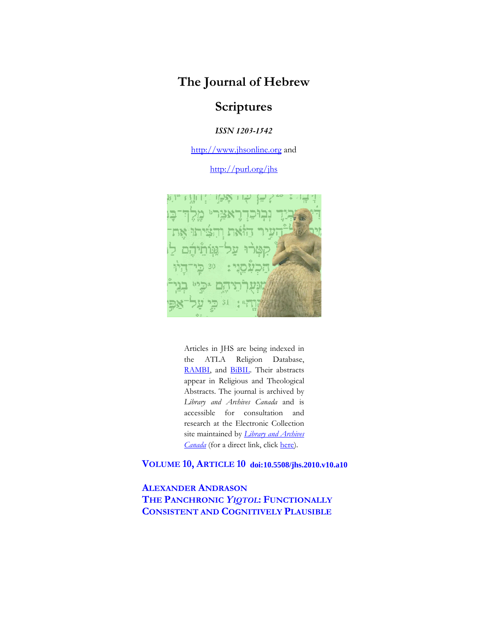# **The Journal of Hebrew**

# **Scriptures**

*ISSN 1203-1542* 

http://www.jhsonline.org and

http://purl.org/jhs



Articles in JHS are being indexed in the ATLA Religion Database, RAMBI, and BiBIL. Their abstracts appear in Religious and Theological Abstracts. The journal is archived by *Library and Archives Canada* and is accessible for consultation and research at the Electronic Collection site maintained by *Library and Archives Canada* (for a direct link, click here).

**VOLUME 10, ARTICLE 10 doi:10.5508/jhs.2010.v10.a10**

**ALEXANDER ANDRASON THE PANCHRONIC** *YIQTOL***: FUNCTIONALLY CONSISTENT AND COGNITIVELY PLAUSIBLE**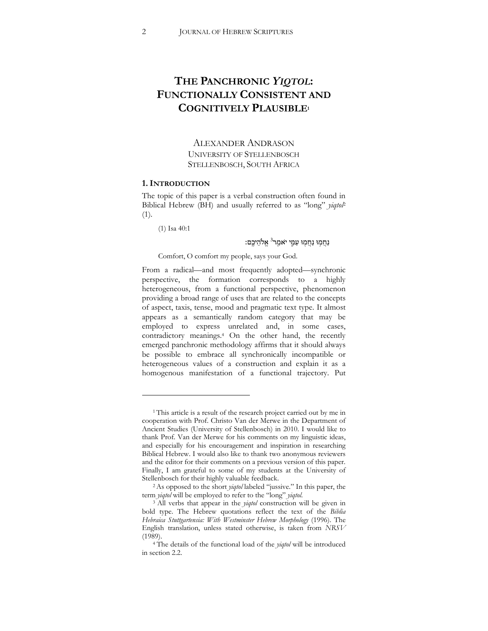# **THE PANCHRONIC** *YIQTOL***: FUNCTIONALLY CONSISTENT AND COGNITIVELY PLAUSIBLE1**

ALEXANDER ANDRASON UNIVERSITY OF STELLENBOSCH STELLENBOSCH, SOUTH AFRICA

# **1.INTRODUCTION**

The topic of this paper is a verbal construction often found in Biblical Hebrew (BH) and usually referred to as "long" *yiqtol*<sup>2</sup> (1).

(1) Isa 40:1

# נַחֲמְוּ נַחֲמְוּ עַמֵּי יֹאמֵר<sup>3</sup> אֵלֹהֵיבֵם:

#### Comfort, O comfort my people, says your God.

From a radical—and most frequently adopted—synchronic perspective, the formation corresponds to a highly heterogeneous, from a functional perspective, phenomenon providing a broad range of uses that are related to the concepts of aspect, taxis, tense, mood and pragmatic text type. It almost appears as a semantically random category that may be employed to express unrelated and, in some cases, contradictory meanings.4 On the other hand, the recently emerged panchronic methodology affirms that it should always be possible to embrace all synchronically incompatible or heterogeneous values of a construction and explain it as a homogenous manifestation of a functional trajectory. Put

<sup>&</sup>lt;sup>1</sup> This article is a result of the research project carried out by me in cooperation with Prof. Christo Van der Merwe in the Department of Ancient Studies (University of Stellenbosch) in 2010. I would like to thank Prof. Van der Merwe for his comments on my linguistic ideas, and especially for his encouragement and inspiration in researching Biblical Hebrew. I would also like to thank two anonymous reviewers and the editor for their comments on a previous version of this paper. Finally, I am grateful to some of my students at the University of

Stellenbosch for their highly valuable feedback.<br><sup>2</sup> As opposed to the short *yiqtol* labeled "jussive." In this paper, the term *yiqtol* will be employed to refer to the "long" *yiqtol*.

<sup>&</sup>lt;sup>3</sup> All verbs that appear in the *yiqtol* construction will be given in bold type. The Hebrew quotations reflect the text of the *Biblia Hebraica Stuttgartensia: With Westminster Hebrew Morphology* (1996). The English translation, unless stated otherwise, is taken from *NRSV*  (1989). 4 The details of the functional load of the *yiqtol* will be introduced

in section 2.2.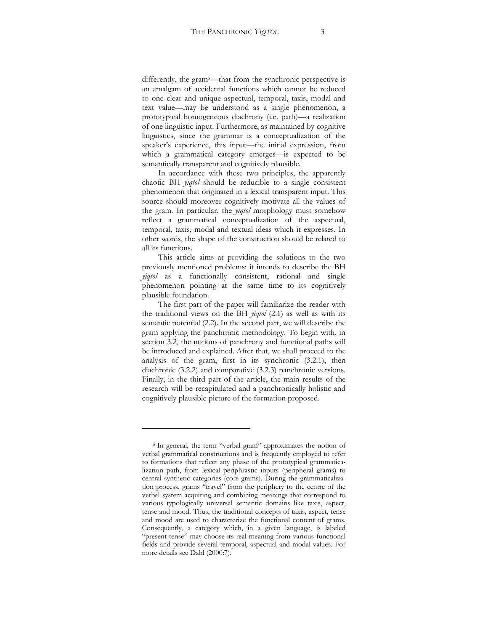differently, the gram<sup>5</sup>—that from the synchronic perspective is

an amalgam of accidental functions which cannot be reduced to one clear and unique aspectual, temporal, taxis, modal and text value]may be understood as a single phenomenon, a prototypical homogeneous diachrony (i.e. path)—a realization of one linguistic input. Furthermore, as maintained by cognitive linguistics, since the grammar is a conceptualization of the speaker's experience, this input—the initial expression, from which a grammatical category emerges—is expected to be semantically transparent and cognitively plausible.

In accordance with these two principles, the apparently chaotic BH *yiqtol* should be reducible to a single consistent phenomenon that originated in a lexical transparent input. This source should moreover cognitively motivate all the values of the gram. In particular, the *yiqtol* morphology must somehow reflect a grammatical conceptualization of the aspectual, temporal, taxis, modal and textual ideas which it expresses. In other words, the shape of the construction should be related to all its functions.

This article aims at providing the solutions to the two previously mentioned problems: it intends to describe the BH *yiqtol* as a functionally consistent, rational and single phenomenon pointing at the same time to its cognitively plausible foundation.

The first part of the paper will familiarize the reader with the traditional views on the BH *yiqtol* (2.1) as well as with its semantic potential (2.2). In the second part, we will describe the gram applying the panchronic methodology. To begin with, in section 3.2, the notions of panchrony and functional paths will be introduced and explained. After that, we shall proceed to the analysis of the gram, first in its synchronic (3.2.1), then diachronic (3.2.2) and comparative (3.2.3) panchronic versions. Finally, in the third part of the article, the main results of the research will be recapitulated and a panchronically holistic and cognitively plausible picture of the formation proposed.

<sup>&</sup>lt;sup>5</sup> In general, the term "verbal gram" approximates the notion of verbal grammatical constructions and is frequently employed to refer to formations that reflect any phase of the prototypical grammaticalization path, from lexical periphrastic inputs (peripheral grams) to central synthetic categories (core grams). During the grammaticalization process, grams "travel" from the periphery to the centre of the verbal system acquiring and combining meanings that correspond to various typologically universal semantic domains like taxis, aspect, tense and mood. Thus, the traditional concepts of taxis, aspect, tense and mood are used to characterize the functional content of grams. Consequently, a category which, in a given language, is labeled "present tense" may choose its real meaning from various functional fields and provide several temporal, aspectual and modal values. For more details see Dahl (2000:7).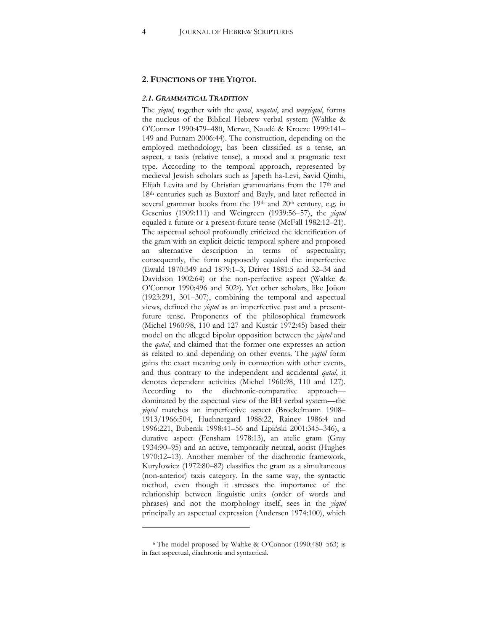### **2. FUNCTIONS OF THE YIQTOL**

#### *2.1. GRAMMATICAL TRADITION*

The *yiqtol*, together with the *qatal*, *weqatal*, and *wayyiqtol*, forms the nucleus of the Biblical Hebrew verbal system (Waltke & O'Connor 1990:479-480, Merwe, Naudé & Kroeze 1999:141-149 and Putnam 2006:44). The construction, depending on the employed methodology, has been classified as a tense, an aspect, a taxis (relative tense), a mood and a pragmatic text type. According to the temporal approach, represented by medieval Jewish scholars such as Japeth ha-Levi, Savid Qimhi, Elijah Levita and by Christian grammarians from the 17<sup>th</sup> and 18th centuries such as Buxtorf and Bayly, and later reflected in several grammar books from the  $19<sup>th</sup>$  and  $20<sup>th</sup>$  century, e.g. in Gesenius (1909:111) and Weingreen (1939:56-57), the *yiqtol* equaled a future or a present-future tense (McFall 1982:12-21). The aspectual school profoundly criticized the identification of the gram with an explicit deictic temporal sphere and proposed an alternative description in terms of aspectuality; consequently, the form supposedly equaled the imperfective (Ewald 1870:349 and 1879:1-3, Driver 1881:5 and 32-34 and Davidson 1902:64) or the non-perfective aspect (Waltke & O'Connor 1990:496 and 502<sup>6</sup>). Yet other scholars, like Joüon  $(1923:291, 301-307)$ , combining the temporal and aspectual views, defined the *yiqtol* as an imperfective past and a presentfuture tense. Proponents of the philosophical framework (Michel 1960:98, 110 and 127 and Kustár 1972:45) based their model on the alleged bipolar opposition between the *yiqtol* and the *qatal*, and claimed that the former one expresses an action as related to and depending on other events. The *yiqtol* form gains the exact meaning only in connection with other events, and thus contrary to the independent and accidental *qatal*, it denotes dependent activities (Michel 1960:98, 110 and 127). According to the diachronic-comparative approach dominated by the aspectual view of the BH verbal system—the *yiqtol* matches an imperfective aspect (Brockelmann 1908-1913/1966:504, Huehnergard 1988:22, Rainey 1986:4 and 1996:221, Bubenik 1998:41-56 and Lipiński 2001:345-346), a durative aspect (Fensham 1978:13), an atelic gram (Gray 1934:90-95) and an active, temporarily neutral, aorist (Hughes 1970:12-13). Another member of the diachronic framework, Kuryłowicz (1972:80-82) classifies the gram as a simultaneous (non-anterior) taxis category. In the same way, the syntactic method, even though it stresses the importance of the relationship between linguistic units (order of words and phrases) and not the morphology itself, sees in the *yiqtol* principally an aspectual expression (Andersen 1974:100), which

<sup>&</sup>lt;sup>6</sup> The model proposed by Waltke & O'Connor (1990:480–563) is in fact aspectual, diachronic and syntactical.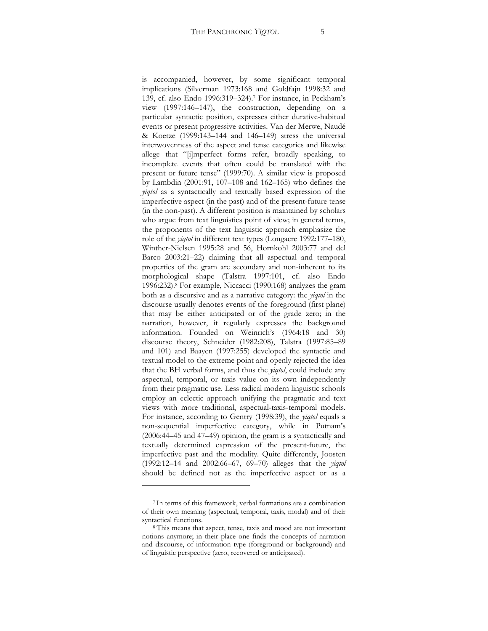is accompanied, however, by some significant temporal implications (Silverman 1973:168 and Goldfajn 1998:32 and 139, cf. also Endo 1996:319-324).<sup>7</sup> For instance, in Peckham's view  $(1997:146-147)$ , the construction, depending on a particular syntactic position, expresses either durative-habitual events or present progressive activities. Van der Merwe, Naudé & Koetze (1999:143-144 and 146-149) stress the universal interwovenness of the aspect and tense categories and likewise allege that "[i]mperfect forms refer, broadly speaking, to incomplete events that often could be translated with the present or future tense" (1999:70). A similar view is proposed by Lambdin  $(2001:91, 107-108$  and  $162-165)$  who defines the *yiqtol* as a syntactically and textually based expression of the imperfective aspect (in the past) and of the present-future tense (in the non-past). A different position is maintained by scholars who argue from text linguistics point of view; in general terms, the proponents of the text linguistic approach emphasize the role of the *yiqtol* in different text types (Longacre 1992:177-180, Winther-Nielsen 1995:28 and 56, Hornkohl 2003:77 and del Barco 2003:21-22) claiming that all aspectual and temporal properties of the gram are secondary and non-inherent to its morphological shape (Talstra 1997:101, cf. also Endo 1996:232).8 For example, Niccacci (1990:168) analyzes the gram both as a discursive and as a narrative category: the *yiqtol* in the discourse usually denotes events of the foreground (first plane) that may be either anticipated or of the grade zero; in the narration, however, it regularly expresses the background information. Founded on Weinrich's (1964:18 and 30) discourse theory, Schneider (1982:208), Talstra (1997:85-89 and 101) and Baayen (1997:255) developed the syntactic and textual model to the extreme point and openly rejected the idea that the BH verbal forms, and thus the *yiqtol*, could include any aspectual, temporal, or taxis value on its own independently from their pragmatic use. Less radical modern linguistic schools employ an eclectic approach unifying the pragmatic and text views with more traditional, aspectual-taxis-temporal models. For instance, according to Gentry (1998:39), the *yiqtol* equals a non-sequential imperfective category, while in Putnam's  $(2006:44-45$  and  $47-49)$  opinion, the gram is a syntactically and textually determined expression of the present-future, the imperfective past and the modality. Quite differently, Joosten (1992:12-14 and 2002:66-67, 69-70) alleges that the *yiqtol* should be defined not as the imperfective aspect or as a

<sup>7</sup> In terms of this framework, verbal formations are a combination of their own meaning (aspectual, temporal, taxis, modal) and of their syntactical functions. 8 This means that aspect, tense, taxis and mood are not important

notions anymore; in their place one finds the concepts of narration and discourse, of information type (foreground or background) and of linguistic perspective (zero, recovered or anticipated).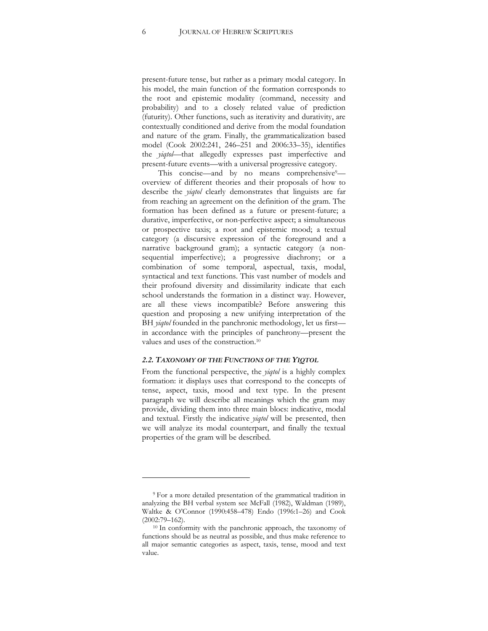present-future tense, but rather as a primary modal category. In his model, the main function of the formation corresponds to the root and epistemic modality (command, necessity and probability) and to a closely related value of prediction (futurity). Other functions, such as iterativity and durativity, are contextually conditioned and derive from the modal foundation and nature of the gram. Finally, the grammaticalization based model (Cook 2002:241, 246-251 and 2006:33-35), identifies the *yiqtol*—that allegedly expresses past imperfective and present-future events—with a universal progressive category.

This concise—and by no means comprehensive $9$  overview of different theories and their proposals of how to describe the *yiqtol* clearly demonstrates that linguists are far from reaching an agreement on the definition of the gram. The formation has been defined as a future or present-future; a durative, imperfective, or non-perfective aspect; a simultaneous or prospective taxis; a root and epistemic mood; a textual category (a discursive expression of the foreground and a narrative background gram); a syntactic category (a nonsequential imperfective); a progressive diachrony; or a combination of some temporal, aspectual, taxis, modal, syntactical and text functions. This vast number of models and their profound diversity and dissimilarity indicate that each school understands the formation in a distinct way. However, are all these views incompatible? Before answering this question and proposing a new unifying interpretation of the BH *yiqtol* founded in the panchronic methodology, let us first in accordance with the principles of panchrony-present the values and uses of the construction.10

### *2.2. TAXONOMY OF THE FUNCTIONS OF THE YIQTOL*

From the functional perspective, the *yiqtol* is a highly complex formation: it displays uses that correspond to the concepts of tense, aspect, taxis, mood and text type. In the present paragraph we will describe all meanings which the gram may provide, dividing them into three main blocs: indicative, modal and textual. Firstly the indicative *yiqtol* will be presented, then we will analyze its modal counterpart, and finally the textual properties of the gram will be described.

<sup>9</sup> For a more detailed presentation of the grammatical tradition in analyzing the BH verbal system see McFall (1982), Waldman (1989), Waltke & O'Connor (1990:458-478) Endo (1996:1-26) and Cook (2002:79-162).

 $^{10}$  In conformity with the panchronic approach, the taxonomy of functions should be as neutral as possible, and thus make reference to all major semantic categories as aspect, taxis, tense, mood and text value.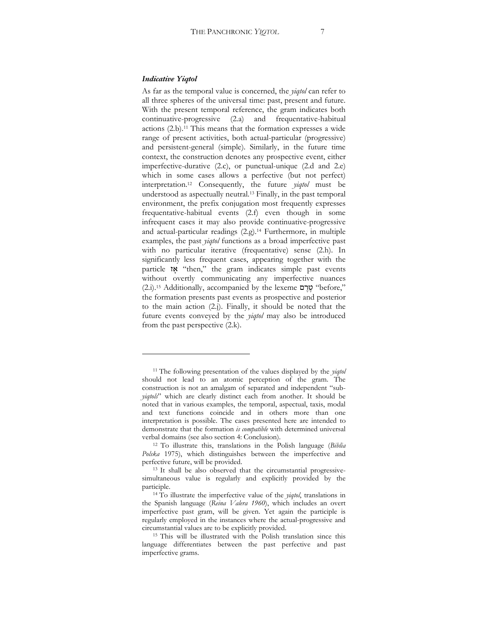#### *Indicative Yiqtol*

As far as the temporal value is concerned, the *yiqtol* can refer to all three spheres of the universal time: past, present and future. With the present temporal reference, the gram indicates both continuative-progressive (2.a) and frequentative-habitual actions (2.b).11 This means that the formation expresses a wide range of present activities, both actual-particular (progressive) and persistent-general (simple). Similarly, in the future time context, the construction denotes any prospective event, either imperfective-durative (2.c), or punctual-unique (2.d and 2.e) which in some cases allows a perfective (but not perfect) interpretation.12 Consequently, the future *yiqtol* must be understood as aspectually neutral.13 Finally, in the past temporal environment, the prefix conjugation most frequently expresses frequentative-habitual events (2.f) even though in some infrequent cases it may also provide continuative-progressive and actual-particular readings (2.g).14 Furthermore, in multiple examples, the past *yiqtol* functions as a broad imperfective past with no particular iterative (frequentative) sense (2.h). In significantly less frequent cases, appearing together with the particle  $\mathbf{\ddot{x}}$  "then," the gram indicates simple past events without overtly communicating any imperfective nuances (2.i).<sup>15</sup> Additionally, accompanied by the lexeme or "before," the formation presents past events as prospective and posterior to the main action (2.j). Finally, it should be noted that the future events conveyed by the *yiqtol* may also be introduced from the past perspective (2.k).

<sup>11</sup> The following presentation of the values displayed by the *yiqtol* should not lead to an atomic perception of the gram. The construction is not an amalgam of separated and independent "sub*yiqtols*" which are clearly distinct each from another. It should be noted that in various examples, the temporal, aspectual, taxis, modal and text functions coincide and in others more than one interpretation is possible. The cases presented here are intended to demonstrate that the formation *is compatible* with determined universal

verbal domains (see also section 4: Conclusion). 12 To illustrate this, translations in the Polish language (*Biblia Polska* 1975), which distinguishes between the imperfective and

perfective future, will be provided.<br><sup>13</sup> It shall be also observed that the circumstantial progressivesimultaneous value is regularly and explicitly provided by the

participle. 14 To illustrate the imperfective value of the *yiqtol*, translations in the Spanish language (*Reina Valera 1960*), which includes an overt imperfective past gram, will be given. Yet again the participle is regularly employed in the instances where the actual-progressive and circumstantial values are to be explicitly provided. 15 This will be illustrated with the Polish translation since this

language differentiates between the past perfective and past imperfective grams.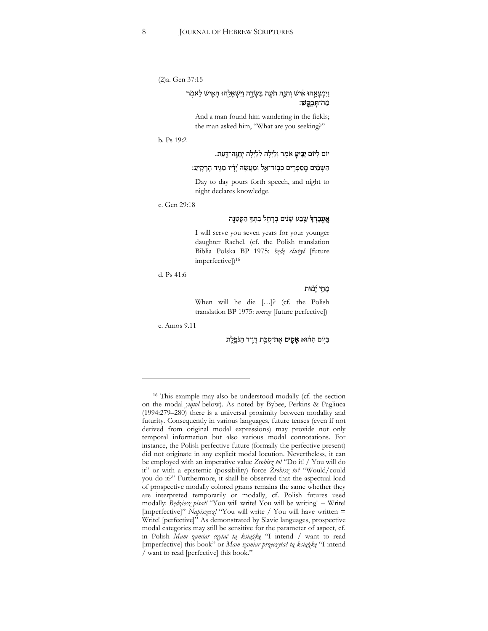(2)a. Gen 37:15

# וַיִּמְצַאֵהוּ אִישׁ וְהִנֵּה תֹעֵה בַּשַּׂדֵה וַיִּשְׁאַלֵהוּ הַאֵישׁ לֵאמִר מַה־**תִּבְקֵשׁ**:

And a man found him wandering in the fields; the man asked him, "What are you seeking?"

#### b. Ps 19:2

# יום לִיוֹם יַבִּיעֵ אֹמֵר וְלַיִלָה לְלַיִלָה **יְחַוֶּה**־דֵּעַת.

### הַשַּׁמַיִם מֵסַפְּרֵים כִּבְוֹד־אֵל וְּמֵעֲשֶׂה 'ַדַֹיו מַגֵּיד הַרָקִיעַ:

Day to day pours forth speech, and night to night declares knowledge.

#### c. Gen 29:18

# **אֵעֵבָדִד**ּ שֵׁבַע שַׂנִים בִּרְחֵל בִּתְּךָּ הַקְטַנֵּה

I will serve you seven years for your younger daughter Rachel. (cf. the Polish translation Biblia Polska BP 1975: *będę sâuůyâ* [future imperfective])<sup>16</sup>

d. Ps 41:6

#### מתי יַמוּת

When will he die [...]? (cf. the Polish translation BP 1975: *umrze* [future perfective])

e. Amos 9.11

ביום ההוא **אַקים** אַת־סַכֵּת דַּוֵיד הַנֹּפֵלֵת

<sup>16</sup> This example may also be understood modally (cf. the section on the modal *yiqtol* below). As noted by Bybee, Perkins & Pagliuca (1994:279-280) there is a universal proximity between modality and futurity. Consequently in various languages, future tenses (even if not derived from original modal expressions) may provide not only temporal information but also various modal connotations. For instance, the Polish perfective future (formally the perfective present) did not originate in any explicit modal locution. Nevertheless, it can be employed with an imperative value *Zrobisz to!* "Do it! / You will do it" or with a epistemic (possibility) force *Zrobisz to?* "Would/could you do it?" Furthermore, it shall be observed that the aspectual load of prospective modally colored grams remains the same whether they are interpreted temporarily or modally, cf. Polish futures used modally: *Będziesz pisać!* "You will write! You will be writing! = Write! [imperfective]" Napiszesz! "You will write / You will have written = Write! [perfective]" As demonstrated by Slavic languages, prospective modal categories may still be sensitive for the parameter of aspect, cf. in Polish *Mam zamiar czytać tą książkę* "I intend / want to read [imperfective] this book" or *Mam zamiar przeczytać tą książkę* "I intend / want to read [perfective] this book."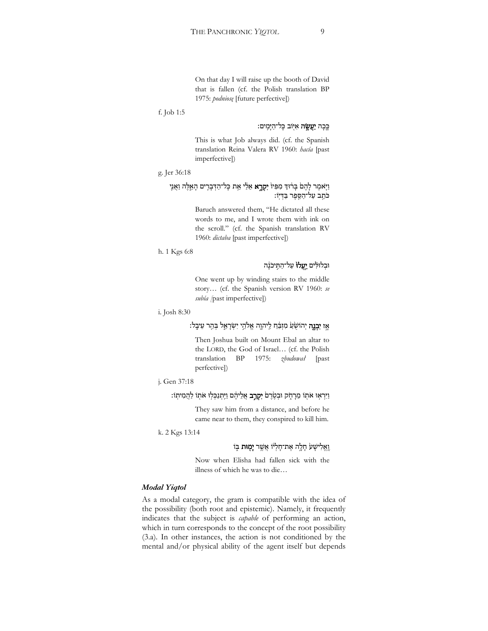On that day I will raise up the booth of David that is fallen (cf. the Polish translation BP 1975: *podniosę* [future perfective])

### f. Job 1:5

### כֵּכָה **יַעֲשֵׂה** אִיּֽוֹב כָּל־הַיָּמֵים:

This is what Job always did. (cf. the Spanish translation Reina Valera RV 1960: *hacía* [past imperfective])

### g. Jer 36:18

# וַיָּאמֶר לָהֶםׂ בְּרֹוּדְ מִפִּיוֹ **יִקְרָא** אֵלַי אֵת כְּל־הַדְּבָרֶים הָאֵלֶּה וַאֲנֶי כתב על־הַסֵפֶר בַּדְיִוּ:

Baruch answered them, "He dictated all these words to me, and I wrote them with ink on the scroll." (cf. the Spanish translation RV 1960: *dictaba* [past imperfective])

#### h. 1 Kgs 6:8

# וּבְלוּלִ<sup>י</sup>ים יַ**עֲלוֹ** עַל־הַחֵיכֹנָה

One went up by winding stairs to the middle story... (cf. the Spanish version RV 1960: se *subía [*past imperfective])

### i. Josh 8:30

# אֵז יִ**בְנֵה** יְהוֹשָׂעַ מִזְבֵּ֫חַ לֵיהוֵה אֱלֹהֵי יִשְׂרָאֱל בְּהֵר עֵיבֵל:

Then Joshua built on Mount Ebal an altar to the LORD, the God of Israel... (cf. the Polish translation BP 1975: *zbudowaâ* [past perfective])

```
j. Gen 37:18
```
# וַיִּרְאָוּ אֹתְוֹ מֵרָתֶׂק וּבְטֶׂרֶםׂ **יִקְרָב** אֲלֵיהֶם וַיִּתְנַכְּלְוּ אֹתְוֹ לַהֲמִיתְוֹ:

They saw him from a distance, and before he came near to them, they conspired to kill him.

k. 2 Kgs 13:14

# וַאֲלִישָׁע חָלֶה אֶת־חָלְ<sup>וֹ</sup>וֹ אֲשֶׁר **יְמָוּת** בְּוֹ

Now when Elisha had fallen sick with the illness of which he was to die...

#### *Modal Yiqtol*

As a modal category, the gram is compatible with the idea of the possibility (both root and epistemic). Namely, it frequently indicates that the subject is *capable* of performing an action, which in turn corresponds to the concept of the root possibility (3.a). In other instances, the action is not conditioned by the mental and/or physical ability of the agent itself but depends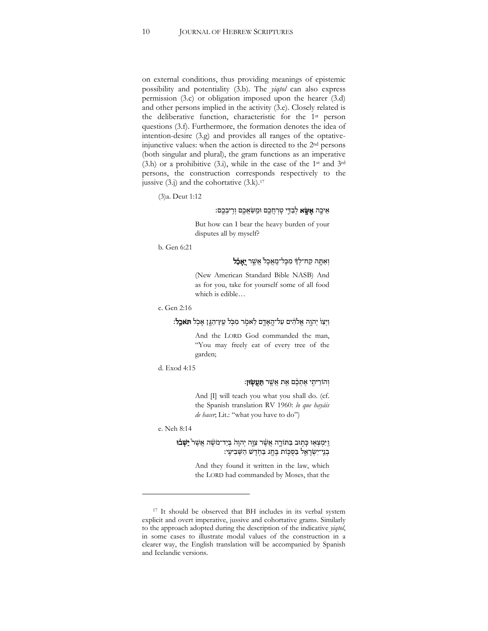on external conditions, thus providing meanings of epistemic possibility and potentiality (3.b). The *yiqtol* can also express permission (3.c) or obligation imposed upon the hearer (3.d) and other persons implied in the activity (3.e). Closely related is the deliberative function, characteristic for the 1st person questions (3.f). Furthermore, the formation denotes the idea of intention-desire (3.g) and provides all ranges of the optativeinjunctive values: when the action is directed to the 2nd persons (both singular and plural), the gram functions as an imperative  $(3.h)$  or a prohibitive  $(3.i)$ , while in the case of the 1<sup>st</sup> and 3<sup>rd</sup> persons, the construction corresponds respectively to the jussive  $(3,j)$  and the cohortative  $(3.k).$ <sup>17</sup>

(3)a. Deut 1:12

# אֵיכֶה **אֶשֶׂא** לְבַדֵּי טָרְחֲכֶם וּמֵשַׂאֲכֶם וְרָיבְכֶם:

But how can I bear the heavy burden of your disputes all by myself?

b. Gen 6:21

# וְאַתָּה קַח־לִךְ מִכָּל־מֲאֲכָל<sup>י</sup> אֲשֵׁר **יֵאָבֶל**

(New American Standard Bible NASB) And as for you, take for yourself some of all food which is edible...

```
c. Gen 2:16
```
וַיִּצַוֹּ יִהְוֵה אֱלֹהִים עֲל־הֲאָדֵם לֵאמִר מִכְּל עֵץ־הָגֵן אַכְל **חִאִכֵל:** 

And the LORD God commanded the man, WYou may freely eat of every tree of the garden;

d. Exod 4:15

### וְהוֹרֵיתֵי אֵתְבֶם אֵת אֲשֱר **תַּעֲשׂוּן:**

And  $\left| \Pi \right|$  will teach you what you shall do. (cf. the Spanish translation RV 1960: *lo que hayáis de hacer*; Lit.: "what you have to do")

e. Neh 8:14

# וַ יִּמְצְאָוּ כְּתְוּב בַּתּוֹרֶה אֲשֶׁר צִוֶּה יְהוָה בְּיַד־מֹשֶׁה אֲשֶׁר **יֵשְׁבוּ** בְנֵי־יִשְׂרָאֱל בַּסְכֵּוֹת בֵּחֶג בַּחָדֵשׁ הַשָּׁבִיעֵי:

And they found it written in the law, which the LORD had commanded by Moses, that the

<sup>&</sup>lt;sup>17</sup> It should be observed that BH includes in its verbal system explicit and overt imperative, jussive and cohortative grams. Similarly to the approach adopted during the description of the indicative *yiqtol*, in some cases to illustrate modal values of the construction in a clearer way, the English translation will be accompanied by Spanish and Icelandic versions.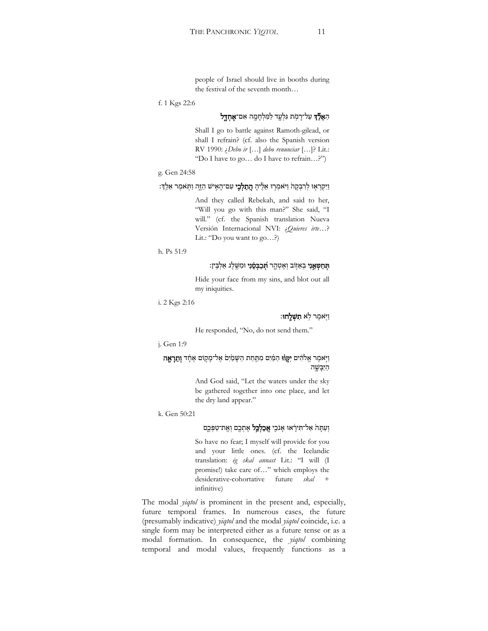people of Israel should live in booths during the festival of the seventh month...

f. 1 Kgs 22:6

### הַ**אֲלֵד**ּ עַל־רָמְת גִּלְעֲד לַמִּלְחָמֶה אִם־**אֶחְדֵל**

Shall I go to battle against Ramoth-gilead, or shall I refrain? (cf. also the Spanish version RV 1990: *¿Debo ir* [...] debo renunciar [...]? Lit.: "Do I have to go... do I have to refrain...?")

#### g. Gen 24:58

וַיִּקְרְאָוּ לְרִבְקָהֹ וַיֹּאמְרְוּ אֵלֶיהָ **הֲתַלְכֶי** עִם־הָאִישׁ הַזֶּה וַתְּאמֶר אֵלֵךְ:

And they called Rebekah, and said to her, "Will you go with this man?" She said, "I will." (cf. the Spanish translation Nueva Versión Internacional NVI: ¿Quieres irte...? Lit.: "Do you want to  $go...$ ?)

h. Ps 51:9

## **תְּחַטְאֵנִי** בְאֵזְוֹב וְאֶטְהֶר **הְכַבְּסֵנִי** וּמִשֶּׁלֶג אַלְבִּין:

Hide your face from my sins, and blot out all my iniquities.

i. 2 Kgs 2:16

### וַיְאמֵר לְא **תִשְׁלַחוּ**:

He responded, "No, do not send them."

j. Gen 1:9

# וַיֵּאמֶר אֱלֹהִים **יִקְוֹוּ** הַמַּ֫יִם מִתַּחַת הַשָּׁמַיִם אֶל־מָקוֹם אֶחֶד **וְתֵרָאֶה** הַיַּבַּשֵׁה

And God said, "Let the waters under the sky be gathered together into one place, and let the dry land appear."

k. Gen 50:21

# וְעַתָּה אַל־תִּירָאוּ אָנֹכֵי **אֲכַלְכֵּל** אֶתְכֵם וְאֶת־טַפְּכֵֵם

So have no fear; I myself will provide for you and your little ones. (cf. the Icelandic translation: ég skal annast Lit.: "I will (I promise!) take care of..." which employs the desiderative-cohortative future *skal* + infinitive)

The modal *yiqtol* is prominent in the present and, especially, future temporal frames. In numerous cases, the future (presumably indicative) *yiqtol* and the modal *yiqtol* coincide, i.e. a single form may be interpreted either as a future tense or as a modal formation. In consequence, the *yiqtol* combining temporal and modal values, frequently functions as a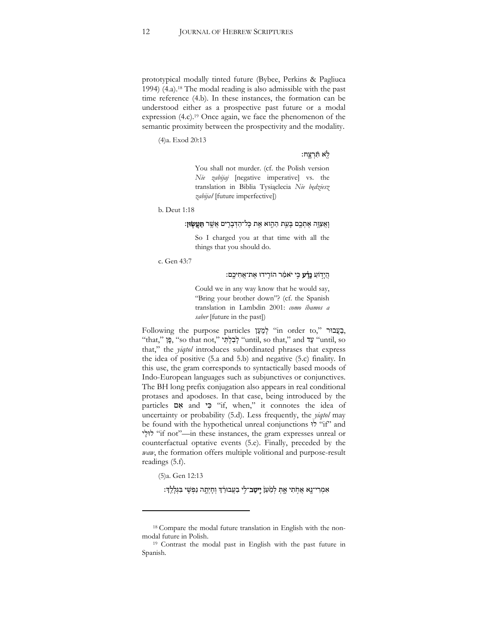prototypical modally tinted future (Bybee, Perkins & Pagliuca 1994) (4.a).18 The modal reading is also admissible with the past time reference (4.b). In these instances, the formation can be understood either as a prospective past future or a modal expression (4.c).<sup>19</sup> Once again, we face the phenomenon of the semantic proximity between the prospectivity and the modality.

(4)a. Exod 20:13

### $:$ לְא תְּרָצֵח $\frac{1}{2}$

You shall not murder. (cf. the Polish version *Nie zabijaj* [negative imperative] vs. the translation in Biblia Tysiąclecia *Nie będziesz zabijaâ* [future imperfective])

b. Deut 1:18

### וָאֲצוֵּה אֵתִכֵם בָּעֵת הַהֶוא אֵת כָּל־הַדִּבָרִים אֲשֵׁר **תַּעֲשִׂוּן:**

So I charged you at that time with all the things that you should do.

c. Gen 43:7

### הַיַדוֹעַ **נֵדָע** כֵּי יֹאמַר הוֹרֵידוּ אֵת־אֲחִיכֵם:

Could we in any way know that he would say, "Bring your brother down"? (cf. the Spanish translation in Lambdin 2001: *como íbamos a saber* [future in the past])

Following the purpose particles לְמַעַן "in order to," בְעֲבוּר, "that," פֵּן "so that not," לְבָלְתִּי "until, so that," and עֲד that," the *yiqtol* introduces subordinated phrases that express the idea of positive (5.a and 5.b) and negative (5.c) finality. In this use, the gram corresponds to syntactically based moods of Indo-European languages such as subjunctives or conjunctives. The BH long prefix conjugation also appears in real conditional protases and apodoses. In that case, being introduced by the particles  $\alpha$  and  $\gamma$  "if, when," it connotes the idea of uncertainty or probability (5.d). Less frequently, the *yiqtol* may be found with the hypothetical unreal conjunctions  $\dot{N}$  "if" and ʩʬ˒ʬ ʒ Wif notX]in these instances, the gram expresses unreal or counterfactual optative events (5.e). Finally, preceded by the *waw*, the formation offers multiple volitional and purpose-result readings (5.f).

(5)a. Gen 12:13

אַמְרִי־נֵא אֶחֹתִי אֶתְּ לְמַעֵּן**۬ יֵיטֶב**־לֵי בַעֲבוּרֶדְ וְחַיְתָה נַפְּשֵׁי בִּגְלַלֵדְ:

<sup>&</sup>lt;sup>18</sup> Compare the modal future translation in English with the non-modal future in Polish.

<sup>&</sup>lt;sup>19</sup> Contrast the modal past in English with the past future in Spanish.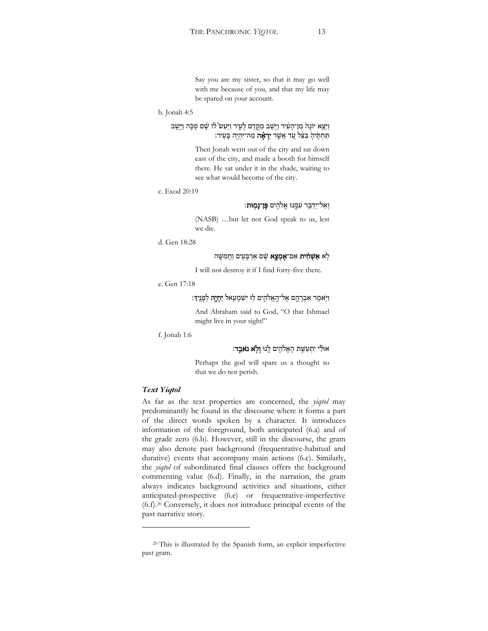Say you are my sister, so that it may go well with me because of you, and that my life may be spared on your account.

#### b. Jonah 4:5

# וַיֵּצֵא יוֹנָהֹ מִן־הָעִׁיר וַיִּשֶׁב מִקֶּדֶם לָעֶיר וַיַּעַשׂ לוֹ שָׁם סֻבָּה וַיֵּשֶׁב תַּחְתֶּיהָ בַּצֵּל עֲד אֲשֱר **יִרְאֶה** מַה־יִּהְיֶה בָּעִיר:

Then Jonah went out of the city and sat down east of the city, and made a booth for himself there. He sat under it in the shade, waiting to see what would become of the city.

```
c. Exod 20:19
```
## וְאַל־יִדַבֵּר עִמֱנוּ אֱלֹהֵים **פֵּן־נַמִוּת:**

(NASB) ...but let not God speak to us, lest we die.

d. Gen 18:28

## לֹא **אֵשְׁהָית** אִם־**אֵמֶצֵא** שַׁם אַרְבַּעֵים וַחֲמָשֵׁה

I will not destroy it if I find forty-five there.

```
e. Gen 17:18
```
וַיְּאמֶר אַבְרָהֶם אֶל־הֲאֱלֹהֶים לְוּ יִשְׁמָעֵאל **יִחְיֶה** לְפָנֶיךָ:

And Abraham said to God, "O that Ishmael might live in your sight!"

f. Jonah 1:6

# אוּ*לֵי יִתְעַשֵּׁת הַאֱלֹהֵים לֵנוּ וְלָא נֹאַבֵד:*

Perhaps the god will spare us a thought so that we do not perish.

#### *Text Yiqtol*

As far as the text properties are concerned, the *yiqtol* may predominantly be found in the discourse where it forms a part of the direct words spoken by a character. It introduces information of the foreground, both anticipated (6.a) and of the grade zero (6.b). However, still in the discourse, the gram may also denote past background (frequentative-habitual and durative) events that accompany main actions (6.c). Similarly, the *yiqtol* of subordinated final clauses offers the background commenting value (6.d). Finally, in the narration, the gram always indicates background activities and situations, either anticipated-prospective (6.e) or frequentative-imperfective (6.f).20 Conversely, it does not introduce principal events of the past narrative story.

<sup>20</sup> This is illustrated by the Spanish form, an explicit imperfective past gram.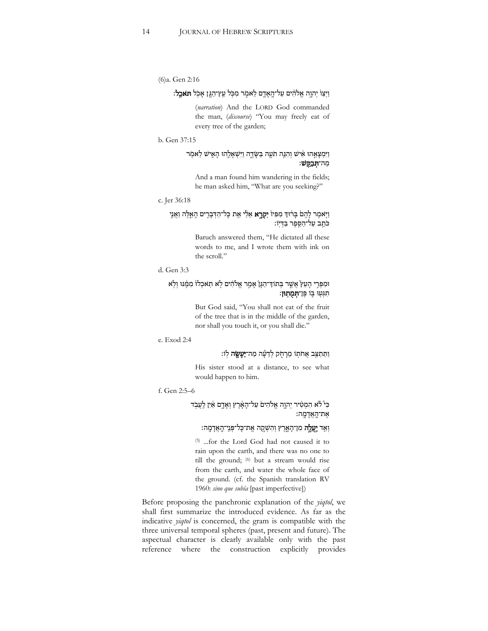```
(6)a. Gen 2:16
```
# וַיִּצַוֹּ יִהְוֵה אֱלֹהִים עֲל־הֲאָדֵם לֵאמִר מִכְּל עֵץ־הָגֵן אַכְל **חִאִכֵל:**

(*narration*) And the LORD God commanded the man, (discourse) "You may freely eat of every tree of the garden;

#### b. Gen 37:15

# וַיִּמְצָאֱהוּ אִישׁ וְהָגֶה תֹּעֵה בַּשָּׂדֶה וַיִּשְׁאָלֶהוּ הָאֵישׁ לַאמְר מה־תִּבַקַּשׁ:

And a man found him wandering in the fields; he man asked him, "What are you seeking?"

#### c. Jer 36:18

# וַיָּאמֶר לְהֶםׂ בְּרֹוּדְ מִפִּיוֹ **יִקְרֵא** אֵלַי אֵת כְּל־הַדְּבְרֶים הָאֵלֶה וַאֲנֵי כּתֵב עַל־הַסֱפֶר בַּדְיִוֹ:

Baruch answered them, "He dictated all these words to me, and I wrote them with ink on the scroll."

### d. Gen 3:3

# וּמִפְּרֵי הָעֵץ אֲשֱר בְּתוֹדְ־הַגָּן אָמֵר אֱלֹהִים לָא תְאַכְלוֹ מִמֶּנּוּ וְלְא תגעו בו פ**ן תמתון**:

But God said, "You shall not eat of the fruit of the tree that is in the middle of the garden, nor shall you touch it, or you shall die."

### e. Exod 2:4

### וַתֵּתַצֵּב אֲחֹתְוֹ מֵרָחֶק לְדֵעֶ*ּה מַה־יַעָשֵׂה לְוֹ*:

His sister stood at a distance, to see what would happen to him.

#### f. Gen 2:5-6

# בִּיْ לֹא הִמְטִיר יְהְוֶה אֱלֹהִיםׂ עַל־הָאָּרֶץ וְאָדֶם אַיִן לֵעֲבְד את־הַאֲדַמַה:

# וְאֵד **יַעֲלֶה** מִן־הָאֱרֶץ וְהִשְׁקֵה אֱת־כָּל־פְּגֵי־הֶאֲדָמֶה:

(5) ...for the Lord God had not caused it to rain upon the earth, and there was no one to till the ground; (6) but a stream would rise from the earth, and water the whole face of the ground. (cf. the Spanish translation RV 1960: *sino que subía* [past imperfective])

Before proposing the panchronic explanation of the *yiqtol*, we shall first summarize the introduced evidence. As far as the indicative *yiqtol* is concerned, the gram is compatible with the three universal temporal spheres (past, present and future). The aspectual character is clearly available only with the past reference where the construction explicitly provides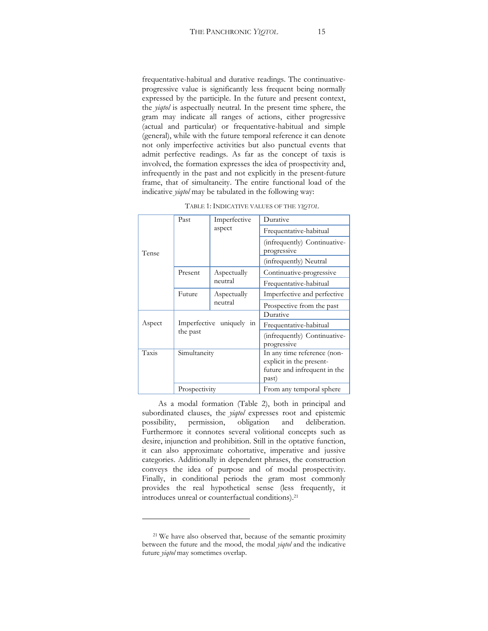frequentative-habitual and durative readings. The continuativeprogressive value is significantly less frequent being normally expressed by the participle. In the future and present context, the *yiqtol* is aspectually neutral. In the present time sphere, the gram may indicate all ranges of actions, either progressive (actual and particular) or frequentative-habitual and simple (general), while with the future temporal reference it can denote not only imperfective activities but also punctual events that admit perfective readings. As far as the concept of taxis is involved, the formation expresses the idea of prospectivity and, infrequently in the past and not explicitly in the present-future frame, that of simultaneity. The entire functional load of the indicative *yiqtol* may be tabulated in the following way:

| Tense  | Past          | Imperfective<br>aspect   | Durative                                                                                         |
|--------|---------------|--------------------------|--------------------------------------------------------------------------------------------------|
|        |               |                          | Frequentative-habitual                                                                           |
|        |               |                          | (infrequently) Continuative-<br>progressive                                                      |
|        |               |                          | (infrequently) Neutral                                                                           |
|        | Present       | Aspectually<br>neutral   | Continuative-progressive                                                                         |
|        |               |                          | Frequentative-habitual                                                                           |
|        | Future        | Aspectually<br>neutral   | Imperfective and perfective                                                                      |
|        |               |                          | Prospective from the past                                                                        |
|        |               |                          | Durative                                                                                         |
| Aspect |               | Imperfective uniquely in | Frequentative-habitual                                                                           |
|        | the past      |                          | (infrequently) Continuative-<br>progressive                                                      |
| Taxis  | Simultaneity  |                          | In any time reference (non-<br>explicit in the present-<br>future and infrequent in the<br>past) |
|        | Prospectivity |                          | From any temporal sphere                                                                         |

TABLE 1: INDICATIVE VALUES OF THE *YIQTOL*

As a modal formation (Table 2), both in principal and subordinated clauses, the *yiqtol* expresses root and epistemic possibility, permission, obligation and deliberation. Furthermore it connotes several volitional concepts such as desire, injunction and prohibition. Still in the optative function, it can also approximate cohortative, imperative and jussive categories. Additionally in dependent phrases, the construction conveys the idea of purpose and of modal prospectivity. Finally, in conditional periods the gram most commonly provides the real hypothetical sense (less frequently, it introduces unreal or counterfactual conditions).21

<sup>&</sup>lt;sup>21</sup> We have also observed that, because of the semantic proximity between the future and the mood, the modal *yiqtol* and the indicative future *yiqtol* may sometimes overlap.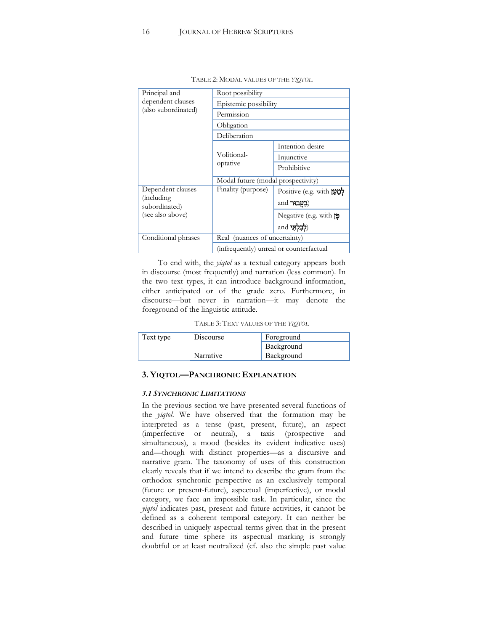| Principal and                       | Root possibility                        |                                |  |  |
|-------------------------------------|-----------------------------------------|--------------------------------|--|--|
| dependent clauses                   | Epistemic possibility                   |                                |  |  |
| (also subordinated)                 | Permission                              |                                |  |  |
|                                     | Obligation                              |                                |  |  |
|                                     | Deliberation                            |                                |  |  |
|                                     |                                         | Intention-desire               |  |  |
|                                     | Volitional-<br>optative                 | Injunctive                     |  |  |
|                                     |                                         | Prohibitive                    |  |  |
|                                     | Modal future (modal prospectivity)      |                                |  |  |
| Dependent clauses                   | Finality (purpose)                      | Positive (e.g. with לְמַעַן    |  |  |
| <i>(including)</i><br>subordinated) |                                         | ( <b>בעבור</b> and             |  |  |
| (see also above)                    |                                         | Negative (e.g. with $\uparrow$ |  |  |
|                                     |                                         | ( <b>לִבְלְתִי</b> and         |  |  |
| Conditional phrases                 | Real (nuances of uncertainty)           |                                |  |  |
|                                     | (infrequently) unreal or counterfactual |                                |  |  |

TABLE 2: MODAL VALUES OF THE *YIQTOL*

To end with, the *yiqtol* as a textual category appears both in discourse (most frequently) and narration (less common). In the two text types, it can introduce background information, either anticipated or of the grade zero. Furthermore, in discourse—but never in narration—it may denote the foreground of the linguistic attitude.

| TABLE 3: TEXT VALUES OF THE YIQTOL |  |  |
|------------------------------------|--|--|
|------------------------------------|--|--|

| Text type | Discourse | Foreground |
|-----------|-----------|------------|
|           |           | Background |
|           | Narrative | Background |

### **3. YIQTOL—PANCHRONIC EXPLANATION**

### *3.1 SYNCHRONIC LIMITATIONS*

In the previous section we have presented several functions of the *yiqtol*. We have observed that the formation may be interpreted as a tense (past, present, future), an aspect (imperfective or neutral), a taxis (prospective and simultaneous), a mood (besides its evident indicative uses) and—though with distinct properties—as a discursive and narrative gram. The taxonomy of uses of this construction clearly reveals that if we intend to describe the gram from the orthodox synchronic perspective as an exclusively temporal (future or present-future), aspectual (imperfective), or modal category, we face an impossible task. In particular, since the *yiqtol* indicates past, present and future activities, it cannot be defined as a coherent temporal category. It can neither be described in uniquely aspectual terms given that in the present and future time sphere its aspectual marking is strongly doubtful or at least neutralized (cf. also the simple past value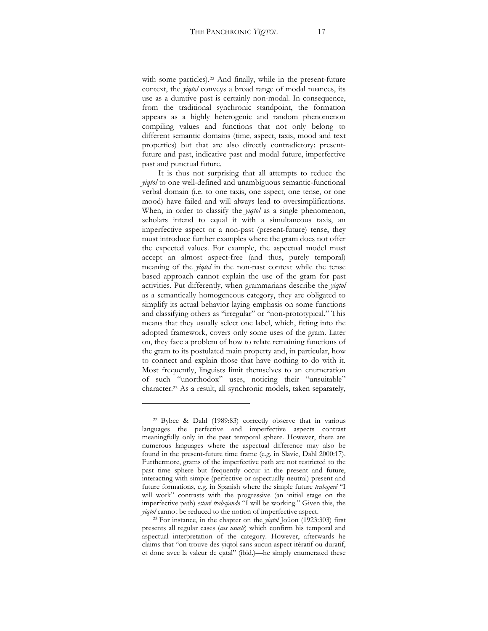with some particles).22 And finally, while in the present-future context, the *yiqtol* conveys a broad range of modal nuances, its use as a durative past is certainly non-modal. In consequence, from the traditional synchronic standpoint, the formation appears as a highly heterogenic and random phenomenon compiling values and functions that not only belong to different semantic domains (time, aspect, taxis, mood and text properties) but that are also directly contradictory: presentfuture and past, indicative past and modal future, imperfective past and punctual future.

It is thus not surprising that all attempts to reduce the *yiqtol* to one well-defined and unambiguous semantic-functional verbal domain (i.e. to one taxis, one aspect, one tense, or one mood) have failed and will always lead to oversimplifications. When, in order to classify the *yiqtol* as a single phenomenon, scholars intend to equal it with a simultaneous taxis, an imperfective aspect or a non-past (present-future) tense, they must introduce further examples where the gram does not offer the expected values. For example, the aspectual model must accept an almost aspect-free (and thus, purely temporal) meaning of the *yiqtol* in the non-past context while the tense based approach cannot explain the use of the gram for past activities. Put differently, when grammarians describe the *yiqtol*  as a semantically homogeneous category, they are obligated to simplify its actual behavior laying emphasis on some functions and classifying others as "irregular" or "non-prototypical." This means that they usually select one label, which, fitting into the adopted framework, covers only some uses of the gram. Later on, they face a problem of how to relate remaining functions of the gram to its postulated main property and, in particular, how to connect and explain those that have nothing to do with it. Most frequently, linguists limit themselves to an enumeration of such "unorthodox" uses, noticing their "unsuitable" character.23 As a result, all synchronic models, taken separately,

<sup>22</sup> Bybee & Dahl (1989:83) correctly observe that in various languages the perfective and imperfective aspects contrast meaningfully only in the past temporal sphere. However, there are numerous languages where the aspectual difference may also be found in the present-future time frame (e.g. in Slavic, Dahl 2000:17). Furthermore, grams of the imperfective path are not restricted to the past time sphere but frequently occur in the present and future, interacting with simple (perfective or aspectually neutral) present and future formations, e.g. in Spanish where the simple future *trabajaré* "I will work" contrasts with the progressive (an initial stage on the imperfective path) *estaré trabajando* "I will be working." Given this, the *yiqtol* cannot be reduced to the notion of imperfective aspect.

<sup>&</sup>lt;sup>23</sup> For instance, in the chapter on the *yiqtol* Joüon (1923:303) first presents all regular cases (*cas usuels*) which confirm his temporal and aspectual interpretation of the category. However, afterwards he claims that "on trouve des yiqtol sans aucun aspect itératif ou duratif, et donc avec la valeur de qatal" (ibid.)—he simply enumerated these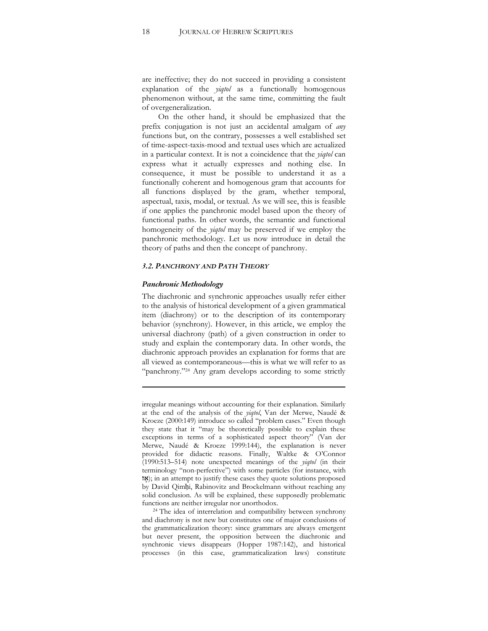are ineffective; they do not succeed in providing a consistent explanation of the *yiqtol* as a functionally homogenous phenomenon without, at the same time, committing the fault of overgeneralization.

On the other hand, it should be emphasized that the prefix conjugation is not just an accidental amalgam of *any* functions but, on the contrary, possesses a well established set of time-aspect-taxis-mood and textual uses which are actualized in a particular context. It is not a coincidence that the *yiqtol* can express what it actually expresses and nothing else. In consequence, it must be possible to understand it as a functionally coherent and homogenous gram that accounts for all functions displayed by the gram, whether temporal, aspectual, taxis, modal, or textual. As we will see, this is feasible if one applies the panchronic model based upon the theory of functional paths. In other words, the semantic and functional homogeneity of the *yiqtol* may be preserved if we employ the panchronic methodology. Let us now introduce in detail the theory of paths and then the concept of panchrony.

#### *3.2. PANCHRONY AND PATH THEORY*

#### *Panchronic Methodology*

The diachronic and synchronic approaches usually refer either to the analysis of historical development of a given grammatical item (diachrony) or to the description of its contemporary behavior (synchrony). However, in this article, we employ the universal diachrony (path) of a given construction in order to study and explain the contemporary data. In other words, the diachronic approach provides an explanation for forms that are all viewed as contemporaneous—this is what we will refer to as "panchrony."<sup>24</sup> Any gram develops according to some strictly

<u> 1989 - Johann Stein, marwolaethau a bhann an t-Amhain Aonaichte ann an t-Amhain Aonaichte ann an t-Amhain Aon</u>

irregular meanings without accounting for their explanation. Similarly at the end of the analysis of the *yiqtol*, Van der Merwe, Naudé & Kroeze (2000:149) introduce so called "problem cases." Even though they state that it "may be theoretically possible to explain these exceptions in terms of a sophisticated aspect theory" (Van der Merwe, Naudé & Kroeze 1999:144), the explanation is never provided for didactic reasons. Finally, Waltke & O'Connor (1990:513-514) note unexpected meanings of the *yiqtol* (in their terminology "non-perfective") with some particles (for instance, with \$); in an attempt to justify these cases they quote solutions proposed by David Qimhi, Rabinovitz and Brockelmann without reaching any solid conclusion. As will be explained, these supposedly problematic functions are neither irregular nor unorthodox. 24 The idea of interrelation and compatibility between synchrony

and diachrony is not new but constitutes one of major conclusions of the grammaticalization theory: since grammars are always emergent but never present, the opposition between the diachronic and synchronic views disappears (Hopper 1987:142), and historical processes (in this case, grammaticalization laws) constitute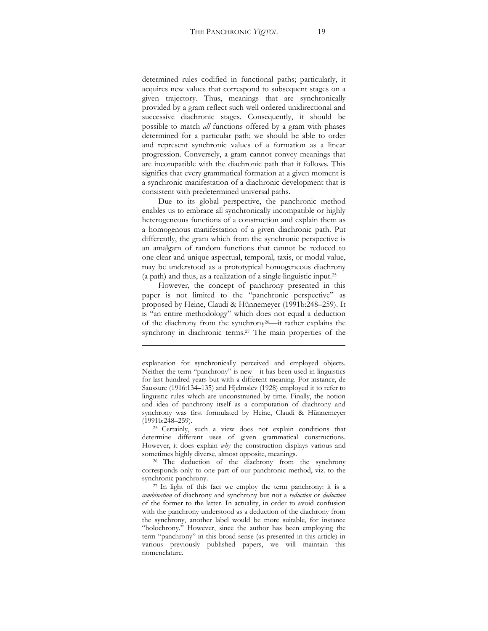determined rules codified in functional paths; particularly, it acquires new values that correspond to subsequent stages on a given trajectory. Thus, meanings that are synchronically provided by a gram reflect such well ordered unidirectional and successive diachronic stages. Consequently, it should be possible to match *all* functions offered by a gram with phases determined for a particular path; we should be able to order and represent synchronic values of a formation as a linear progression. Conversely, a gram cannot convey meanings that are incompatible with the diachronic path that it follows. This signifies that every grammatical formation at a given moment is a synchronic manifestation of a diachronic development that is consistent with predetermined universal paths.

Due to its global perspective, the panchronic method enables us to embrace all synchronically incompatible or highly heterogeneous functions of a construction and explain them as a homogenous manifestation of a given diachronic path. Put differently, the gram which from the synchronic perspective is an amalgam of random functions that cannot be reduced to one clear and unique aspectual, temporal, taxis, or modal value, may be understood as a prototypical homogeneous diachrony (a path) and thus, as a realization of a single linguistic input.25

However, the concept of panchrony presented in this paper is not limited to the "panchronic perspective" as proposed by Heine, Claudi & Hünnemeyer (1991b:248–259). It is "an entire methodology" which does not equal a deduction of the diachrony from the synchrony<sup>26</sup>—it rather explains the synchrony in diachronic terms.27 The main properties of the

<u> 1989 - Johann Stein, marwolaethau a bhann an t-Amhain Aonaichte ann an t-Amhain Aonaichte ann an t-Amhain Aon</u>

corresponds only to one part of our panchronic method, viz. to the synchronic panchrony.<br><sup>27</sup> In light of this fact we employ the term panchrony: it is a

explanation for synchronically perceived and employed objects. Neither the term "panchrony" is new—it has been used in linguistics for last hundred years but with a different meaning. For instance, de Saussure (1916:134-135) and Hjelmslev (1928) employed it to refer to linguistic rules which are unconstrained by time. Finally, the notion and idea of panchrony itself as a computation of diachrony and synchrony was first formulated by Heine, Claudi & Hünnemeyer

<sup>(1991</sup>b:248–259).  $^{25}$  Certainly, such a view does not explain conditions that determine different uses of given grammatical constructions. However, it does explain *why* the construction displays various and sometimes highly diverse, almost opposite, meanings.<br><sup>26</sup> The deduction of the diachrony from the synchrony

*combination* of diachrony and synchrony but not a *reduction* or *deduction* of the former to the latter. In actuality, in order to avoid confusion with the panchrony understood as a deduction of the diachrony from the synchrony, another label would be more suitable, for instance "holochrony." However, since the author has been employing the term "panchrony" in this broad sense (as presented in this article) in various previously published papers, we will maintain this nomenclature.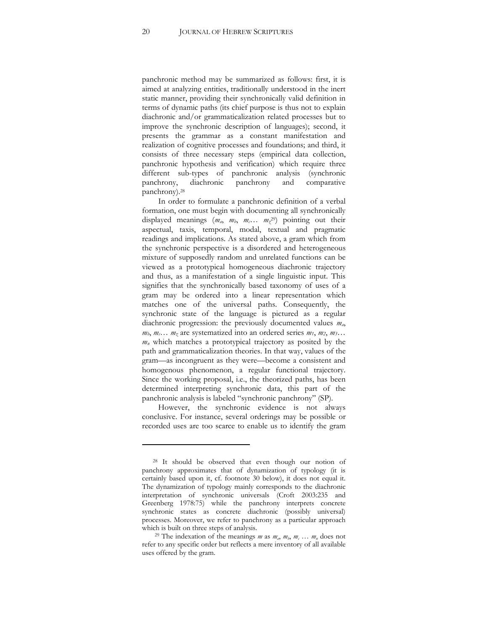panchronic method may be summarized as follows: first, it is aimed at analyzing entities, traditionally understood in the inert static manner, providing their synchronically valid definition in terms of dynamic paths (its chief purpose is thus not to explain diachronic and/or grammaticalization related processes but to improve the synchronic description of languages); second, it presents the grammar as a constant manifestation and realization of cognitive processes and foundations; and third, it consists of three necessary steps (empirical data collection, panchronic hypothesis and verification) which require three different sub-types of panchronic analysis (synchronic panchrony, diachronic panchrony and comparative panchrony).28

In order to formulate a panchronic definition of a verbal formation, one must begin with documenting all synchronically displayed meanings  $(m_a, m_b, m_c, m_z^{29})$  pointing out their aspectual, taxis, temporal, modal, textual and pragmatic readings and implications. As stated above, a gram which from the synchronic perspective is a disordered and heterogeneous mixture of supposedly random and unrelated functions can be viewed as a prototypical homogeneous diachronic trajectory and thus, as a manifestation of a single linguistic input. This signifies that the synchronically based taxonomy of uses of a gram may be ordered into a linear representation which matches one of the universal paths. Consequently, the synchronic state of the language is pictured as a regular diachronic progression: the previously documented values *ma*,  $m_b$ ,  $m_c$ ...  $m_z$  are systematized into an ordered series  $m_1$ ,  $m_2$ ,  $m_3$ ... *mn* which matches a prototypical trajectory as posited by the path and grammaticalization theories. In that way, values of the gram—as incongruent as they were—become a consistent and homogenous phenomenon, a regular functional trajectory. Since the working proposal, i.e., the theorized paths, has been determined interpreting synchronic data, this part of the panchronic analysis is labeled "synchronic panchrony" (SP).

However, the synchronic evidence is not always conclusive. For instance, several orderings may be possible or recorded uses are too scarce to enable us to identify the gram

<sup>28</sup> It should be observed that even though our notion of panchrony approximates that of dynamization of typology (it is certainly based upon it, cf. footnote 30 below), it does not equal it. The dynamization of typology mainly corresponds to the diachronic interpretation of synchronic universals (Croft 2003:235 and Greenberg 1978:75) while the panchrony interprets concrete synchronic states as concrete diachronic (possibly universal) processes. Moreover, we refer to panchrony as a particular approach

which is built on three steps of analysis.<br><sup>29</sup> The indexation of the meanings *m* as  $m_a$ ,  $m_b$ ,  $m_c$ ...  $m_n$  does not refer to any specific order but reflects a mere inventory of all available uses offered by the gram.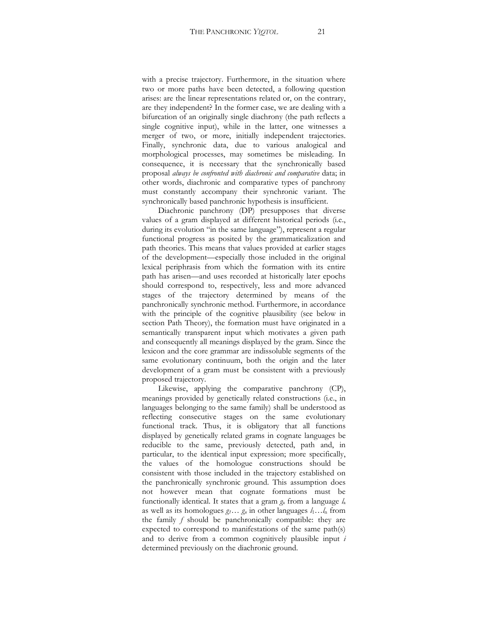with a precise trajectory. Furthermore, in the situation where two or more paths have been detected, a following question arises: are the linear representations related or, on the contrary, are they independent? In the former case, we are dealing with a bifurcation of an originally single diachrony (the path reflects a single cognitive input), while in the latter, one witnesses a merger of two, or more, initially independent trajectories. Finally, synchronic data, due to various analogical and morphological processes, may sometimes be misleading. In consequence, it is necessary that the synchronically based proposal *always be confronted with diachronic and comparative* data; in other words, diachronic and comparative types of panchrony must constantly accompany their synchronic variant. The synchronically based panchronic hypothesis is insufficient.

Diachronic panchrony (DP) presupposes that diverse values of a gram displayed at different historical periods (i.e., during its evolution "in the same language"), represent a regular functional progress as posited by the grammaticalization and path theories. This means that values provided at earlier stages of the development—especially those included in the original lexical periphrasis from which the formation with its entire path has arisen—and uses recorded at historically later epochs should correspond to, respectively, less and more advanced stages of the trajectory determined by means of the panchronically synchronic method. Furthermore, in accordance with the principle of the cognitive plausibility (see below in section Path Theory), the formation must have originated in a semantically transparent input which motivates a given path and consequently all meanings displayed by the gram. Since the lexicon and the core grammar are indissoluble segments of the same evolutionary continuum, both the origin and the later development of a gram must be consistent with a previously proposed trajectory.

Likewise, applying the comparative panchrony (CP), meanings provided by genetically related constructions (i.e., in languages belonging to the same family) shall be understood as reflecting consecutive stages on the same evolutionary functional track. Thus, it is obligatory that all functions displayed by genetically related grams in cognate languages be reducible to the same, previously detected, path and, in particular, to the identical input expression; more specifically, the values of the homologue constructions should be consistent with those included in the trajectory established on the panchronically synchronic ground. This assumption does not however mean that cognate formations must be functionally identical. It states that a gram *g*a from a language *l*<sup>a</sup> as well as its homologues  $g_1 \ldots g_n$  in other languages  $l_1 \ldots l_n$  from the family *f* should be panchronically compatible: they are expected to correspond to manifestations of the same path(s) and to derive from a common cognitively plausible input *i* determined previously on the diachronic ground.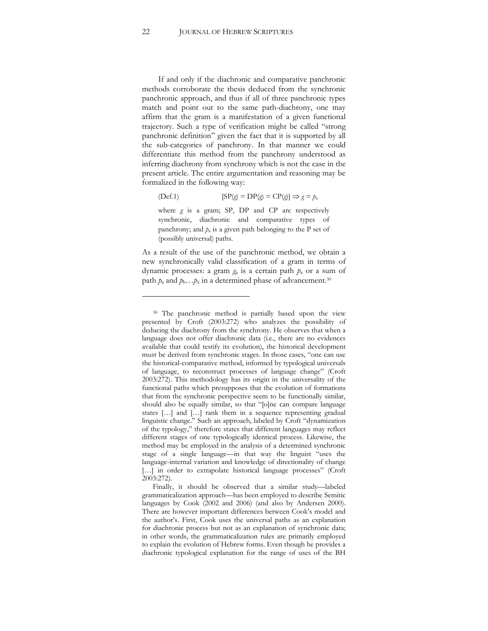If and only if the diachronic and comparative panchronic methods corroborate the thesis deduced from the synchronic panchronic approach, and thus if all of three panchronic types match and point out to the same path-diachrony, one may affirm that the gram is a manifestation of a given functional trajectory. Such a type of verification might be called "strong panchronic definition" given the fact that it is supported by all the sub-categories of panchrony. In that manner we could differentiate this method from the panchrony understood as inferring diachrony from synchrony which is not the case in the present article. The entire argumentation and reasoning may be formalized in the following way:

$$
(Def.1) \t\t\t [SP(g) = DP(g) = CP(g)] \Rightarrow g = p_a
$$

where *g* is a gram; SP, DP and CP are respectively synchronic, diachronic and comparative types of panchrony; and *p*a is a given path belonging to the P set of (possibly universal) paths.

As a result of the use of the panchronic method, we obtain a new synchronically valid classification of a gram in terms of dynamic processes: a gram *g*a is a certain path *p*a or a sum of path  $p_a$  and  $p_b \dots p_x$  in a determined phase of advancement.<sup>30</sup>

<sup>30</sup> The panchronic method is partially based upon the view presented by Croft (2003:272) who analyzes the possibility of deducing the diachrony from the synchrony. He observes that when a language does not offer diachronic data (i.e., there are no evidences available that could testify its evolution), the historical development must be derived from synchronic stages. In those cases, "one can use the historical-comparative method, informed by typological universals of language, to reconstruct processes of language change" (Croft 2003:272). This methodology has its origin in the universality of the functional paths which presupposes that the evolution of formations that from the synchronic perspective seem to be functionally similar, should also be equally similar, so that "[o]ne can compare language states  $[\dots]$  and  $[\dots]$  rank them in a sequence representing gradual linguistic change." Such an approach, labeled by Croft "dynamization of the typology," therefore states that different languages may reflect different stages of one typologically identical process. Likewise, the method may be employed in the analysis of a determined synchronic stage of a single language—in that way the linguist "uses the language-internal variation and knowledge of directionality of change [...] in order to extrapolate historical language processes" (Croft 2003:272).

Finally, it should be observed that a similar study-labeled grammaticalization approach—has been employed to describe Semitic languages by Cook (2002 and 2006) (and also by Andersen 2000). There are however important differences between Cook's model and the author's. First, Cook uses the universal paths as an explanation for diachronic process but not as an explanation of synchronic data; in other words, the grammaticalization rules are primarily employed to explain the evolution of Hebrew forms. Even though he provides a diachronic typological explanation for the range of uses of the BH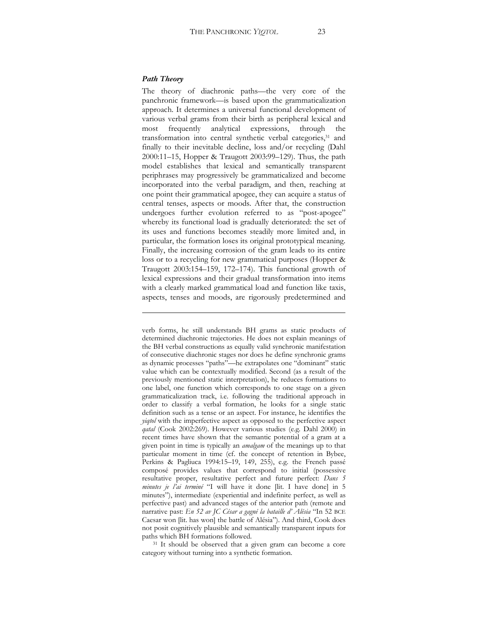#### *Path Theory*

The theory of diachronic paths-the very core of the panchronic framework-is based upon the grammaticalization approach. It determines a universal functional development of various verbal grams from their birth as peripheral lexical and most frequently analytical expressions, through the transformation into central synthetic verbal categories,<sup>31</sup> and finally to their inevitable decline, loss and/or recycling (Dahl 2000:11-15, Hopper & Traugott 2003:99-129). Thus, the path model establishes that lexical and semantically transparent periphrases may progressively be grammaticalized and become incorporated into the verbal paradigm, and then, reaching at one point their grammatical apogee, they can acquire a status of central tenses, aspects or moods. After that, the construction undergoes further evolution referred to as "post-apogee" whereby its functional load is gradually deteriorated: the set of its uses and functions becomes steadily more limited and, in particular, the formation loses its original prototypical meaning. Finally, the increasing corrosion of the gram leads to its entire loss or to a recycling for new grammatical purposes (Hopper & Traugott  $2003:154-159$ , 172-174). This functional growth of lexical expressions and their gradual transformation into items with a clearly marked grammatical load and function like taxis, aspects, tenses and moods, are rigorously predetermined and

verb forms, he still understands BH grams as static products of determined diachronic trajectories. He does not explain meanings of the BH verbal constructions as equally valid synchronic manifestation of consecutive diachronic stages nor does he define synchronic grams as dynamic processes "paths"—he extrapolates one "dominant" static value which can be contextually modified. Second (as a result of the previously mentioned static interpretation), he reduces formations to one label, one function which corresponds to one stage on a given grammaticalization track, i.e. following the traditional approach in order to classify a verbal formation, he looks for a single static definition such as a tense or an aspect. For instance, he identifies the *yiqtol* with the imperfective aspect as opposed to the perfective aspect *qatal* (Cook 2002:269). However various studies (e.g. Dahl 2000) in recent times have shown that the semantic potential of a gram at a given point in time is typically an *amalgam* of the meanings up to that particular moment in time (cf. the concept of retention in Bybee, Perkins & Pagliuca 1994:15-19, 149, 255), e.g. the French passé composé provides values that correspond to initial (possessive resultative proper, resultative perfect and future perfect: *Dans 5 minutes je l'ai terminé* "I will have it done [lit. I have done] in 5 minutes"), intermediate (experiential and indefinite perfect, as well as perfective past) and advanced stages of the anterior path (remote and narrative past: *En 52 av JC César a gagné la bataille d'Alésia* "In 52 BCE Caesar won [lit. has won] the battle of Alésia"). And third, Cook does not posit cognitively plausible and semantically transparent inputs for paths which BH formations followed. 31 It should be observed that a given gram can become a core

category without turning into a synthetic formation.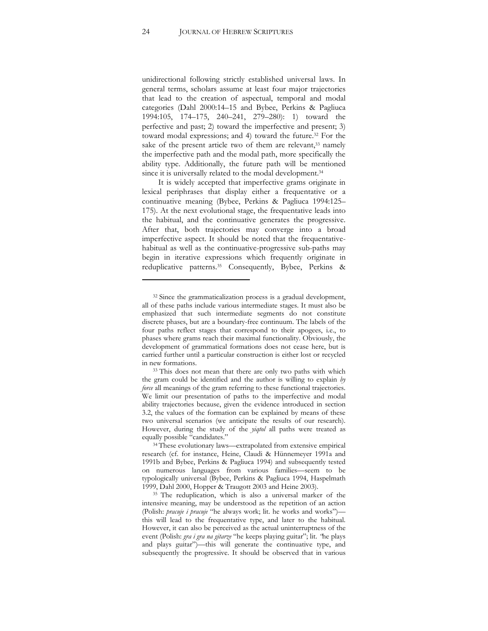unidirectional following strictly established universal laws. In general terms, scholars assume at least four major trajectories that lead to the creation of aspectual, temporal and modal categories (Dahl 2000:14-15 and Bybee, Perkins & Pagliuca 1994:105, 174-175, 240-241, 279-280): 1) toward the perfective and past; 2) toward the imperfective and present; 3) toward modal expressions; and 4) toward the future.32 For the sake of the present article two of them are relevant,<sup>33</sup> namely the imperfective path and the modal path, more specifically the ability type. Additionally, the future path will be mentioned since it is universally related to the modal development.<sup>34</sup>

It is widely accepted that imperfective grams originate in lexical periphrases that display either a frequentative or a continuative meaning (Bybee, Perkins & Pagliuca 1994:125-175). At the next evolutional stage, the frequentative leads into the habitual, and the continuative generates the progressive. After that, both trajectories may converge into a broad imperfective aspect. It should be noted that the frequentativehabitual as well as the continuative-progressive sub-paths may begin in iterative expressions which frequently originate in reduplicative patterns.35 Consequently, Bybee, Perkins &

<sup>32</sup> Since the grammaticalization process is a gradual development, all of these paths include various intermediate stages. It must also be emphasized that such intermediate segments do not constitute discrete phases, but are a boundary-free continuum. The labels of the four paths reflect stages that correspond to their apogees, i.e., to phases where grams reach their maximal functionality. Obviously, the development of grammatical formations does not cease here, but is carried further until a particular construction is either lost or recycled

in new formations.<br><sup>33</sup> This does not mean that there are only two paths with which the gram could be identified and the author is willing to explain *by force* all meanings of the gram referring to these functional trajectories. We limit our presentation of paths to the imperfective and modal ability trajectories because, given the evidence introduced in section 3.2, the values of the formation can be explained by means of these two universal scenarios (we anticipate the results of our research). However, during the study of the *yiqtol* all paths were treated as equally possible "candidates."<br><sup>34</sup> These evolutionary laws—extrapolated from extensive empirical

research (cf. for instance, Heine, Claudi & Hünnemeyer 1991a and 1991b and Bybee, Perkins & Pagliuca 1994) and subsequently tested on numerous languages from various families—seem to be typologically universal (Bybee, Perkins & Pagliuca 1994, Haspelmath

<sup>1999,</sup> Dahl 2000, Hopper & Traugott 2003 and Heine 2003). 35 The reduplication, which is also a universal marker of the intensive meaning, may be understood as the repetition of an action (Polish: *pracuje i pracuje* "he always work; lit. he works and works")this will lead to the frequentative type, and later to the habitual. However, it can also be perceived as the actual uninterruptness of the event (Polish: *gra i gra na gitarze* "he keeps playing guitar"; lit. "he plays and plays guitar")—this will generate the continuative type, and subsequently the progressive. It should be observed that in various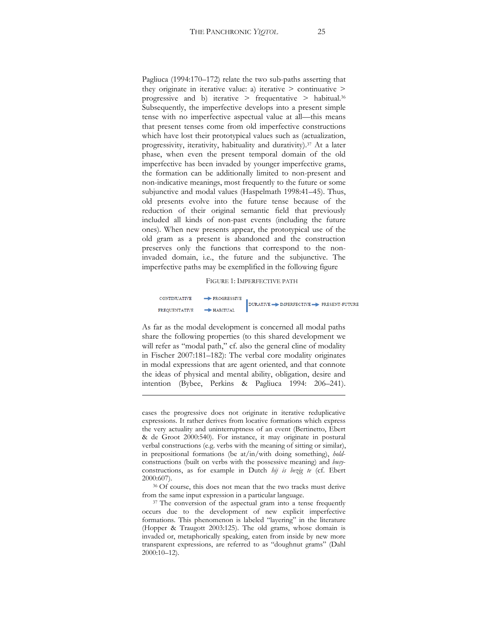Pagliuca  $(1994:170-172)$  relate the two sub-paths asserting that they originate in iterative value: a) iterative > continuative > progressive and b) iterative  $>$  frequentative  $>$  habitual.<sup>36</sup> Subsequently, the imperfective develops into a present simple tense with no imperfective aspectual value at all—this means that present tenses come from old imperfective constructions which have lost their prototypical values such as (actualization, progressivity, iterativity, habituality and durativity).37 At a later phase, when even the present temporal domain of the old imperfective has been invaded by younger imperfective grams, the formation can be additionally limited to non-present and non-indicative meanings, most frequently to the future or some subjunctive and modal values (Haspelmath 1998:41-45). Thus, old presents evolve into the future tense because of the reduction of their original semantic field that previously included all kinds of non-past events (including the future ones). When new presents appear, the prototypical use of the old gram as a present is abandoned and the construction preserves only the functions that correspond to the noninvaded domain, i.e., the future and the subjunctive. The imperfective paths may be exemplified in the following figure

#### FIGURE 1: IMPERFECTIVE PATH

CONTINUATIVE  $\rightarrow$  PROGRESSIVE DURATIVE A IMPERFECTIVE PRESENT-FUTURE  $HARTUAI$ **FREQUENTATIVE** 

As far as the modal development is concerned all modal paths share the following properties (to this shared development we will refer as "modal path," cf. also the general cline of modality in Fischer 2007:181-182): The verbal core modality originates in modal expressions that are agent oriented, and that connote the ideas of physical and mental ability, obligation, desire and intention (Bybee, Perkins & Pagliuca 1994: 206-241).

cases the progressive does not originate in iterative reduplicative expressions. It rather derives from locative formations which express the very actuality and uninterruptness of an event (Bertinetto, Ebert & de Groot 2000:540). For instance, it may originate in postural verbal constructions (e.g. verbs with the meaning of sitting or similar), in prepositional formations (be at/in/with doing something), *hold*constructions (built on verbs with the possessive meaning) and *busy*constructions, as for example in Dutch *hij is bezig te* (cf. Ebert

<sup>2000:607). 36</sup> Of course, this does not mean that the two tracks must derive from the same input expression in a particular language. 37 The conversion of the aspectual gram into a tense frequently

occurs due to the development of new explicit imperfective formations. This phenomenon is labeled "layering" in the literature (Hopper & Traugott 2003:125). The old grams, whose domain is invaded or, metaphorically speaking, eaten from inside by new more transparent expressions, are referred to as "doughnut grams" (Dahl  $2000:10-12$ .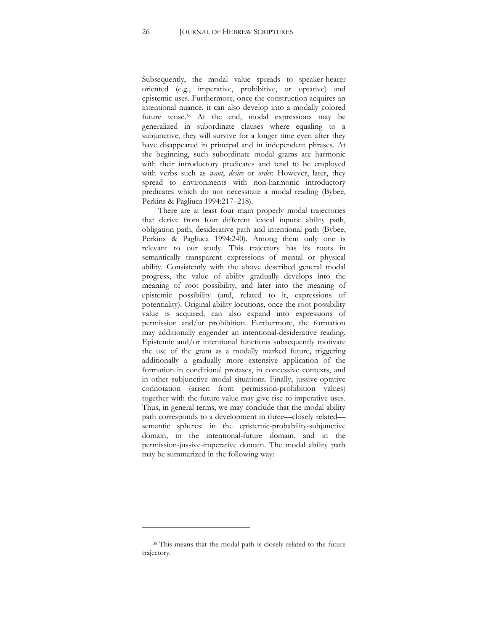Subsequently, the modal value spreads to speaker-hearer oriented (e.g., imperative, prohibitive, or optative) and epistemic uses. Furthermore, once the construction acquires an intentional nuance, it can also develop into a modally colored future tense.38 At the end, modal expressions may be generalized in subordinate clauses where equaling to a subjunctive, they will survive for a longer time even after they have disappeared in principal and in independent phrases. At the beginning, such subordinate modal grams are harmonic with their introductory predicates and tend to be employed with verbs such as *want*, *desire* or *order*. However, later, they spread to environments with non-harmonic introductory predicates which do not necessitate a modal reading (Bybee, Perkins & Pagliuca 1994:217-218).

There are at least four main properly modal trajectories that derive from four different lexical inputs: ability path, obligation path, desiderative path and intentional path (Bybee, Perkins & Pagliuca 1994:240). Among them only one is relevant to our study. This trajectory has its roots in semantically transparent expressions of mental or physical ability. Consistently with the above described general modal progress, the value of ability gradually develops into the meaning of root possibility, and later into the meaning of epistemic possibility (and, related to it, expressions of potentiality). Original ability locutions, once the root possibility value is acquired, can also expand into expressions of permission and/or prohibition. Furthermore, the formation may additionally engender an intentional-desiderative reading. Epistemic and/or intentional functions subsequently motivate the use of the gram as a modally marked future, triggering additionally a gradually more extensive application of the formation in conditional protases, in concessive contexts, and in other subjunctive modal situations. Finally, jussive-optative connotation (arisen from permission-prohibition values) together with the future value may give rise to imperative uses. Thus, in general terms, we may conclude that the modal ability path corresponds to a development in three—closely related semantic spheres: in the epistemic-probability-subjunctive domain, in the intentional-future domain, and in the permission-jussive-imperative domain. The modal ability path may be summarized in the following way:

<sup>38</sup> This means that the modal path is closely related to the future trajectory.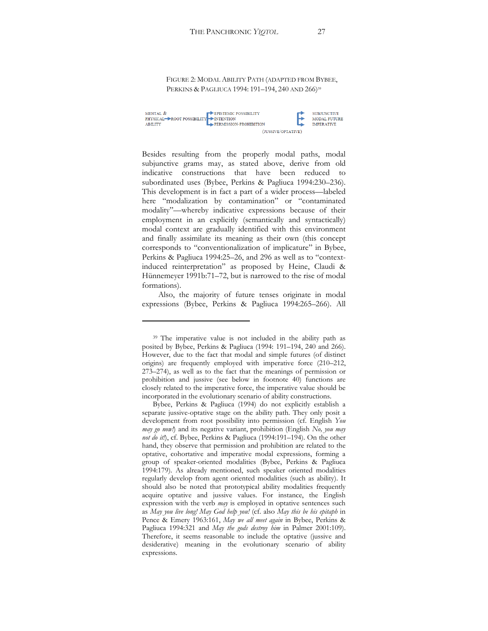FIGURE 2: MODAL ABILITY PATH (ADAPTED FROM BYBEE, PERKINS & PAGLIUCA 1994: 191-194, 240 AND 266)<sup>39</sup>

| MENTAL &<br>PHYSICAL ROOT POSSIBILITY NITENTION<br><b>ABILITY</b> | EPISTEMIC POSSIBILITY<br>PERMISSION-PROHIBITION |  | <b>SUBJUNCTIVE</b><br><b>MODAL FUTURE</b><br><b>IMPERATIVE</b> |
|-------------------------------------------------------------------|-------------------------------------------------|--|----------------------------------------------------------------|
|                                                                   | (JUSSIVE/OPTATIVE)                              |  |                                                                |

Besides resulting from the properly modal paths, modal subjunctive grams may, as stated above, derive from old indicative constructions that have been reduced to subordinated uses (Bybee, Perkins & Pagliuca 1994:230-236). This development is in fact a part of a wider process—labeled here "modalization by contamination" or "contaminated modality"-whereby indicative expressions because of their employment in an explicitly (semantically and syntactically) modal context are gradually identified with this environment and finally assimilate its meaning as their own (this concept corresponds to "conventionalization of implicature" in Bybee, Perkins & Pagliuca 1994:25-26, and 296 as well as to "contextinduced reinterpretation" as proposed by Heine, Claudi & Hünnemeyer 1991b:71-72, but is narrowed to the rise of modal formations).

Also, the majority of future tenses originate in modal expressions (Bybee, Perkins & Pagliuca 1994:265-266). All

<sup>39</sup> The imperative value is not included in the ability path as posited by Bybee, Perkins & Pagliuca (1994: 191-194, 240 and 266). However, due to the fact that modal and simple futures (of distinct origins) are frequently employed with imperative force (210-212,  $273-274$ ), as well as to the fact that the meanings of permission or prohibition and jussive (see below in footnote 40) functions are closely related to the imperative force, the imperative value should be incorporated in the evolutionary scenario of ability constructions.

Bybee, Perkins & Pagliuca (1994) do not explicitly establish a separate jussive-optative stage on the ability path. They only posit a development from root possibility into permission (cf. English *You may go now!*) and its negative variant, prohibition (English *No, you may not do it!*), cf. Bybee, Perkins & Pagliuca (1994:191-194). On the other hand, they observe that permission and prohibition are related to the optative, cohortative and imperative modal expressions, forming a group of speaker-oriented modalities (Bybee, Perkins & Pagliuca 1994:179). As already mentioned, such speaker oriented modalities regularly develop from agent oriented modalities (such as ability). It should also be noted that prototypical ability modalities frequently acquire optative and jussive values. For instance, the English expression with the verb *may* is employed in optative sentences such as *May you live long! May God help you!* (cf. also *May this be his epitaph* in Pence & Emery 1963:161, *May we all meet again* in Bybee, Perkins & Pagliuca 1994:321 and *May the gods destroy him* in Palmer 2001:109). Therefore, it seems reasonable to include the optative (jussive and desiderative) meaning in the evolutionary scenario of ability expressions.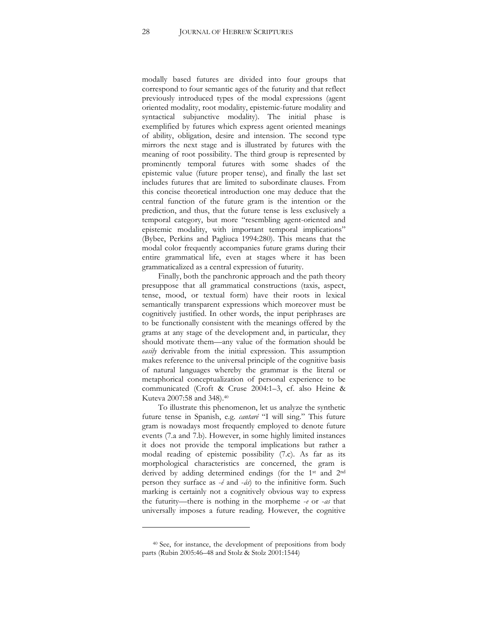modally based futures are divided into four groups that correspond to four semantic ages of the futurity and that reflect previously introduced types of the modal expressions (agent oriented modality, root modality, epistemic-future modality and syntactical subjunctive modality). The initial phase is exemplified by futures which express agent oriented meanings of ability, obligation, desire and intension. The second type mirrors the next stage and is illustrated by futures with the meaning of root possibility. The third group is represented by prominently temporal futures with some shades of the epistemic value (future proper tense), and finally the last set includes futures that are limited to subordinate clauses. From this concise theoretical introduction one may deduce that the central function of the future gram is the intention or the prediction, and thus, that the future tense is less exclusively a temporal category, but more "resembling agent-oriented and epistemic modality, with important temporal implications" (Bybee, Perkins and Pagliuca 1994:280). This means that the modal color frequently accompanies future grams during their entire grammatical life, even at stages where it has been grammaticalized as a central expression of futurity.

Finally, both the panchronic approach and the path theory presuppose that all grammatical constructions (taxis, aspect, tense, mood, or textual form) have their roots in lexical semantically transparent expressions which moreover must be cognitively justified. In other words, the input periphrases are to be functionally consistent with the meanings offered by the grams at any stage of the development and, in particular, they should motivate them—any value of the formation should be *easily* derivable from the initial expression. This assumption makes reference to the universal principle of the cognitive basis of natural languages whereby the grammar is the literal or metaphorical conceptualization of personal experience to be communicated (Croft & Cruse 2004:1-3, cf. also Heine & Kuteva 2007:58 and 348).40

To illustrate this phenomenon, let us analyze the synthetic future tense in Spanish, e.g. *cantaré* "I will sing." This future gram is nowadays most frequently employed to denote future events (7.a and 7.b). However, in some highly limited instances it does not provide the temporal implications but rather a modal reading of epistemic possibility (7.c). As far as its morphological characteristics are concerned, the gram is derived by adding determined endings (for the 1st and 2nd person they surface as -*é* and -*ás*) to the infinitive form. Such marking is certainly not a cognitively obvious way to express the futurity—there is nothing in the morpheme  $-e$  or  $-as$  that universally imposes a future reading. However, the cognitive

<sup>40</sup> See, for instance, the development of prepositions from body parts (Rubin 2005:46-48 and Stolz & Stolz 2001:1544)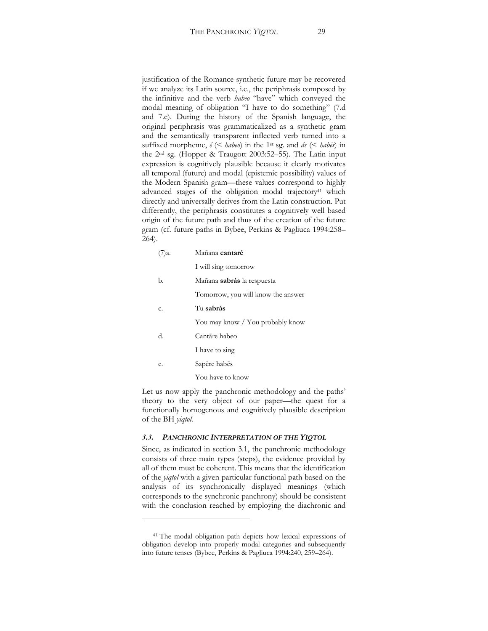justification of the Romance synthetic future may be recovered if we analyze its Latin source, i.e., the periphrasis composed by the infinitive and the verb *habeo* "have" which conveyed the modal meaning of obligation "I have to do something" (7.d and 7.e). During the history of the Spanish language, the original periphrasis was grammaticalized as a synthetic gram and the semantically transparent inflected verb turned into a suffixed morpheme,  $\acute{e}$  (< *habeo*) in the 1<sup>st</sup> sg. and  $\acute{a}s$  (< *hab* $\acute{e}s$ ) in the  $2<sup>nd</sup>$  sg. (Hopper & Traugott 2003:52-55). The Latin input expression is cognitively plausible because it clearly motivates all temporal (future) and modal (epistemic possibility) values of the Modern Spanish gram—these values correspond to highly advanced stages of the obligation modal trajectory<sup>41</sup> which directly and universally derives from the Latin construction. Put differently, the periphrasis constitutes a cognitively well based origin of the future path and thus of the creation of the future gram (cf. future paths in Bybee, Perkins & Pagliuca 1994:258-264).

| ')a. | Mañana cantaré                     |
|------|------------------------------------|
|      | I will sing tomorrow               |
| b.   | Mañana sabrás la respuesta         |
|      | Tomorrow, you will know the answer |
| C.   | Tu sabrás                          |
|      | You may know / You probably know   |
| d.   | Cantāre habeo                      |
|      | I have to sing                     |
| е.   | Sapēre habēs                       |
|      | You have to know                   |
|      |                                    |

Let us now apply the panchronic methodology and the paths' theory to the very object of our paper—the quest for a functionally homogenous and cognitively plausible description of the BH *yiqtol*.

#### *3.3. PANCHRONIC INTERPRETATION OF THE YIQTOL*

Since, as indicated in section 3.1, the panchronic methodology consists of three main types (steps), the evidence provided by all of them must be coherent. This means that the identification of the *yiqtol* with a given particular functional path based on the analysis of its synchronically displayed meanings (which corresponds to the synchronic panchrony) should be consistent with the conclusion reached by employing the diachronic and

<sup>41</sup> The modal obligation path depicts how lexical expressions of obligation develop into properly modal categories and subsequently into future tenses (Bybee, Perkins & Pagliuca 1994:240, 259-264).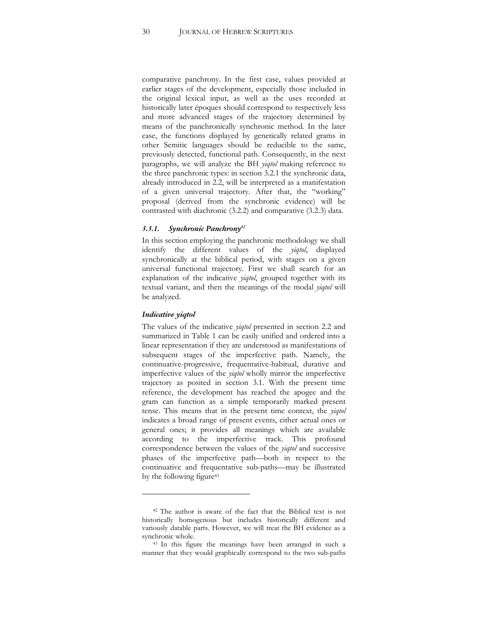comparative panchrony. In the first case, values provided at earlier stages of the development, especially those included in the original lexical input, as well as the uses recorded at historically later époques should correspond to respectively less and more advanced stages of the trajectory determined by means of the panchronically synchronic method. In the later case, the functions displayed by genetically related grams in other Semitic languages should be reducible to the same, previously detected, functional path. Consequently, in the next paragraphs, we will analyze the BH *yiqtol* making reference to the three panchronic types: in section 3.2.1 the synchronic data, already introduced in 2.2, will be interpreted as a manifestation of a given universal trajectory. After that, the "working" proposal (derived from the synchronic evidence) will be contrasted with diachronic (3.2.2) and comparative (3.2.3) data.

#### *3.3.1. Synchronic Panchrony42*

In this section employing the panchronic methodology we shall identify the different values of the *yiqtol*, displayed synchronically at the biblical period, with stages on a given universal functional trajectory. First we shall search for an explanation of the indicative *yiqtol*, grouped together with its textual variant, and then the meanings of the modal *yiqtol* will be analyzed.

#### *Indicative yiqtol*

The values of the indicative *yiqtol* presented in section 2.2 and summarized in Table 1 can be easily unified and ordered into a linear representation if they are understood as manifestations of subsequent stages of the imperfective path. Namely, the continuative-progressive, frequentative-habitual, durative and imperfective values of the *yiqtol* wholly mirror the imperfective trajectory as posited in section 3.1. With the present time reference, the development has reached the apogee and the gram can function as a simple temporarily marked present tense. This means that in the present time context, the *yiqtol* indicates a broad range of present events, either actual ones or general ones; it provides all meanings which are available according to the imperfective track. This profound correspondence between the values of the *yiqtol* and successive phases of the imperfective path—both in respect to the continuative and frequentative sub-paths—may be illustrated by the following figure<sup>43</sup>

<sup>42</sup> The author is aware of the fact that the Biblical text is not historically homogenous but includes historically different and variously datable parts. However, we will treat the BH evidence as a synchronic whole.<br><sup>43</sup> In this figure the meanings have been arranged in such a

manner that they would graphically correspond to the two sub-paths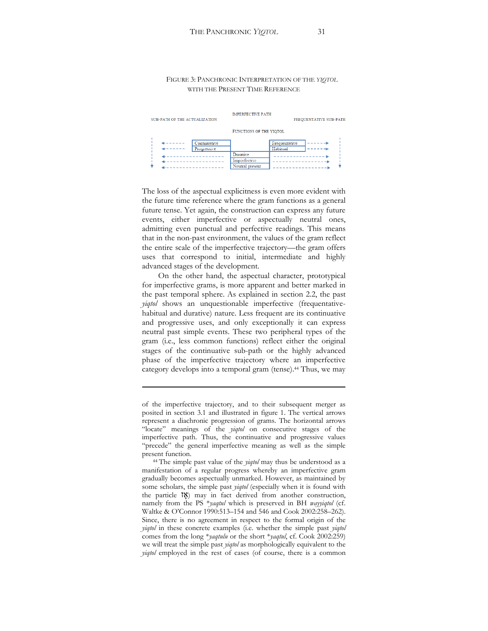### FIGURE 3: PANCHRONIC INTERPRETATION OF THE *YIQTOL* WITH THE PRESENT TIME REFERENCE

| SUB-PATH OF THE ACTUALIZATION |            |                             | <b>IMPERFECTIVE PATH</b><br>FREQUENTATIVE SUB-PATH |                                  |  |  |
|-------------------------------|------------|-----------------------------|----------------------------------------------------|----------------------------------|--|--|
|                               |            |                             | FUNCTIONS OF THE YIOTOL                            |                                  |  |  |
|                               | .<br>----- | Continuative<br>Progressive |                                                    | Frequentative<br><b>Habitual</b> |  |  |
|                               |            |                             | Durative<br>Imperfective<br>Neutral present        |                                  |  |  |

The loss of the aspectual explicitness is even more evident with the future time reference where the gram functions as a general future tense. Yet again, the construction can express any future events, either imperfective or aspectually neutral ones, admitting even punctual and perfective readings. This means that in the non-past environment, the values of the gram reflect the entire scale of the imperfective trajectory—the gram offers uses that correspond to initial, intermediate and highly advanced stages of the development.

On the other hand, the aspectual character, prototypical for imperfective grams, is more apparent and better marked in the past temporal sphere. As explained in section 2.2, the past *yiqtol* shows an unquestionable imperfective (frequentativehabitual and durative) nature. Less frequent are its continuative and progressive uses, and only exceptionally it can express neutral past simple events. These two peripheral types of the gram (i.e., less common functions) reflect either the original stages of the continuative sub-path or the highly advanced phase of the imperfective trajectory where an imperfective category develops into a temporal gram (tense).44 Thus, we may

<u> 1989 - Johann Stein, marwolaethau a bhann an t-Amhain Aonaichte ann an t-Amhain Aonaichte ann an t-Amhain Aon</u>

of the imperfective trajectory, and to their subsequent merger as posited in section 3.1 and illustrated in figure 1. The vertical arrows represent a diachronic progression of grams. The horizontal arrows "locate" meanings of the *yiqtol* on consecutive stages of the imperfective path. Thus, the continuative and progressive values "precede" the general imperfective meaning as well as the simple present function. 44 The simple past value of the *yiqtol* may thus be understood as a

manifestation of a regular progress whereby an imperfective gram gradually becomes aspectually unmarked. However, as maintained by some scholars, the simple past *yiqtol* (especially when it is found with the particle  $\binom{18}{2}$  may in fact derived from another construction, namely from the PS \**yaqtul* which is preserved in BH *wayyiqtol* (cf. Waltke & O'Connor 1990:513-154 and 546 and Cook 2002:258-262). Since, there is no agreement in respect to the formal origin of the *yigtol* in these concrete examples (i.e. whether the simple past *yigtol* comes from the long \**yaqtulu* or the short \**yaqtul*, cf. Cook 2002:259) we will treat the simple past *yiqtol* as morphologically equivalent to the *yiqtol* employed in the rest of cases (of course, there is a common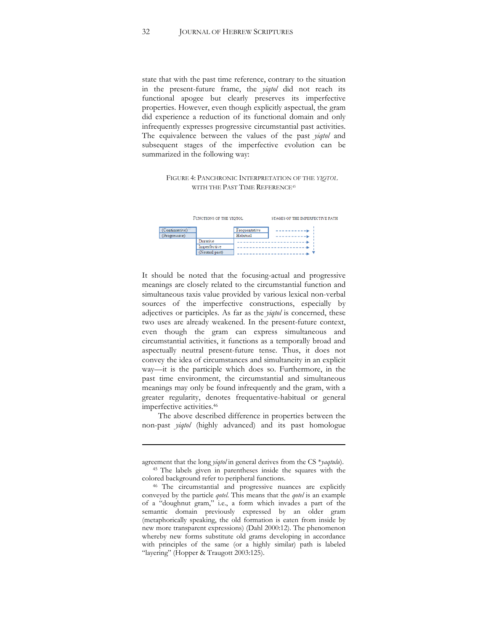state that with the past time reference, contrary to the situation in the present-future frame, the *yiqtol* did not reach its functional apogee but clearly preserves its imperfective properties. However, even though explicitly aspectual, the gram did experience a reduction of its functional domain and only infrequently expresses progressive circumstantial past activities. The equivalence between the values of the past *yiqtol* and subsequent stages of the imperfective evolution can be summarized in the following way:

#### FIGURE 4: PANCHRONIC INTERPRETATION OF THE *YIQTOL* WITH THE PAST TIME REFERENCE<sup>45</sup>



It should be noted that the focusing-actual and progressive meanings are closely related to the circumstantial function and simultaneous taxis value provided by various lexical non-verbal sources of the imperfective constructions, especially by adjectives or participles. As far as the *yiqtol* is concerned, these two uses are already weakened. In the present-future context, even though the gram can express simultaneous and circumstantial activities, it functions as a temporally broad and aspectually neutral present-future tense. Thus, it does not convey the idea of circumstances and simultaneity in an explicit way—it is the participle which does so. Furthermore, in the past time environment, the circumstantial and simultaneous meanings may only be found infrequently and the gram, with a greater regularity, denotes frequentative-habitual or general imperfective activities.46

The above described difference in properties between the non-past *yiqtol* (highly advanced) and its past homologue

<u> 1989 - Johann Stein, marwolaethau a bhann an t-Amhain Aonaichte ann an t-Amhain Aonaichte ann an t-Amhain Aon</u>

agreement that the long *yiqtol* in general derives from the CS \**yaqtulu*). 45 The labels given in parentheses inside the squares with the

colored background refer to peripheral functions. 46 The circumstantial and progressive nuances are explicitly conveyed by the particle *qotel*. This means that the *qotel* is an example of a "doughnut gram," i.e., a form which invades a part of the semantic domain previously expressed by an older gram (metaphorically speaking, the old formation is eaten from inside by new more transparent expressions) (Dahl 2000:12). The phenomenon whereby new forms substitute old grams developing in accordance with principles of the same (or a highly similar) path is labeled "layering" (Hopper & Traugott 2003:125).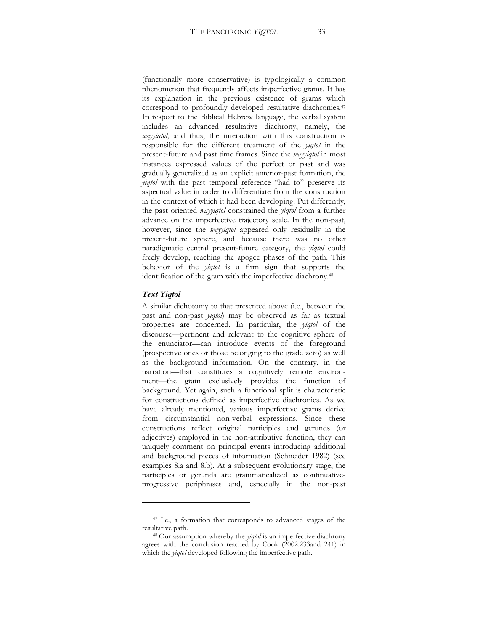(functionally more conservative) is typologically a common phenomenon that frequently affects imperfective grams. It has its explanation in the previous existence of grams which correspond to profoundly developed resultative diachronies.47 In respect to the Biblical Hebrew language, the verbal system includes an advanced resultative diachrony, namely, the *wayyiqtol*, and thus, the interaction with this construction is responsible for the different treatment of the *yiqtol* in the present-future and past time frames. Since the *wayyiqtol* in most instances expressed values of the perfect or past and was gradually generalized as an explicit anterior-past formation, the *yiqtol* with the past temporal reference "had to" preserve its aspectual value in order to differentiate from the construction in the context of which it had been developing. Put differently, the past oriented *wayyiqtol* constrained the *yiqtol* from a further advance on the imperfective trajectory scale. In the non-past, however, since the *wayyiqtol* appeared only residually in the present-future sphere, and because there was no other paradigmatic central present-future category, the *yiqtol* could freely develop, reaching the apogee phases of the path. This behavior of the *yiqtol* is a firm sign that supports the identification of the gram with the imperfective diachrony.48

### *Text Yiqtol*

A similar dichotomy to that presented above (i.e., between the past and non-past *yiqtol*) may be observed as far as textual properties are concerned. In particular, the *yiqtol* of the discourse—pertinent and relevant to the cognitive sphere of the enunciator-can introduce events of the foreground (prospective ones or those belonging to the grade zero) as well as the background information. On the contrary, in the narration-that constitutes a cognitively remote environment-the gram exclusively provides the function of background. Yet again, such a functional split is characteristic for constructions defined as imperfective diachronies. As we have already mentioned, various imperfective grams derive from circumstantial non-verbal expressions. Since these constructions reflect original participles and gerunds (or adjectives) employed in the non-attributive function, they can uniquely comment on principal events introducing additional and background pieces of information (Schneider 1982) (see examples 8.a and 8.b). At a subsequent evolutionary stage, the participles or gerunds are grammaticalized as continuativeprogressive periphrases and, especially in the non-past

<sup>47</sup> I.e., a formation that corresponds to advanced stages of the resultative path. 48 Our assumption whereby the *yiqtol* is an imperfective diachrony

agrees with the conclusion reached by Cook (2002:233and 241) in which the *yiqtol* developed following the imperfective path.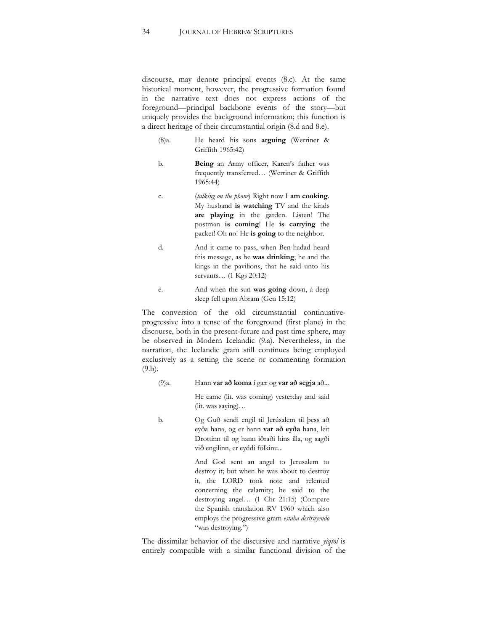discourse, may denote principal events (8.c). At the same historical moment, however, the progressive formation found in the narrative text does not express actions of the foreground—principal backbone events of the story—but uniquely provides the background information; this function is a direct heritage of their circumstantial origin (8.d and 8.e).

- (8)a. He heard his sons **arguing** (Werriner & Griffith 1965:42)
- b. **Being** an Army officer, Karen's father was frequently transferred... (Werriner & Griffith 1965:44)
- c. (*talking on the phone*) Right now I **am cooking**. My husband **is watching** TV and the kinds **are playing** in the garden. Listen! The postman **is coming**! He **is carrying** the packet! Oh no! He **is going** to the neighbor.
- d. And it came to pass, when Ben-hadad heard this message, as he **was drinking**, he and the kings in the pavilions, that he said unto his servants... (1 Kgs 20:12)
- e. And when the sun **was going** down, a deep sleep fell upon Abram (Gen 15:12)

The conversion of the old circumstantial continuativeprogressive into a tense of the foreground (first plane) in the discourse, both in the present-future and past time sphere, may be observed in Modern Icelandic (9.a). Nevertheless, in the narration, the Icelandic gram still continues being employed exclusively as a setting the scene or commenting formation (9.b).

(9)a. Hann **var að koma** í gær og **var að segja** að...

He came (lit. was coming) yesterday and said (lit. was saying)...

b. Og Guð sendi engil til Jerúsalem til þess að eyða hana, og er hann **var að eyða** hana, leit Drottinn til og hann iðraði hins illa, og sagði við engilinn, er eyddi fólkinu...

> And God sent an angel to Jerusalem to destroy it; but when he was about to destroy it, the LORD took note and relented concerning the calamity; he said to the destroying angel... (1 Chr 21:15) (Compare the Spanish translation RV 1960 which also employs the progressive gram *estaba destruyendo*  "was destroying.")

The dissimilar behavior of the discursive and narrative *yiqtol* is entirely compatible with a similar functional division of the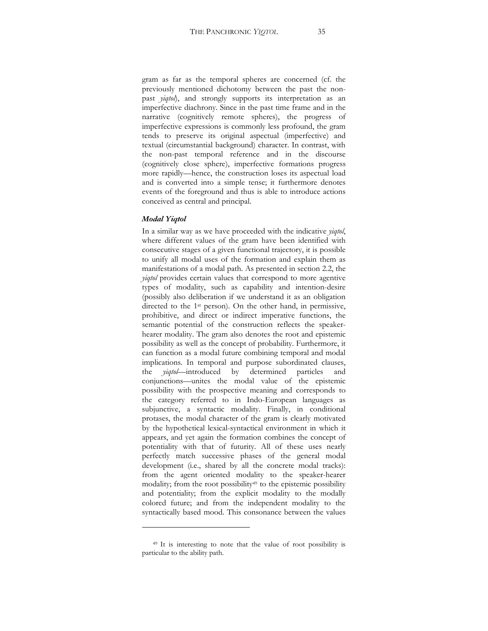gram as far as the temporal spheres are concerned (cf. the previously mentioned dichotomy between the past the nonpast *yiqtol*), and strongly supports its interpretation as an imperfective diachrony. Since in the past time frame and in the narrative (cognitively remote spheres), the progress of imperfective expressions is commonly less profound, the gram tends to preserve its original aspectual (imperfective) and textual (circumstantial background) character. In contrast, with the non-past temporal reference and in the discourse (cognitively close sphere), imperfective formations progress more rapidly—hence, the construction loses its aspectual load and is converted into a simple tense; it furthermore denotes events of the foreground and thus is able to introduce actions conceived as central and principal.

### *Modal Yiqtol*

In a similar way as we have proceeded with the indicative *yiqtol*, where different values of the gram have been identified with consecutive stages of a given functional trajectory, it is possible to unify all modal uses of the formation and explain them as manifestations of a modal path. As presented in section 2.2, the *yiqtol* provides certain values that correspond to more agentive types of modality, such as capability and intention-desire (possibly also deliberation if we understand it as an obligation directed to the 1<sup>st</sup> person). On the other hand, in permissive, prohibitive, and direct or indirect imperative functions, the semantic potential of the construction reflects the speakerhearer modality. The gram also denotes the root and epistemic possibility as well as the concept of probability. Furthermore, it can function as a modal future combining temporal and modal implications. In temporal and purpose subordinated clauses, the *yiqtol*—introduced by determined particles and conjunctions-unites the modal value of the epistemic possibility with the prospective meaning and corresponds to the category referred to in Indo-European languages as subjunctive, a syntactic modality. Finally, in conditional protases, the modal character of the gram is clearly motivated by the hypothetical lexical-syntactical environment in which it appears, and yet again the formation combines the concept of potentiality with that of futurity. All of these uses nearly perfectly match successive phases of the general modal development (i.e., shared by all the concrete modal tracks): from the agent oriented modality to the speaker-hearer modality; from the root possibility<sup>49</sup> to the epistemic possibility and potentiality; from the explicit modality to the modally colored future; and from the independent modality to the syntactically based mood. This consonance between the values

<sup>49</sup> It is interesting to note that the value of root possibility is particular to the ability path.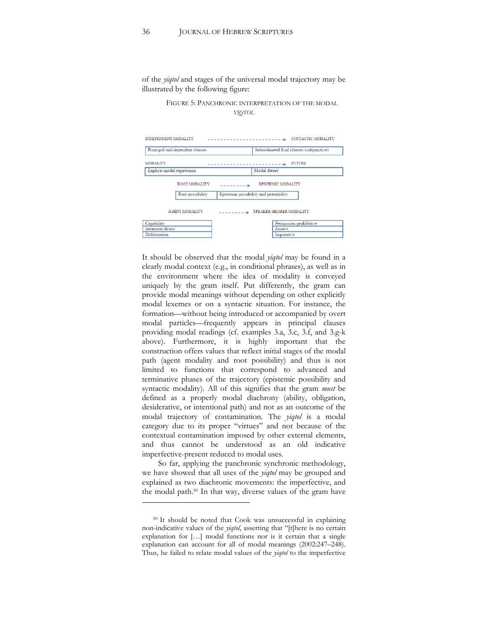of the *yiqtol* and stages of the universal modal trajectory may be illustrated by the following figure:

> FIGURE 5: PANCHRONIC INTERPRETATION OF THE MODAL *YIQTOL*

| <b>INDEPENDENT MODALITY</b><br>SYNTACTIC MODALITY<br>---------------------------- |                                 |           |                                          |  |  |
|-----------------------------------------------------------------------------------|---------------------------------|-----------|------------------------------------------|--|--|
|                                                                                   | Principal and dependent clauses |           | Subordinated final clauses (subjunctive) |  |  |
| <b>MODALITY</b>                                                                   |                                 |           | <b>FUTURE</b><br>------------- <b>-</b>  |  |  |
| Explicit modal expression                                                         |                                 |           | Modal future                             |  |  |
|                                                                                   | <b>ROOT MODALITY</b>            | --------- | <b>EPISTEMIC MODALITY</b>                |  |  |
|                                                                                   | Root possibility                |           | Epistemic possibility and potentiality   |  |  |
| <b>AGENT MODALITY</b>                                                             |                                 |           | <b>SPEAKER-HEARER MODALITY</b>           |  |  |
| Capability                                                                        |                                 |           | Permission-prohibitive                   |  |  |
| Intension-desire                                                                  |                                 |           | Jussive                                  |  |  |
| Deliberation                                                                      |                                 |           | Imperative                               |  |  |
|                                                                                   |                                 |           |                                          |  |  |

It should be observed that the modal *yiqtol* may be found in a clearly modal context (e.g., in conditional phrases), as well as in the environment where the idea of modality is conveyed uniquely by the gram itself. Put differently, the gram can provide modal meanings without depending on other explicitly modal lexemes or on a syntactic situation. For instance, the formation—without being introduced or accompanied by overt modal particles—frequently appears in principal clauses providing modal readings (cf. examples 3.a, 3.c, 3.f, and 3.g-k above). Furthermore, it is highly important that the construction offers values that reflect initial stages of the modal path (agent modality and root possibility) and thus is not limited to functions that correspond to advanced and terminative phases of the trajectory (epistemic possibility and syntactic modality). All of this signifies that the gram *must* be defined as a properly modal diachrony (ability, obligation, desiderative, or intentional path) and not as an outcome of the modal trajectory of contamination. The *yiqtol* is a modal category due to its proper "virtues" and not because of the contextual contamination imposed by other external elements, and thus cannot be understood as an old indicative imperfective-present reduced to modal uses.

So far, applying the panchronic synchronic methodology, we have showed that all uses of the *yiqtol* may be grouped and explained as two diachronic movements: the imperfective, and the modal path.50 In that way, diverse values of the gram have

<sup>50</sup> It should be noted that Cook was unsuccessful in explaining non-indicative values of the *yiqtol*, asserting that "[t]here is no certain explanation for  $[...]$  modal functions nor is it certain that a single explanation can account for all of modal meanings (2002:247-248). Thus, he failed to relate modal values of the *yiqtol* to the imperfective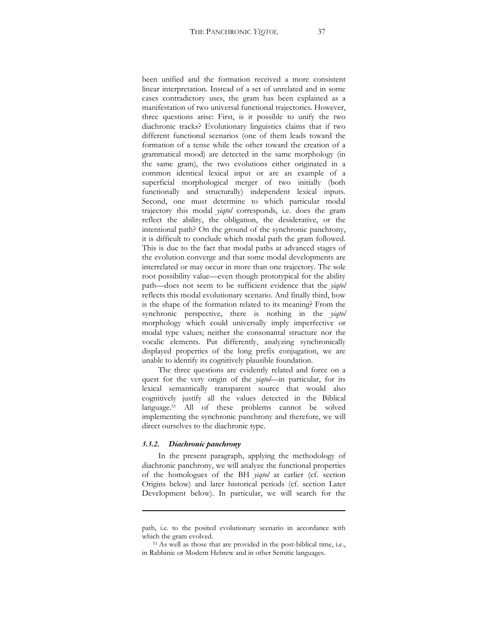been unified and the formation received a more consistent linear interpretation. Instead of a set of unrelated and in some cases contradictory uses, the gram has been explained as a manifestation of two universal functional trajectories. However, three questions arise: First, is it possible to unify the two diachronic tracks? Evolutionary linguistics claims that if two different functional scenarios (one of them leads toward the formation of a tense while the other toward the creation of a grammatical mood) are detected in the same morphology (in the same gram), the two evolutions either originated in a common identical lexical input or are an example of a superficial morphological merger of two initially (both functionally and structurally) independent lexical inputs. Second, one must determine to which particular modal trajectory this modal *yiqtol* corresponds, i.e. does the gram reflect the ability, the obligation, the desiderative, or the intentional path? On the ground of the synchronic panchrony, it is difficult to conclude which modal path the gram followed. This is due to the fact that modal paths at advanced stages of the evolution converge and that some modal developments are interrelated or may occur in more than one trajectory. The sole root possibility value—even though prototypical for the ability path-does not seem to be sufficient evidence that the *yiqtol* reflects this modal evolutionary scenario. And finally third, how is the shape of the formation related to its meaning? From the synchronic perspective, there is nothing in the *yiqtol* morphology which could universally imply imperfective or modal type values; neither the consonantal structure nor the vocalic elements. Put differently, analyzing synchronically displayed properties of the long prefix conjugation, we are unable to identify its cognitively plausible foundation.

The three questions are evidently related and force on a quest for the very origin of the *yiqtol*—in particular, for its lexical semantically transparent source that would also cognitively justify all the values detected in the Biblical language.51 All of these problems cannot be solved implementing the synchronic panchrony and therefore, we will direct ourselves to the diachronic type.

#### *3.3.2. Diachronic panchrony*

In the present paragraph, applying the methodology of diachronic panchrony, we will analyze the functional properties of the homologues of the BH *yiqtol* at earlier (cf. section Origins below) and later historical periods (cf. section Later Development below). In particular, we will search for the

<u> 1989 - Johann Stein, marwolaethau a bhann an t-Amhain Aonaichte ann an t-Amhain Aonaichte ann an t-Amhain Aon</u>

path, i.e. to the posited evolutionary scenario in accordance with which the gram evolved.<br><sup>51</sup> As well as those that are provided in the post-biblical time, i.e.,

in Rabbinic or Modern Hebrew and in other Semitic languages.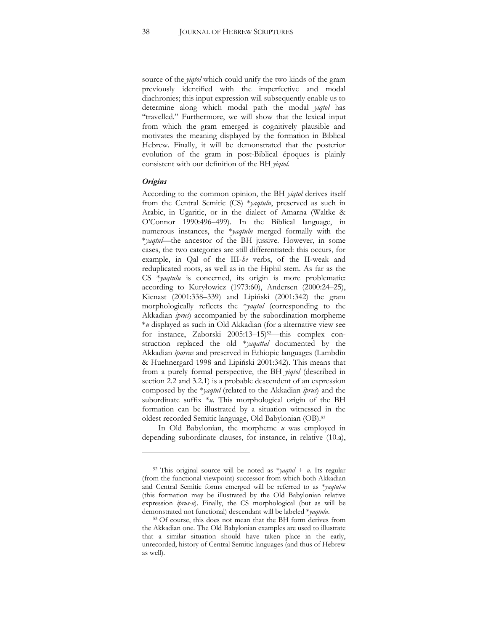source of the *yiqtol* which could unify the two kinds of the gram previously identified with the imperfective and modal diachronies; this input expression will subsequently enable us to determine along which modal path the modal *yiqtol* has "travelled." Furthermore, we will show that the lexical input from which the gram emerged is cognitively plausible and motivates the meaning displayed by the formation in Biblical Hebrew. Finally, it will be demonstrated that the posterior evolution of the gram in post-Biblical époques is plainly consistent with our definition of the BH *yiqtol*.

#### *Origins*

According to the common opinion, the BH *yiqtol* derives itself from the Central Semitic (CS) \**yaqtulu*, preserved as such in Arabic, in Ugaritic, or in the dialect of Amarna (Waltke & O'Connor 1990:496-499). In the Biblical language, in numerous instances, the \**yaqtulu* merged formally with the \**yaqtul*—the ancestor of the BH jussive. However, in some cases, the two categories are still differentiated: this occurs, for example, in Qal of the III-*he* verbs, of the II-weak and reduplicated roots, as well as in the Hiphil stem. As far as the CS \**yaqtulu* is concerned, its origin is more problematic: according to Kuryłowicz (1973:60), Andersen (2000:24-25), Kienast (2001:338-339) and Lipiński (2001:342) the gram morphologically reflects the \**yaqtul* (corresponding to the Akkadian *iprus*) accompanied by the subordination morpheme \**u* displayed as such in Old Akkadian (for a alternative view see for instance, Zaborski  $2005:13-15$ <sup>52</sup>—this complex construction replaced the old \**yaqattal* documented by the Akkadian *iparras* and preserved in Ethiopic languages (Lambdin & Huehnergard 1998 and Lipiński 2001:342). This means that from a purely formal perspective, the BH *yiqtol* (described in section 2.2 and 3.2.1) is a probable descendent of an expression composed by the \**yaqtul* (related to the Akkadian *iprus*) and the subordinate suffix \**u*. This morphological origin of the BH formation can be illustrated by a situation witnessed in the oldest recorded Semitic language, Old Babylonian (OB).53

In Old Babylonian, the morpheme *u* was employed in depending subordinate clauses, for instance, in relative (10.a),

<sup>52</sup> This original source will be noted as \**yaqtul* + *u*. Its regular (from the functional viewpoint) successor from which both Akkadian and Central Semitic forms emerged will be referred to as \**yaqtul-u*  (this formation may be illustrated by the Old Babylonian relative expression *iprus-u*). Finally, the CS morphological (but as will be demonstrated not functional) descendant will be labeled \**yaqtulu*. 53 Of course, this does not mean that the BH form derives from

the Akkadian one. The Old Babylonian examples are used to illustrate that a similar situation should have taken place in the early, unrecorded, history of Central Semitic languages (and thus of Hebrew as well).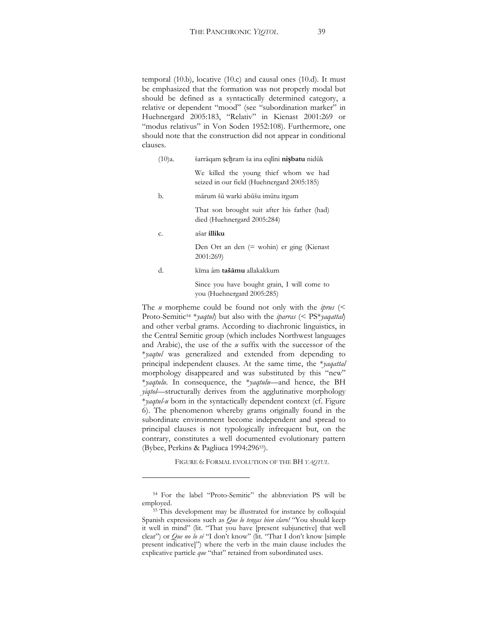temporal (10.b), locative (10.c) and causal ones (10.d). It must be emphasized that the formation was not properly modal but should be defined as a syntactically determined category, a relative or dependent "mood" (see "subordination marker" in Huehnergard 2005:183, "Relativ" in Kienast 2001:269 or "modus relativus" in Von Soden 1952:108). Furthermore, one should note that the construction did not appear in conditional clauses.

- (10)a. šarrāqam şehram ša ina eqlīni nişbatu nidūk We killed the young thief whom we had seized in our field (Huehnergard 2005:185) b. mārum šū warki abūšu imūtu irgum That son brought suit after his father (had) died (Huehnergard 2005:284) c. aÉar **illiku** Den Ort an den (= wohin) er ging (Kienast 2001:269)
	- d. kīma âm **tašāmu** allakakkum

Since you have bought grain, I will come to you (Huehnergard 2005:285)

The *u* morpheme could be found not only with the *iprus* (< Proto-Semitic54 \**yaqtul*) but also with the *iparras* (< PS\**yaqattal*) and other verbal grams. According to diachronic linguistics, in the Central Semitic group (which includes Northwest languages and Arabic), the use of the *u* suffix with the successor of the \**yaqtul* was generalized and extended from depending to principal independent clauses. At the same time, the \**yaqattal* morphology disappeared and was substituted by this "new" \**yaqtulu*. In consequence, the \**yaqtulu*—and hence, the BH *yiqtol*—structurally derives from the agglutinative morphology \**yaqtul-u* born in the syntactically dependent context (cf. Figure 6). The phenomenon whereby grams originally found in the subordinate environment become independent and spread to principal clauses is not typologically infrequent but, on the contrary, constitutes a well documented evolutionary pattern (Bybee, Perkins & Pagliuca 1994:29655).

FIGURE 6: FORMAL EVOLUTION OF THE BH *YAQTUL*

<sup>&</sup>lt;sup>54</sup> For the label "Proto-Semitic" the abbreviation PS will be employed.

<sup>55</sup> This development may be illustrated for instance by colloquial Spanish expressions such as *Que lo tengas bien claro!* "You should keep it well in mind" (lit. "That you have [present subjunctive] that well clear") or *Que no lo sé* "I don't know" (lit. "That I don't know [simple present indicative]") where the verb in the main clause includes the explicative particle que "that" retained from subordinated uses.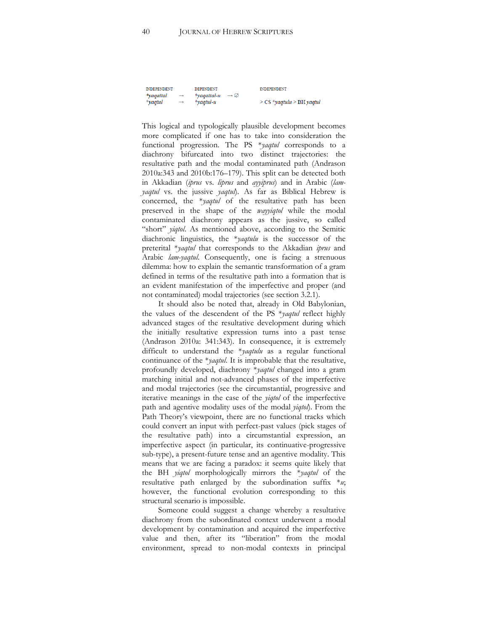| <b>INDEPENDENT</b> |               | DEPENDENT                           | <b>INDEPENDENT</b>            |
|--------------------|---------------|-------------------------------------|-------------------------------|
| *yaqattal          | $\rightarrow$ | *vagattal-u $\rightarrow \emptyset$ |                               |
| $*$ yaqtul         | $\rightarrow$ | $*$ vaqtul-u                        | $>$ CS *yaqtulu $>$ BH yaqtul |

This logical and typologically plausible development becomes more complicated if one has to take into consideration the functional progression. The PS \**yaqtul* corresponds to a diachrony bifurcated into two distinct trajectories: the resultative path and the modal contaminated path (Andrason  $2010a:343$  and  $2010b:176-179$ ). This split can be detected both in Akkadian (*iprus* vs. *liprus* and *ayyiprus*) and in Arabic (*lamyaqtul* vs. the jussive *yaqtul*). As far as Biblical Hebrew is concerned, the \**yaqtul* of the resultative path has been preserved in the shape of the *wayyiqtol* while the modal contaminated diachrony appears as the jussive, so called "short" *yiqtol*. As mentioned above, according to the Semitic diachronic linguistics, the \**yaqtulu* is the successor of the preterital \**yaqtul* that corresponds to the Akkadian *iprus* and Arabic *lam-yaqtul*. Consequently, one is facing a strenuous dilemma: how to explain the semantic transformation of a gram defined in terms of the resultative path into a formation that is an evident manifestation of the imperfective and proper (and not contaminated) modal trajectories (see section 3.2.1).

It should also be noted that, already in Old Babylonian, the values of the descendent of the PS \**yaqtul* reflect highly advanced stages of the resultative development during which the initially resultative expression turns into a past tense (Andrason 2010a: 341:343). In consequence, it is extremely difficult to understand the \**yaqtulu* as a regular functional continuance of the \**yaqtul*. It is improbable that the resultative, profoundly developed, diachrony \**yaqtul* changed into a gram matching initial and not-advanced phases of the imperfective and modal trajectories (see the circumstantial, progressive and iterative meanings in the case of the *yiqtol* of the imperfective path and agentive modality uses of the modal *yiqtol*). From the Path Theory's viewpoint, there are no functional tracks which could convert an input with perfect-past values (pick stages of the resultative path) into a circumstantial expression, an imperfective aspect (in particular, its continuative-progressive sub-type), a present-future tense and an agentive modality. This means that we are facing a paradox: it seems quite likely that the BH *yiqtol* morphologically mirrors the \**yaqtul* of the resultative path enlarged by the subordination suffix \**u*; however, the functional evolution corresponding to this structural scenario is impossible.

Someone could suggest a change whereby a resultative diachrony from the subordinated context underwent a modal development by contamination and acquired the imperfective value and then, after its "liberation" from the modal environment, spread to non-modal contexts in principal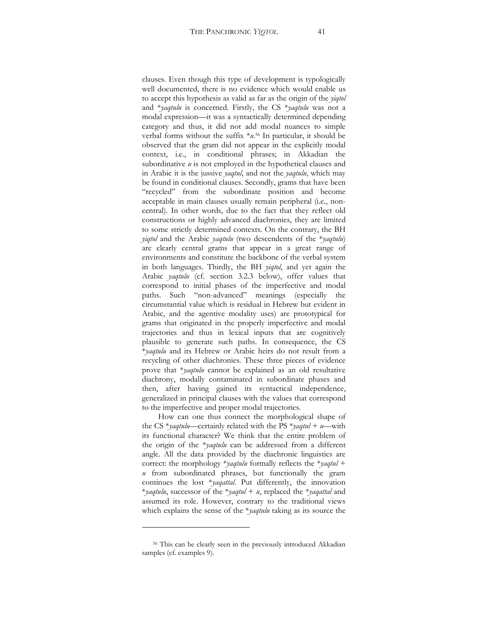clauses. Even though this type of development is typologically well documented, there is no evidence which would enable us to accept this hypothesis as valid as far as the origin of the *yiqtol* and \**yaqtulu* is concerned. Firstly, the CS \**yaqtulu* was not a modal expression-it was a syntactically determined depending category and thus, it did not add modal nuances to simple verbal forms without the suffix \**u*. 56 In particular, it should be observed that the gram did not appear in the explicitly modal context, i.e., in conditional phrases; in Akkadian the subordinative *u* is not employed in the hypothetical clauses and in Arabic it is the jussive *yaqtul*, and not the *yaqtulu*, which may be found in conditional clauses. Secondly, grams that have been "recycled" from the subordinate position and become acceptable in main clauses usually remain peripheral (i.e., noncentral). In other words, due to the fact that they reflect old constructions or highly advanced diachronies, they are limited to some strictly determined contexts. On the contrary, the BH *yiqtol* and the Arabic *yaqtulu* (two descendents of the \**yaqtulu*) are clearly central grams that appear in a great range of environments and constitute the backbone of the verbal system in both languages. Thirdly, the BH *yiqtol*, and yet again the Arabic *yaqtulu* (cf. section 3.2.3 below), offer values that correspond to initial phases of the imperfective and modal paths. Such "non-advanced" meanings (especially the circumstantial value which is residual in Hebrew but evident in Arabic, and the agentive modality uses) are prototypical for grams that originated in the properly imperfective and modal trajectories and thus in lexical inputs that are cognitively plausible to generate such paths. In consequence, the CS \**yaqtulu* and its Hebrew or Arabic heirs do not result from a recycling of other diachronies. These three pieces of evidence prove that \**yaqtulu* cannot be explained as an old resultative diachrony, modally contaminated in subordinate phases and then, after having gained its syntactical independence, generalized in principal clauses with the values that correspond to the imperfective and proper modal trajectories.

How can one thus connect the morphological shape of the CS  $*$ *yaqtulu*—certainly related with the PS  $*$ *yaqtul* + *u*—with its functional character? We think that the entire problem of the origin of the \**yaqtulu* can be addressed from a different angle. All the data provided by the diachronic linguistics are correct: the morphology \**yaqtulu* formally reflects the \**yaqtul* + *u* from subordinated phrases, but functionally the gram continues the lost \**yaqattal*. Put differently, the innovation \**yaqtulu*, successor of the \**yaqtul* + *u*, replaced the \**yaqattal* and assumed its role. However, contrary to the traditional views which explains the sense of the \**yaqtulu* taking as its source the

<sup>56</sup> This can be clearly seen in the previously introduced Akkadian samples (cf. examples 9).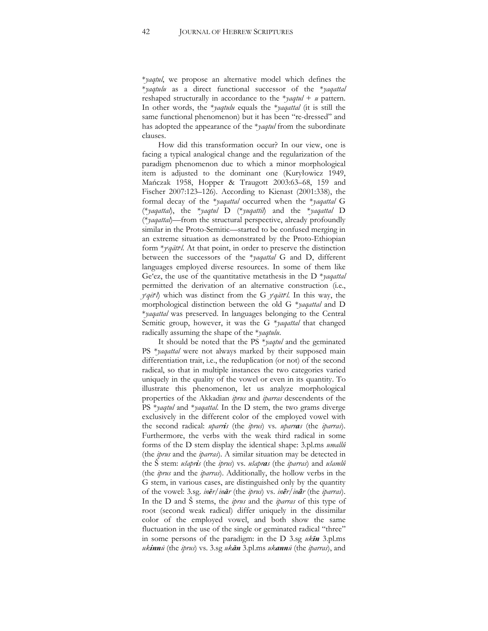\**yaqtul*, we propose an alternative model which defines the \**yaqtulu* as a direct functional successor of the \**yaqattal* reshaped structurally in accordance to the  $*$ *yaqtul* + *u* pattern. In other words, the \**yaqtulu* equals the \**yaqattal* (it is still the same functional phenomenon) but it has been "re-dressed" and has adopted the appearance of the \**yaqtul* from the subordinate clauses.

How did this transformation occur? In our view, one is facing a typical analogical change and the regularization of the paradigm phenomenon due to which a minor morphological item is adjusted to the dominant one (Kuryłowicz 1949, Mańczak 1958, Hopper & Traugott 2003:63-68, 159 and Fischer 2007:123-126). According to Kienast (2001:338), the formal decay of the \**yaqattal* occurred when the \**yaqattal* G (\**yaqattal*), the \**yaqtul* D (\**yuqattil*) and the \**yaqattal* D (*\*yaqattal*)—from the structural perspective, already profoundly similar in the Proto-Semitic—started to be confused merging in an extreme situation as demonstrated by the Proto-Ethiopian form \**ye qätte l*. At that point, in order to preserve the distinction between the successors of the \**yaqattal* G and D, different languages employed diverse resources. In some of them like Ge'ez, the use of the quantitative metathesis in the D \**yaqattal* permitted the derivation of an alternative construction (i.e., *ye qēte l*) which was distinct from the G *ye qätte l*. In this way, the morphological distinction between the old G \**yaqattal* and D \**yaqattal* was preserved. In languages belonging to the Central Semitic group, however, it was the G \**yaqattal* that changed radically assuming the shape of the \**yaqtulu*.

It should be noted that the PS \**yaqtul* and the geminated PS \**yaqattal* were not always marked by their supposed main differentiation trait, i.e., the reduplication (or not) of the second radical, so that in multiple instances the two categories varied uniquely in the quality of the vowel or even in its quantity. To illustrate this phenomenon, let us analyze morphological properties of the Akkadian *iprus* and *iparras* descendents of the PS \**yaqtul* and \**yaqattal*. In the D stem, the two grams diverge exclusively in the different color of the employed vowel with the second radical: *uparris* (the *iprus*) vs. *uparras* (the *iparras*). Furthermore, the verbs with the weak third radical in some forms of the D stem display the identical shape: 3.pl.ms *umallû* (the *iprus* and the *iparras*). A similar situation may be detected in the Ü stem: *uhapris* (the *iprus*) vs. *uhapras* (the *iparras*) and *uhamlû* (the *iprus* and the *iparras*). Additionally, the hollow verbs in the G stem, in various cases, are distinguished only by the quantity of the vowel: 3.sg. *inđr/inăr* (the *iprus*) vs. *inêr/inâr* (the *iparras*). In the D and Ü stems, the *iprus* and the *iparras* of this type of root (second weak radical) differ uniquely in the dissimilar color of the employed vowel, and both show the same fluctuation in the use of the single or geminated radical "three" in some persons of the paradigm: in the D 3.sg *ukħn* 3.pl.ms *ukinnş* (the *iprus*) vs. 3.sg *ukăn* 3.pl.ms *ukannş* (the *iparras*), and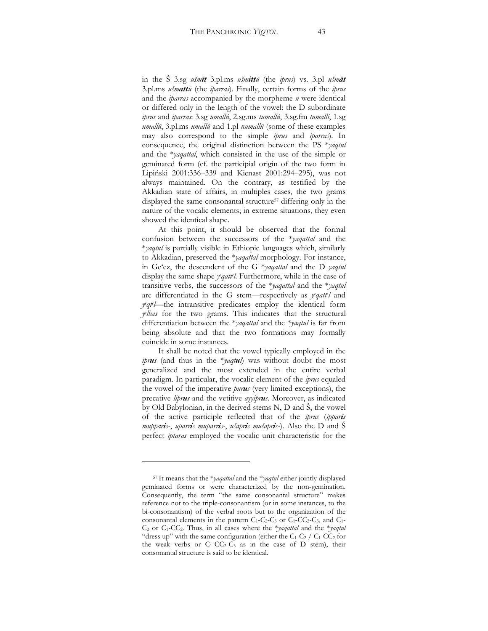in the S 3.sg *ušmīt* 3.pl.ms *ušmittū* (the *iprus*) vs. 3.pl *ušmāt* 3.pl.ms *ušmattū* (the *iparras*). Finally, certain forms of the *iprus* and the *iparras* accompanied by the morpheme *u* were identical or differed only in the length of the vowel: the D subordinate *iprus* and *iparras*: 3.sg *umallû*, 2.sg.ms *tumallû*, 3.sg.fm *tumallî*, 1.sg *umallû*, 3.pl.ms *umallû* and 1.pl *numallû* (some of these examples may also correspond to the simple *iprus* and *iparras*). In consequence, the original distinction between the PS \**yaqtul* and the \**yaqattal*, which consisted in the use of the simple or geminated form (cf. the participial origin of the two form in Lipiński 2001:336-339 and Kienast 2001:294-295), was not always maintained. On the contrary, as testified by the Akkadian state of affairs, in multiples cases, the two grams displayed the same consonantal structure<sup>57</sup> differing only in the nature of the vocalic elements; in extreme situations, they even showed the identical shape.

At this point, it should be observed that the formal confusion between the successors of the \**yaqattal* and the \**yaqtul* is partially visible in Ethiopic languages which, similarly to Akkadian, preserved the \**yaqattal* morphology. For instance, in Ge'ez, the descendent of the G \**yaqattal* and the D *yaqtul* display the same shape *y<sup>e</sup>qattel*. Furthermore, while in the case of transitive verbs, the successors of the \**yaqattal* and the \**yaqtul*  are differentiated in the G stem-respectively as *yeqattel* and *y*<sup>*qtel*</sup>—the intransitive predicates employ the identical form *ye lbas* for the two grams. This indicates that the structural differentiation between the \**yaqattal* and the \**yaqtul* is far from being absolute and that the two formations may formally coincide in some instances.

It shall be noted that the vowel typically employed in the *iprus* (and thus in the \**yaqtul*) was without doubt the most generalized and the most extended in the entire verbal paradigm. In particular, the vocalic element of the *iprus* equaled the vowel of the imperative *purus* (very limited exceptions), the precative *liprus* and the vetitive *ayyiprus*. Moreover, as indicated by Old Babylonian, in the derived stems  $N$ ,  $D$  and  $\dot{S}$ , the vowel of the active participle reflected that of the *iprus* (*ipparis mupparis-*, *uparris muparris-*, *ušapris mušapris-*). Also the D and S perfect *iptaras* employed the vocalic unit characteristic for the

<sup>57</sup> It means that the \**yaqattal* and the \**yaqtul* either jointly displayed geminated forms or were characterized by the non-gemination. Consequently, the term "the same consonantal structure" makes reference not to the triple-consonantism (or in some instances, to the bi-consonantism) of the verbal roots but to the organization of the consonantal elements in the pattern  $C_1$ - $C_2$ - $C_3$  or  $C_1$ - $C_2$ - $C_3$ , and  $C_1$ -C2 or C1-CC2. Thus, in all cases where the \**yaqattal* and the \**yaqtul* "dress up" with the same configuration (either the  $C_1-C_2 / C_1-C_2$  for the weak verbs or  $C_1$ -CC<sub>2</sub>-C<sub>3</sub> as in the case of D stem), their consonantal structure is said to be identical.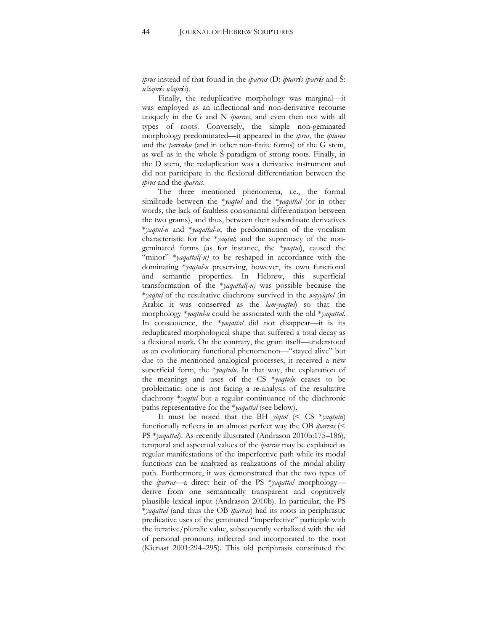*iprus* instead of that found in the *iparras* (D: *iptarris iparris* and Ü: *uhtapris uhapris*).

Finally, the reduplicative morphology was marginal-it was employed as an inflectional and non-derivative recourse uniquely in the G and N *iparras*, and even then not with all types of roots. Conversely, the simple non-geminated morphology predominated—it appeared in the *iprus*, the *iptaras* and the *parsaku* (and in other non-finite forms) of the G stem, as well as in the whole S paradigm of strong roots. Finally, in the D stem, the reduplication was a derivative instrument and did not participate in the flexional differentiation between the *iprus* and the *iparras*.

The three mentioned phenomena, i.e., the formal similitude between the \**yaqtul* and the \**yaqattal* (or in other words, the lack of faultless consonantal differentiation between the two grams), and thus, between their subordinate derivatives \**yaqtul-u* and \**yaqattal-u*; the predomination of the vocalism characteristic for the \**yaqtul*; and the supremacy of the nongeminated forms (as for instance, the \**yaqtul*), caused the "minor" \**yaqattal(-u)* to be reshaped in accordance with the dominating \**yaqtul-u* preserving, however, its own functional and semantic properties. In Hebrew, this superficial transformation of the \**yaqattal(-u)* was possible because the \**yaqtul* of the resultative diachrony survived in the *wayyiqtol* (in Arabic it was conserved as the *lam-yaqtul*) so that the morphology \**yaqtul-u* could be associated with the old \**yaqattal*. In consequence, the *\*yaqattal* did not disappear—it is its reduplicated morphological shape that suffered a total decay as a flexional mark. On the contrary, the gram itself—understood as an evolutionary functional phenomenon—"stayed alive" but due to the mentioned analogical processes, it received a new superficial form, the \**yaqtulu*. In that way, the explanation of the meanings and uses of the CS \**yaqtulu* ceases to be problematic: one is not facing a re-analysis of the resultative diachrony \**yaqtul* but a regular continuance of the diachronic paths representative for the \**yaqattal* (see below).

It must be noted that the BH *yiqtol* (< CS \**yaqtulu*) functionally reflects in an almost perfect way the OB *iparras* (< PS \**yaqattal*). As recently illustrated (Andrason 2010b:175-186), temporal and aspectual values of the *iparras* may be explained as regular manifestations of the imperfective path while its modal functions can be analyzed as realizations of the modal ability path. Furthermore, it was demonstrated that the two types of the *iparras*—a direct heir of the PS \**yaqattal* morphology derive from one semantically transparent and cognitively plausible lexical input (Andrason 2010b). In particular, the PS \**yaqattal* (and thus the OB *iparras*) had its roots in periphrastic predicative uses of the geminated "imperfective" participle with the iterative/pluralic value, subsequently verbalized with the aid of personal pronouns inflected and incorporated to the root (Kienast  $2001:294-295$ ). This old periphrasis constituted the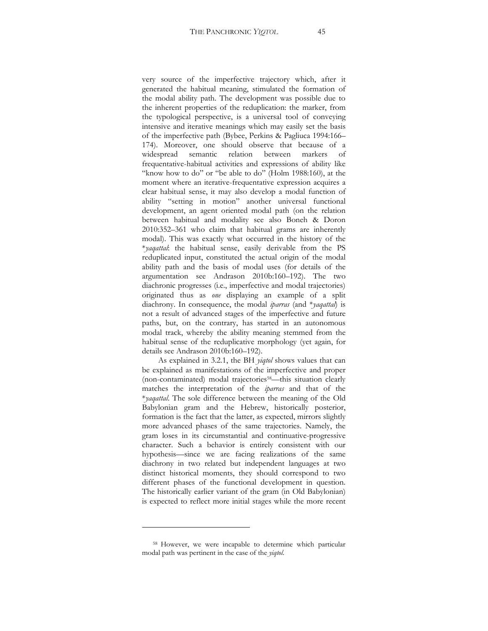very source of the imperfective trajectory which, after it generated the habitual meaning, stimulated the formation of the modal ability path. The development was possible due to the inherent properties of the reduplication: the marker, from the typological perspective, is a universal tool of conveying intensive and iterative meanings which may easily set the basis of the imperfective path (Bybee, Perkins & Pagliuca 1994:166-174). Moreover, one should observe that because of a widespread semantic relation between markers of frequentative-habitual activities and expressions of ability like "know how to do" or "be able to do" (Holm 1988:160), at the moment where an iterative-frequentative expression acquires a clear habitual sense, it may also develop a modal function of ability "setting in motion" another universal functional development, an agent oriented modal path (on the relation between habitual and modality see also Boneh & Doron  $2010:352-361$  who claim that habitual grams are inherently modal). This was exactly what occurred in the history of the \**yaqattal*: the habitual sense, easily derivable from the PS reduplicated input, constituted the actual origin of the modal ability path and the basis of modal uses (for details of the argumentation see Andrason 2010b:160-192). The two diachronic progresses (i.e., imperfective and modal trajectories) originated thus as *one* displaying an example of a split diachrony. In consequence, the modal *iparras* (and \**yaqattal*) is not a result of advanced stages of the imperfective and future paths, but, on the contrary, has started in an autonomous modal track, whereby the ability meaning stemmed from the habitual sense of the reduplicative morphology (yet again, for details see Andrason 2010b:160-192).

As explained in 3.2.1, the BH *yiqtol* shows values that can be explained as manifestations of the imperfective and proper (non-contaminated) modal trajectories<sup>58</sup>—this situation clearly matches the interpretation of the *iparras* and that of the \**yaqattal*. The sole difference between the meaning of the Old Babylonian gram and the Hebrew, historically posterior, formation is the fact that the latter, as expected, mirrors slightly more advanced phases of the same trajectories. Namely, the gram loses in its circumstantial and continuative-progressive character. Such a behavior is entirely consistent with our hypothesis—since we are facing realizations of the same diachrony in two related but independent languages at two distinct historical moments, they should correspond to two different phases of the functional development in question. The historically earlier variant of the gram (in Old Babylonian) is expected to reflect more initial stages while the more recent

<sup>58</sup> However, we were incapable to determine which particular modal path was pertinent in the case of the *yiqtol*.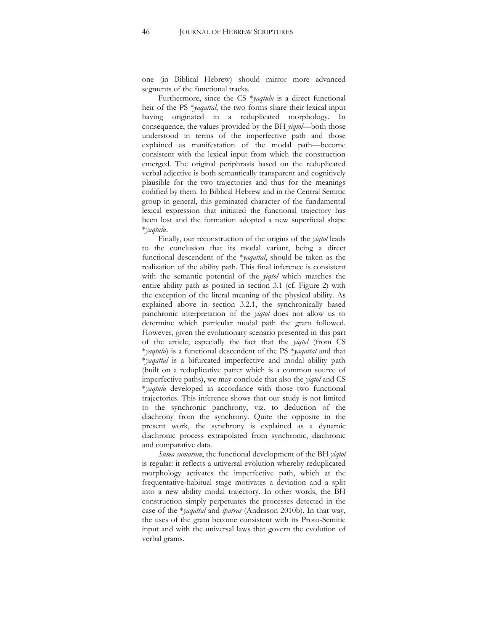one (in Biblical Hebrew) should mirror more advanced segments of the functional tracks.

Furthermore, since the CS \**yaqtulu* is a direct functional heir of the PS \**yaqattal*, the two forms share their lexical input having originated in a reduplicated morphology. In consequence, the values provided by the BH *yiqtol*—both those understood in terms of the imperfective path and those explained as manifestation of the modal path—become consistent with the lexical input from which the construction emerged. The original periphrasis based on the reduplicated verbal adjective is both semantically transparent and cognitively plausible for the two trajectories and thus for the meanings codified by them. In Biblical Hebrew and in the Central Semitic group in general, this geminated character of the fundamental lexical expression that initiated the functional trajectory has been lost and the formation adopted a new superficial shape \**yaqtulu*.

Finally, our reconstruction of the origins of the *yiqtol* leads to the conclusion that its modal variant, being a direct functional descendent of the \**yaqattal*, should be taken as the realization of the ability path. This final inference is consistent with the semantic potential of the *yiqtol* which matches the entire ability path as posited in section 3.1 (cf. Figure 2) with the exception of the literal meaning of the physical ability. As explained above in section 3.2.1, the synchronically based panchronic interpretation of the *yiqtol* does not allow us to determine which particular modal path the gram followed. However, given the evolutionary scenario presented in this part of the article, especially the fact that the *yiqtol* (from CS \**yaqtulu*) is a functional descendent of the PS \**yaqattal* and that \**yaqattal* is a bifurcated imperfective and modal ability path (built on a reduplicative patter which is a common source of imperfective paths), we may conclude that also the *yiqtol* and CS \**yaqtulu* developed in accordance with those two functional trajectories. This inference shows that our study is not limited to the synchronic panchrony, viz. to deduction of the diachrony from the synchrony. Quite the opposite in the present work, the synchrony is explained as a dynamic diachronic process extrapolated from synchronic, diachronic and comparative data.

*Suma sumarum*, the functional development of the BH *yiqtol* is regular: it reflects a universal evolution whereby reduplicated morphology activates the imperfective path, which at the frequentative-habitual stage motivates a deviation and a split into a new ability modal trajectory. In other words, the BH construction simply perpetuates the processes detected in the case of the \**yaqattal* and *iparras* (Andrason 2010b). In that way, the uses of the gram become consistent with its Proto-Semitic input and with the universal laws that govern the evolution of verbal grams.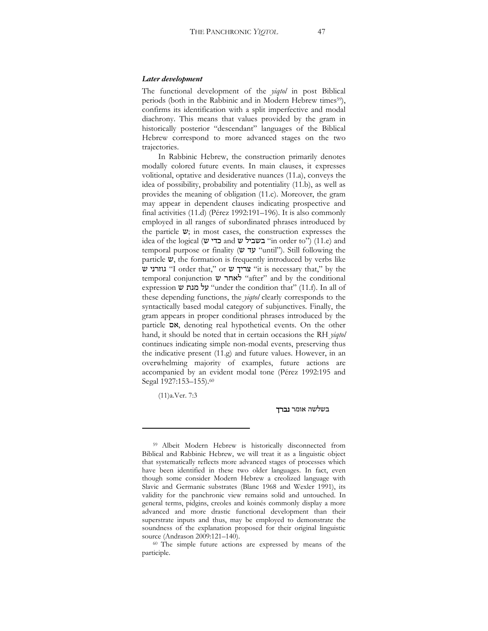#### *Later development*

The functional development of the *yiqtol* in post Biblical periods (both in the Rabbinic and in Modern Hebrew times<sup>59</sup>), confirms its identification with a split imperfective and modal diachrony. This means that values provided by the gram in historically posterior "descendant" languages of the Biblical Hebrew correspond to more advanced stages on the two trajectories.

In Rabbinic Hebrew, the construction primarily denotes modally colored future events. In main clauses, it expresses volitional, optative and desiderative nuances (11.a), conveys the idea of possibility, probability and potentiality (11.b), as well as provides the meaning of obligation (11.c). Moreover, the gram may appear in dependent clauses indicating prospective and final activities  $(11.d)$  (Pérez 1992:191-196). It is also commonly employed in all ranges of subordinated phrases introduced by the particle  $v$ ; in most cases, the construction expresses the  $i$ idea of the logical (שביל ש and הבשביל "in order to") (11.e) and temporal purpose or finality ( $\triangledown$   $\triangledown$  "until"). Still following the particle  $\mathbf{v}$ , the formation is frequently introduced by verbs like עוזרני ש 'I order that," or צריך ש "it is necessary that," by the temporal conjunction  $\psi$  אחר "after" and by the conditional expression  $\psi$  "wher the condition that" (11.f). In all of these depending functions, the *yiqtol* clearly corresponds to the syntactically based modal category of subjunctives. Finally, the gram appears in proper conditional phrases introduced by the  $particle$   $\triangleright$  denoting real hypothetical events. On the other hand, it should be noted that in certain occasions the RH *yiqtol* continues indicating simple non-modal events, preserving thus the indicative present (11.g) and future values. However, in an overwhelming majority of examples, future actions are accompanied by an evident modal tone (Pérez 1992:195 and Segal 1927:153-155).<sup>60</sup>

(11)a.Ver. 7:3

#### בשלשה אומר **נברד**

<sup>59</sup> Albeit Modern Hebrew is historically disconnected from Biblical and Rabbinic Hebrew, we will treat it as a linguistic object that systematically reflects more advanced stages of processes which have been identified in these two older languages. In fact, even though some consider Modern Hebrew a creolized language with Slavic and Germanic substrates (Blanc 1968 and Wexler 1991), its validity for the panchronic view remains solid and untouched. In general terms, pidgins, creoles and koinés commonly display a more advanced and more drastic functional development than their superstrate inputs and thus, may be employed to demonstrate the soundness of the explanation proposed for their original linguistic source (Andrason 2009:121-140). <sup>60</sup> The simple future actions are expressed by means of the

participle.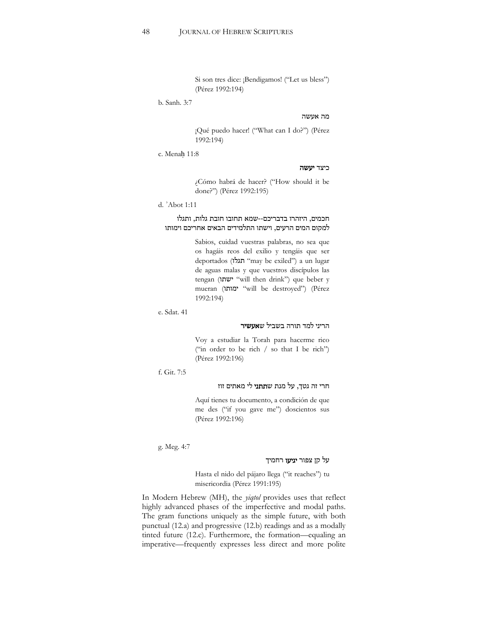Si son tres dice: ¡Bendigamos! ("Let us bless") (Pérez 1992:194)

b. Sanh. 3:7

### $\,$ מה אעשה

¡Qué puedo hacer! ("What can I do?") (Pérez 1992:194)

c. Menah 11:8

#### כיצד יעשה

¿Cómo habrá de hacer? ("How should it be done?") (Pérez 1992:195)

d. 'Abot 1:11

### חכמים, היזהרו בדבריכם--שמא תחובו חובת גלות, ותגלו למקום המים הרעים, וישתו התלמידים הבאים אחריכם וימותו

Sabios, cuidad vuestras palabras, no sea que os hagáis reos del exilio y tengáis que ser deportados ("may be exiled") a un lugar de aguas malas y que vuestros discípulos las tengan ("will then drink") que beber y mueran ("will be destroyed") (Pérez 1992:194)

e. Sdat. 41

## הריני למד תורה בשביל ש**אעשיר**

Voy a estudiar la Torah para hacerme rico ("in order to be rich / so that I be rich") (Pérez 1992:196)

f. Git. 7:5

# חרי זה גטך, על מנת ש**תתני** לי מאתים זוז

Aquí tienes tu documento, a condición de que me des ("if you gave me") doscientos sus (Pérez 1992:196)

g. Meg. 4:7

# על קן צפור **יגיעו** רחמיך

Hasta el nido del pájaro llega ("it reaches") tu misericordia (Pérez 1991:195)

In Modern Hebrew (MH), the *yiqtol* provides uses that reflect highly advanced phases of the imperfective and modal paths. The gram functions uniquely as the simple future, with both punctual (12.a) and progressive (12.b) readings and as a modally tinted future  $(12.c)$ . Furthermore, the formation—equaling an imperative—frequently expresses less direct and more polite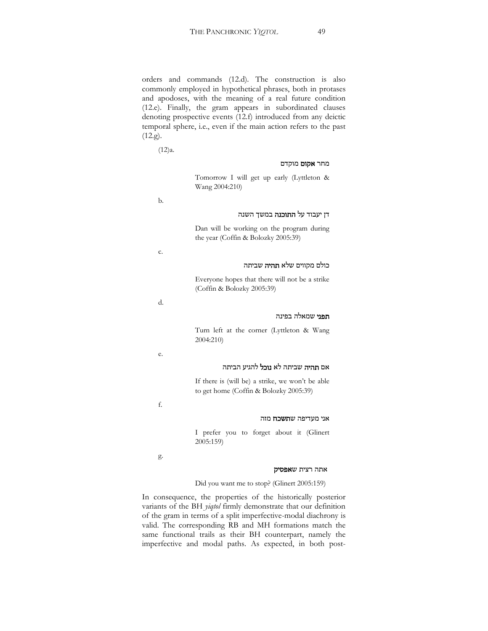orders and commands (12.d). The construction is also commonly employed in hypothetical phrases, both in protases and apodoses, with the meaning of a real future condition (12.e). Finally, the gram appears in subordinated clauses denoting prospective events (12.f) introduced from any deictic temporal sphere, i.e., even if the main action refers to the past (12.g).

(12)a.

#### מחר **אקום** מוקדם

Tomorrow I will get up early (Lyttleton & Wang 2004:210)

b.

#### דן יעבוד על **התוכנה** במשך השנה

Dan will be working on the program during the year (Coffin & Bolozky 2005:39)

c.

#### כולם מקווים שלא **תהיה** שביתה

Everyone hopes that there will not be a strike (Coffin & Bolozky 2005:39)

d.

#### **תפני** שמאלה בפינה

Turn left at the corner (Lyttleton & Wang 2004:210)

e.

f.

### אם **תהיה** שביתה לא **נוכל** להגיע הביתה

If there is (will be) a strike, we won't be able to get home (Coffin & Bolozky 2005:39)

# אני מעדיפה ש**תשכח** מזה

I prefer you to forget about it (Glinert 2005:159)

g.

### אתה רצית ש**אפסיק**

#### Did you want me to stop? (Glinert 2005:159)

In consequence, the properties of the historically posterior variants of the BH *yiqtol* firmly demonstrate that our definition of the gram in terms of a split imperfective-modal diachrony is valid. The corresponding RB and MH formations match the same functional trails as their BH counterpart, namely the imperfective and modal paths. As expected, in both post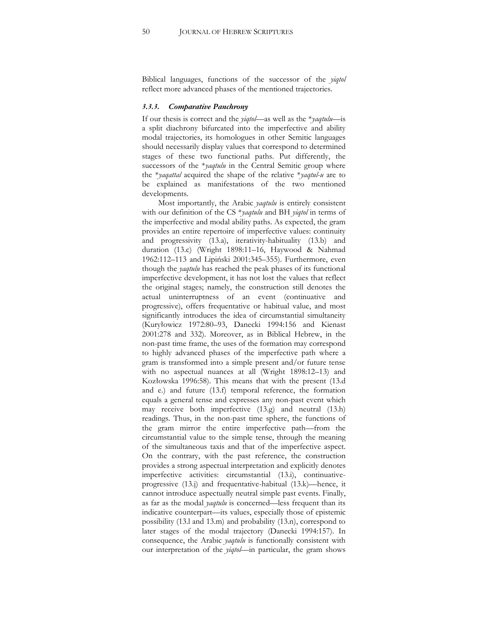Biblical languages, functions of the successor of the *yiqtol* reflect more advanced phases of the mentioned trajectories.

#### *3.3.3. Comparative Panchrony*

If our thesis is correct and the *yiqtol*—as well as the \**yaqtulu*—is a split diachrony bifurcated into the imperfective and ability modal trajectories, its homologues in other Semitic languages should necessarily display values that correspond to determined stages of these two functional paths. Put differently, the successors of the *\*yaqtulu* in the Central Semitic group where the \**yaqattal* acquired the shape of the relative \**yaqtul-u* are to be explained as manifestations of the two mentioned developments.

Most importantly, the Arabic *yaqtulu* is entirely consistent with our definition of the CS \**yaqtulu* and BH *yiqtol* in terms of the imperfective and modal ability paths. As expected, the gram provides an entire repertoire of imperfective values: continuity and progressivity (13.a), iterativity-habituality (13.b) and duration (13.c) (Wright 1898:11-16, Haywood & Nahmad 1962:112-113 and Lipiński 2001:345-355). Furthermore, even though the *yaqtulu* has reached the peak phases of its functional imperfective development, it has not lost the values that reflect the original stages; namely, the construction still denotes the actual uninterruptness of an event (continuative and progressive), offers frequentative or habitual value, and most significantly introduces the idea of circumstantial simultaneity (Kuryłowicz 1972:80-93, Danecki 1994:156 and Kienast 2001:278 and 332). Moreover, as in Biblical Hebrew, in the non-past time frame, the uses of the formation may correspond to highly advanced phases of the imperfective path where a gram is transformed into a simple present and/or future tense with no aspectual nuances at all (Wright  $1898:12-13$ ) and Kozłowska 1996:58). This means that with the present (13.d and e.) and future (13.f) temporal reference, the formation equals a general tense and expresses any non-past event which may receive both imperfective (13.g) and neutral (13.h) readings. Thus, in the non-past time sphere, the functions of the gram mirror the entire imperfective path—from the circumstantial value to the simple tense, through the meaning of the simultaneous taxis and that of the imperfective aspect. On the contrary, with the past reference, the construction provides a strong aspectual interpretation and explicitly denotes imperfective activities: circumstantial (13.i), continuativeprogressive  $(13. j)$  and frequentative-habitual  $(13. k)$ —hence, it cannot introduce aspectually neutral simple past events. Finally, as far as the modal *yaqtulu* is concerned—less frequent than its indicative counterpart—its values, especially those of epistemic possibility (13.l and 13.m) and probability (13.n), correspond to later stages of the modal trajectory (Danecki 1994:157). In consequence, the Arabic *yaqtulu* is functionally consistent with our interpretation of the *yiqtol*—in particular, the gram shows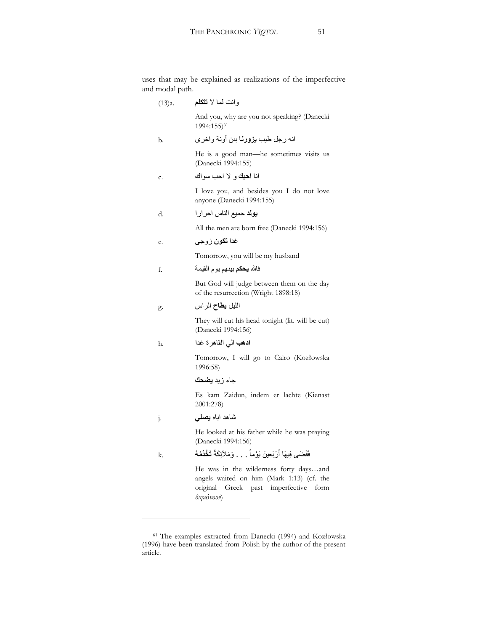uses that may be explained as realizations of the imperfective and modal path.

وانت لما لا **تتكلم** (13)a. And you, why are you not speaking? (Danecki 1994:155)61 انه رجل طيب **يزورنا** بين أونة واخرى من He is a good man—he sometimes visits us (Danecki 1994:155) انا ا**حبك** و لا احب سواك I love you, and besides you I do not love anyone (Danecki 1994:155) d. έήΣ αΎϨϟ ϊϴϤΟ **ΪϟϮϳ** All the men are born free (Danecki 1994:156) e. ϰΟϭί **ϥϮϜΗ** ΪϏ Tomorrow, you will be my husband f. ΔϤϴϘϟ ϡϮϳ ϢϬϨϴΑ **ϢϜΤϳ** ͿΎϓ But God will judge between them on the day of the resurrection (Wright 1898:18) g. المليل **يطاح** الراس They will cut his head tonight (lit. will be cut) (Danecki 1994:156) h. ΪϏ ΓήϫΎϘϟ ϲϟ **ΐϫΩ** Tomorrow, I will go to Cairo (Kozłowska 1996:58) جاء زيد **يضحك** Es kam Zaidun, indem er lachte (Kienast 2001:278) نساهد اباه **يصلي** (j. He looked at his father while he was praying (Danecki 1994:156)  $\rm{k.}$  فَقَضَى فِيهَا أَرْبَعِينَ يَوْماً . . . وَمَلأَئِكَةٌ تَ**خْدُمُهُ** He was in the wilderness forty days...and angels waited on him (Mark 1:13) (cf. the original Greek past imperfective form  $διη$ *<del>z</del>όνουν*)

<sup>&</sup>lt;sup>61</sup> The examples extracted from Danecki (1994) and Kozłowska (1996) have been translated from Polish by the author of the present article.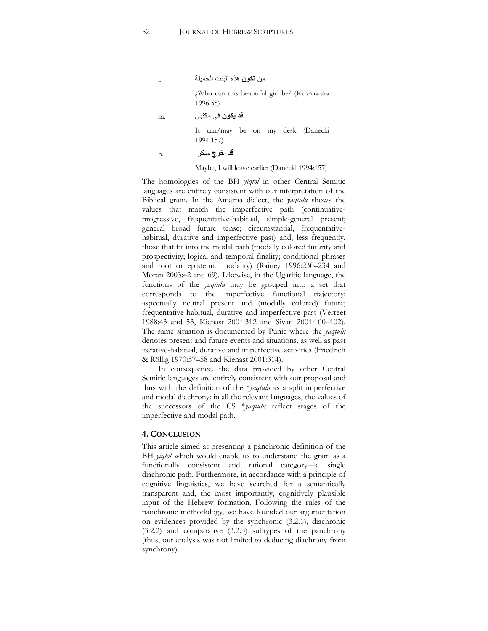l. ΔϠϴϤΤϟ ΖϨΒϟ ϩάϫ **ϥϮϜΗ** Ϧϣ

¿Who can this beautiful girl be? (Kozâowska 1996:58)

m. ϲΒΘϜϣ ϲϓ **ϥϮϜϳ Ϊϗ**

It can/may be on my desk (Danecki 1994:157)

**i** 1. أ**ن اخرج** مبكر ا

Maybe, I will leave earlier (Danecki 1994:157)

The homologues of the BH *yiqtol* in other Central Semitic languages are entirely consistent with our interpretation of the Biblical gram. In the Amarna dialect, the *yaqtulu* shows the values that match the imperfective path (continuativeprogressive, frequentative-habitual, simple-general present; general broad future tense; circumstantial, frequentativehabitual, durative and imperfective past) and, less frequently, those that fit into the modal path (modally colored futurity and prospectivity; logical and temporal finality; conditional phrases and root or epistemic modality) (Rainey 1996:230-234 and Moran 2003:42 and 69). Likewise, in the Ugaritic language, the functions of the *yaqtulu* may be grouped into a set that corresponds to the imperfective functional trajectory: aspectually neutral present and (modally colored) future; frequentative-habitual, durative and imperfective past (Verreet 1988:43 and 53, Kienast 2001:312 and Sivan 2001:100-102). The same situation is documented by Punic where the *yaqtulu* denotes present and future events and situations, as well as past iterative-habitual, durative and imperfective activities (Friedrich & Röllig 1970:57-58 and Kienast 2001:314).

In consequence, the data provided by other Central Semitic languages are entirely consistent with our proposal and thus with the definition of the \**yaqtulu* as a split imperfective and modal diachrony: in all the relevant languages, the values of the successors of the CS \**yaqtulu* reflect stages of the imperfective and modal path.

### **4. CONCLUSION**

This article aimed at presenting a panchronic definition of the BH *yiqtol* which would enable us to understand the gram as a functionally consistent and rational category- $a$  single diachronic path. Furthermore, in accordance with a principle of cognitive linguistics, we have searched for a semantically transparent and, the most importantly, cognitively plausible input of the Hebrew formation. Following the rules of the panchronic methodology, we have founded our argumentation on evidences provided by the synchronic (3.2.1), diachronic (3.2.2) and comparative (3.2.3) subtypes of the panchrony (thus, our analysis was not limited to deducing diachrony from synchrony).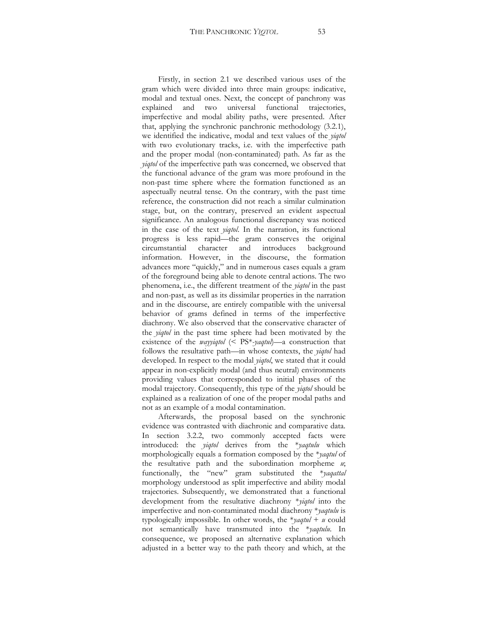Firstly, in section 2.1 we described various uses of the gram which were divided into three main groups: indicative, modal and textual ones. Next, the concept of panchrony was explained and two universal functional trajectories, imperfective and modal ability paths, were presented. After that, applying the synchronic panchronic methodology (3.2.1), we identified the indicative, modal and text values of the *yiqtol* with two evolutionary tracks, i.e. with the imperfective path and the proper modal (non-contaminated) path. As far as the *yiqtol* of the imperfective path was concerned, we observed that the functional advance of the gram was more profound in the non-past time sphere where the formation functioned as an aspectually neutral tense. On the contrary, with the past time reference, the construction did not reach a similar culmination stage, but, on the contrary, preserved an evident aspectual significance. An analogous functional discrepancy was noticed in the case of the text *yiqtol*. In the narration, its functional progress is less rapid—the gram conserves the original circumstantial character and introduces background information. However, in the discourse, the formation advances more "quickly," and in numerous cases equals a gram of the foreground being able to denote central actions. The two phenomena, i.e., the different treatment of the *yiqtol* in the past and non-past, as well as its dissimilar properties in the narration and in the discourse, are entirely compatible with the universal behavior of grams defined in terms of the imperfective diachrony. We also observed that the conservative character of the *yiqtol* in the past time sphere had been motivated by the existence of the *wayyiqtol* (< PS<sup>\*</sup>-yaqtul)—a construction that follows the resultative path—in whose contexts, the *yiqtol* had developed. In respect to the modal *yiqtol*, we stated that it could appear in non-explicitly modal (and thus neutral) environments providing values that corresponded to initial phases of the modal trajectory. Consequently, this type of the *yiqtol* should be explained as a realization of one of the proper modal paths and not as an example of a modal contamination.

Afterwards, the proposal based on the synchronic evidence was contrasted with diachronic and comparative data. In section 3.2.2, two commonly accepted facts were introduced: the *yiqtol* derives from the \**yaqtulu* which morphologically equals a formation composed by the \**yaqtul* of the resultative path and the subordination morpheme *u*; functionally, the "new" gram substituted the \**yaqattal* morphology understood as split imperfective and ability modal trajectories. Subsequently, we demonstrated that a functional development from the resultative diachrony \**yiqtol* into the imperfective and non-contaminated modal diachrony \**yaqtulu* is typologically impossible. In other words, the  $*$ *yaqtul* + *u* could not semantically have transmuted into the \**yaqtulu*. In consequence, we proposed an alternative explanation which adjusted in a better way to the path theory and which, at the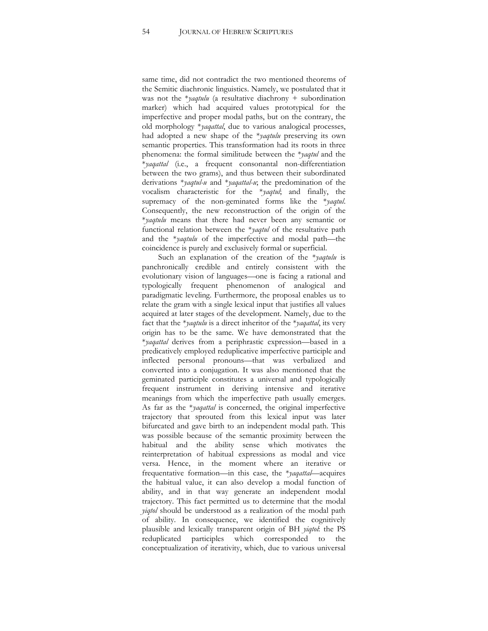same time, did not contradict the two mentioned theorems of the Semitic diachronic linguistics. Namely, we postulated that it was not the \**yaqtulu* (a resultative diachrony + subordination marker) which had acquired values prototypical for the imperfective and proper modal paths, but on the contrary, the old morphology \**yaqattal*, due to various analogical processes, had adopted a new shape of the \**yaqtulu* preserving its own semantic properties. This transformation had its roots in three phenomena: the formal similitude between the \**yaqtul* and the \**yaqattal* (i.e., a frequent consonantal non-differentiation between the two grams), and thus between their subordinated derivations \**yaqtul-u* and \**yaqattal-u*; the predomination of the vocalism characteristic for the \**yaqtul*; and finally, the supremacy of the non-geminated forms like the \**yaqtul*. Consequently, the new reconstruction of the origin of the \**yaqtulu* means that there had never been any semantic or functional relation between the \**yaqtul* of the resultative path and the  $*$ *yaqtulu* of the imperfective and modal path—the coincidence is purely and exclusively formal or superficial.

Such an explanation of the creation of the \**yaqtulu* is panchronically credible and entirely consistent with the evolutionary vision of languages-one is facing a rational and typologically frequent phenomenon of analogical and paradigmatic leveling. Furthermore, the proposal enables us to relate the gram with a single lexical input that justifies all values acquired at later stages of the development. Namely, due to the fact that the \**yaqtulu* is a direct inheritor of the \**yaqattal*, its very origin has to be the same. We have demonstrated that the \*yaqattal derives from a periphrastic expression-based in a predicatively employed reduplicative imperfective participle and inflected personal pronouns—that was verbalized and converted into a conjugation. It was also mentioned that the geminated participle constitutes a universal and typologically frequent instrument in deriving intensive and iterative meanings from which the imperfective path usually emerges. As far as the \**yaqattal* is concerned, the original imperfective trajectory that sprouted from this lexical input was later bifurcated and gave birth to an independent modal path. This was possible because of the semantic proximity between the habitual and the ability sense which motivates the reinterpretation of habitual expressions as modal and vice versa. Hence, in the moment where an iterative or frequentative formation—in this case, the \**yaqattal*—acquires the habitual value, it can also develop a modal function of ability, and in that way generate an independent modal trajectory. This fact permitted us to determine that the modal *yiqtol* should be understood as a realization of the modal path of ability. In consequence, we identified the cognitively plausible and lexically transparent origin of BH *yiqtol*: the PS reduplicated participles which corresponded to the conceptualization of iterativity, which, due to various universal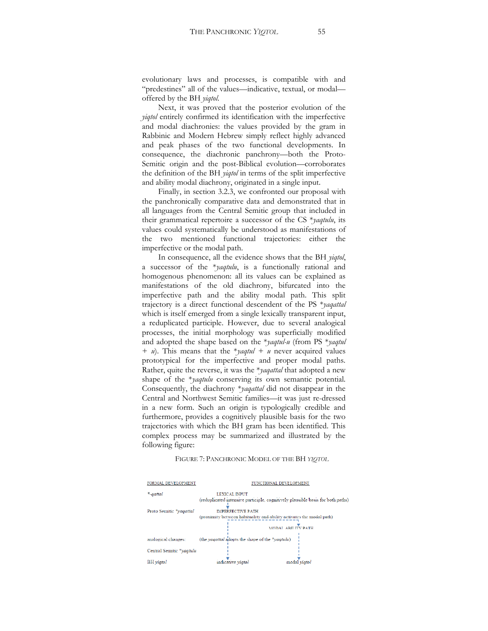evolutionary laws and processes, is compatible with and "predestines" all of the values—indicative, textual, or modal offered by the BH *yiqtol*.

Next, it was proved that the posterior evolution of the *yiqtol* entirely confirmed its identification with the imperfective and modal diachronies: the values provided by the gram in Rabbinic and Modern Hebrew simply reflect highly advanced and peak phases of the two functional developments. In consequence, the diachronic panchrony-both the Proto-Semitic origin and the post-Biblical evolution—corroborates the definition of the BH *yiqtol* in terms of the split imperfective and ability modal diachrony, originated in a single input.

Finally, in section 3.2.3, we confronted our proposal with the panchronically comparative data and demonstrated that in all languages from the Central Semitic group that included in their grammatical repertoire a successor of the CS \**yaqtulu*, its values could systematically be understood as manifestations of the two mentioned functional trajectories: either the imperfective or the modal path.

In consequence, all the evidence shows that the BH *yiqtol*, a successor of the \**yaqtulu*, is a functionally rational and homogenous phenomenon: all its values can be explained as manifestations of the old diachrony, bifurcated into the imperfective path and the ability modal path. This split trajectory is a direct functional descendent of the PS \**yaqattal* which is itself emerged from a single lexically transparent input, a reduplicated participle. However, due to several analogical processes, the initial morphology was superficially modified and adopted the shape based on the \**yaqtul-u* (from PS \**yaqtul*  + *u*). This means that the \**yaqtul + u* never acquired values prototypical for the imperfective and proper modal paths. Rather, quite the reverse, it was the \**yaqattal* that adopted a new shape of the \**yaqtulu* conserving its own semantic potential. Consequently, the diachrony \**yaqattal* did not disappear in the Central and Northwest Semitic families-it was just re-dressed in a new form. Such an origin is typologically credible and furthermore, provides a cognitively plausible basis for the two trajectories with which the BH gram has been identified. This complex process may be summarized and illustrated by the following figure:

#### FIGURE 7: PANCHRONIC MODEL OF THE BH *YIQTOL*

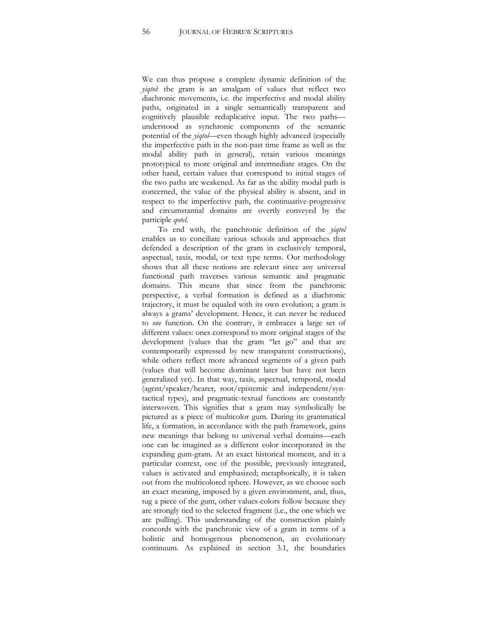We can thus propose a complete dynamic definition of the *yiqtol*: the gram is an amalgam of values that reflect two diachronic movements, i.e. the imperfective and modal ability paths, originated in a single semantically transparent and cognitively plausible reduplicative input. The two paths understood as synchronic components of the semantic potential of the *yiqtol*—even though highly advanced (especially the imperfective path in the non-past time frame as well as the modal ability path in general), retain various meanings prototypical to more original and intermediate stages. On the other hand, certain values that correspond to initial stages of the two paths are weakened. As far as the ability modal path is concerned, the value of the physical ability is absent, and in respect to the imperfective path, the continuative-progressive and circumstantial domains are overtly conveyed by the participle *qotel*.

To end with, the panchronic definition of the *yiqtol* enables us to conciliate various schools and approaches that defended a description of the gram in exclusively temporal, aspectual, taxis, modal, or text type terms. Our methodology shows that all these notions are relevant since any universal functional path traverses various semantic and pragmatic domains. This means that since from the panchronic perspective, a verbal formation is defined as a diachronic trajectory, it must be equaled with its own evolution; a gram is always a grams' development. Hence, it can never be reduced to *one* function. On the contrary, it embraces a large set of different values: ones correspond to more original stages of the development (values that the gram "let go" and that are contemporarily expressed by new transparent constructions), while others reflect more advanced segments of a given path (values that will become dominant later but have not been generalized yet). In that way, taxis, aspectual, temporal, modal (agent/speaker/hearer, root/epistemic and independent/syntactical types), and pragmatic-textual functions are constantly interwoven. This signifies that a gram may symbolically be pictured as a piece of multicolor gum. During its grammatical life, a formation, in accordance with the path framework, gains new meanings that belong to universal verbal domains—each one can be imagined as a different color incorporated in the expanding gum-gram. At an exact historical moment, and in a particular context, one of the possible, previously integrated, values is activated and emphasized; metaphorically, it is taken out from the multicolored sphere. However, as we choose such an exact meaning, imposed by a given environment, and, thus, tug a piece of the gum, other values-colors follow because they are strongly tied to the selected fragment (i.e., the one which we are pulling). This understanding of the construction plainly concords with the panchronic view of a gram in terms of a holistic and homogenous phenomenon, an evolutionary continuum. As explained in section 3.1, the boundaries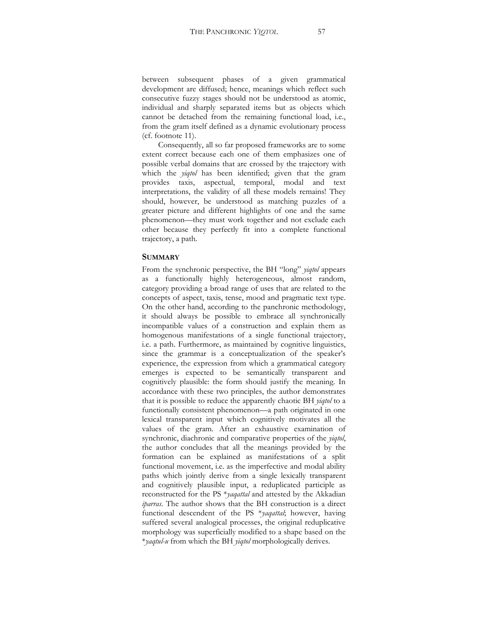between subsequent phases of a given grammatical development are diffused; hence, meanings which reflect such consecutive fuzzy stages should not be understood as atomic, individual and sharply separated items but as objects which cannot be detached from the remaining functional load, i.e., from the gram itself defined as a dynamic evolutionary process

(cf. footnote 11).

Consequently, all so far proposed frameworks are to some extent correct because each one of them emphasizes one of possible verbal domains that are crossed by the trajectory with which the *yiqtol* has been identified; given that the gram provides taxis, aspectual, temporal, modal and text interpretations, the validity of all these models remains! They should, however, be understood as matching puzzles of a greater picture and different highlights of one and the same phenomenon—they must work together and not exclude each other because they perfectly fit into a complete functional trajectory, a path.

#### **SUMMARY**

From the synchronic perspective, the BH "long" *yiqtol* appears as a functionally highly heterogeneous, almost random, category providing a broad range of uses that are related to the concepts of aspect, taxis, tense, mood and pragmatic text type. On the other hand, according to the panchronic methodology, it should always be possible to embrace all synchronically incompatible values of a construction and explain them as homogenous manifestations of a single functional trajectory, i.e. a path. Furthermore, as maintained by cognitive linguistics, since the grammar is a conceptualization of the speaker's experience, the expression from which a grammatical category emerges is expected to be semantically transparent and cognitively plausible: the form should justify the meaning. In accordance with these two principles, the author demonstrates that it is possible to reduce the apparently chaotic BH *yiqtol* to a functionally consistent phenomenon—a path originated in one lexical transparent input which cognitively motivates all the values of the gram. After an exhaustive examination of synchronic, diachronic and comparative properties of the *yiqtol*, the author concludes that all the meanings provided by the formation can be explained as manifestations of a split functional movement, i.e. as the imperfective and modal ability paths which jointly derive from a single lexically transparent and cognitively plausible input, a reduplicated participle as reconstructed for the PS \**yaqattal* and attested by the Akkadian *iparras*. The author shows that the BH construction is a direct functional descendent of the PS \**yaqattal*; however, having suffered several analogical processes, the original reduplicative morphology was superficially modified to a shape based on the \**yaqtul-u* from which the BH *yiqtol* morphologically derives.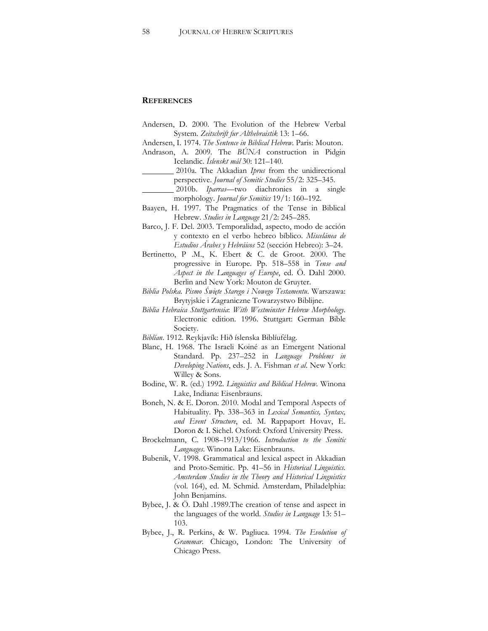### **REFERENCES**

- Andersen, D. 2000. The Evolution of the Hebrew Verbal System. Zeitschrift fur Althebraistik 13: 1-66.
- Andersen, I. 1974. *The Sentence in Biblical Hebrew*. Paris: Mouton.
- Andrason, A. 2009. The *BÚNA* construction in Pidgin Icelandic. *Íslenskt mál* 30: 121–140.
	- 2010a. The Akkadian *Iprus* from the unidirectional perspective. *Journal of Semitic Studies* 55/2: 325-345.
	- 2010b. *Iparras*—two diachronies in a single morphology. *Journal for Semitics* 19/1: 160-192.
- Baayen, H. 1997. The Pragmatics of the Tense in Biblical Hebrew. *Studies in Language* 21/2: 245-285.
- Barco, J. F. Del. 2003. Temporalidad, aspecto, modo de acción y contexto en el verbo hebreo bíblico. *Miscelánea de Estudios Árabes y Hebráicos* 52 (sección Hebreo): 3–24.
- Bertinetto, P .M., K. Ebert & C. de Groot. 2000. The progressive in Europe. Pp. 518-558 in *Tense and Aspect in the Languages of Europe*, ed. Ö. Dahl 2000. Berlin and New York: Mouton de Gruyter.
- *Biblia Polska. Pismo Œwięte Starego i Nowego Testamentu*. Warszawa: Brytyjskie i Zagraniczne Towarzystwo Biblijne.
- *Biblia Hebraica Stuttgartensia*: *With Westminster Hebrew Morphology*. Electronic edition. 1996. Stuttgart: German Bible Society.
- *Biblían*. 1912. Reykjavík: Hið íslenska Biblíufélag.
- Blanc, H. 1968. The Israeli Koiné as an Emergent National Standard. Pp. 237-252 in *Language Problems in Developing Nations*, eds. J. A. Fishman *et al*. New York: Willey & Sons.
- Bodine, W. R. (ed.) 1992. *Linguistics and Biblical Hebrew*. Winona Lake, Indiana: Eisenbrauns.
- Boneh, N. & E. Doron. 2010. Modal and Temporal Aspects of Habituality. Pp. 338-363 in *Lexical Semantics, Syntax, and Event Structure*, ed. M. Rappaport Hovav, E. Doron & I. Sichel. Oxford: Oxford University Press.
- Brockelmann, C. 1908-1913/1966. *Introduction to the Semitic Languages*. Winona Lake: Eisenbrauns.
- Bubenik, V. 1998. Grammatical and lexical aspect in Akkadian and Proto-Semitic. Pp. 41-56 in *Historical Linguistics*. *Amsterdam Studies in the Theory and Historical Linguistics* (vol. 164), ed. M. Schmid. Amsterdam, Philadelphia: John Benjamins.
- Bybee, J. & Ö. Dahl .1989.The creation of tense and aspect in the languages of the world. *Studies in Language* 13: 51-103.
- Bybee, J., R. Perkins, & W. Pagliuca. 1994. *The Evolution of Grammar*. Chicago, London: The University of Chicago Press.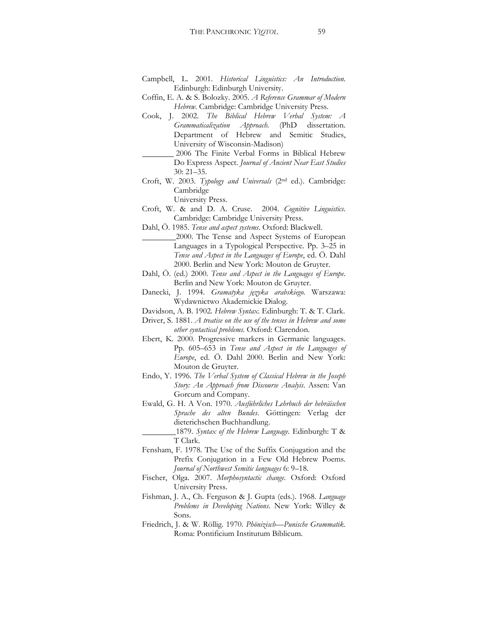- Campbell, L. 2001. *Historical Linguistics: An Introduction*. Edinburgh: Edinburgh University.
- Coffin, E. A. & S. Bolozky. 2005. *A Reference Grammar of Modern Hebrew*. Cambridge: Cambridge University Press.
- Cook, J. 2002. *The Biblical Hebrew Verbal System: A Grammaticalization Approach*. (PhD dissertation. Department of Hebrew and Semitic Studies, University of Wisconsin-Madison)
	- 2006 The Finite Verbal Forms in Biblical Hebrew Do Express Aspect. *Journal of Ancient Near East Studies*  $30: 21 - 35.$
- Croft, W. 2003. *Typology and Universals* (2nd ed.). Cambridge: Cambridge
	- University Press.
- Croft, W. & and D. A. Cruse. 2004. *Cognitive Linguistics*. Cambridge: Cambridge University Press.
- Dahl, Ö. 1985. *Tense and aspect systems*. Oxford: Blackwell. 2000. The Tense and Aspect Systems of European Languages in a Typological Perspective. Pp. 3-25 in *Tense and Aspect in the Languages of Europe*, ed. Ö. Dahl 2000. Berlin and New York: Mouton de Gruyter.
- Dahl, Ö. (ed.) 2000. *Tense and Aspect in the Languages of Europe*. Berlin and New York: Mouton de Gruyter.
- Danecki, J. 1994. *Gramatyka języka arabskiego*. Warszawa: Wydawnictwo Akademickie Dialog.
- Davidson, A. B. 1902. *Hebrew Syntax*. Edinburgh: T. & T. Clark.
- Driver, S. 1881. *A treatise on the use of the tenses in Hebrew and some other syntactical problems*. Oxford: Clarendon.
- Ebert, K. 2000. Progressive markers in Germanic languages. Pp. 605-653 in *Tense and Aspect in the Languages of Europe*, ed. Ö. Dahl 2000. Berlin and New York: Mouton de Gruyter.
- Endo, Y. 1996. *The Verbal System of Classical Hebrew in the Joseph Story: An Approach from Discourse Analyis*. Assen: Van Gorcum and Company.
- Ewald, G. H. A Von. 1970. *Ausführliches Lehrbuch der hebräischen Sprache des alten Bundes*. Göttingen: Verlag der dieterichschen Buchhandlung.

 1879. *Syntax of the Hebrew Language*. Edinburgh: T & T Clark.

- Fensham, F. 1978. The Use of the Suffix Conjugation and the Prefix Conjugation in a Few Old Hebrew Poems. *Journal of Northwest Semitic languages 6: 9-18.*
- Fischer, Olga. 2007. *Morphosyntactic change*. Oxford: Oxford University Press.
- Fishman, J. A., Ch. Ferguson & J. Gupta (eds.). 1968. *Language Problems in Developing Nations*. New York: Willey & Sons.
- Friedrich, J. & W. Röllig. 1970. Phönizisch-Punische Grammatik. Roma: Pontificium Institutum Biblicum.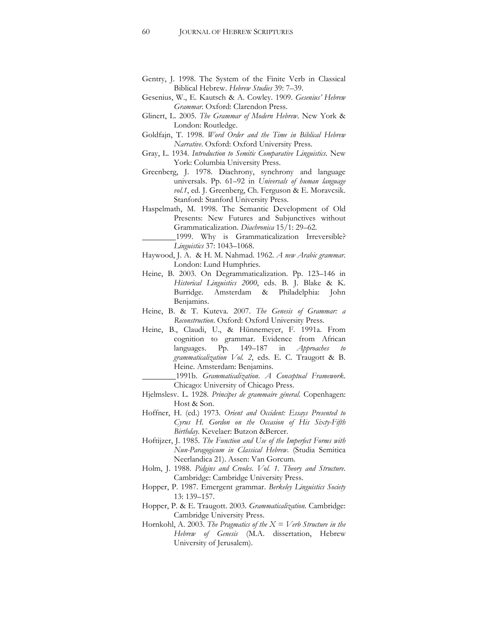- Gentry, J. 1998. The System of the Finite Verb in Classical Biblical Hebrew. *Hebrew Studies* 39: 7-39.
- Gesenius, W., E. Kautsch & A. Cowley. 1909. Gesenius' Hebrew *Grammar*. Oxford: Clarendon Press.
- Glinert, L. 2005. *The Grammar of Modern Hebrew*. New York & London: Routledge.
- Goldfajn, T. 1998. *Word Order and the Time in Biblical Hebrew Narrative*. Oxford: Oxford University Press.
- Gray, L. 1934. *Introduction to Semitic Comparative Linguistics*. New York: Columbia University Press.
- Greenberg, J. 1978. Diachrony, synchrony and language universals. Pp. 61-92 in *Universals of human language vol.1*, ed. J. Greenberg, Ch. Ferguson & E. Moravcsik. Stanford: Stanford University Press.
- Haspelmath, M. 1998. The Semantic Development of Old Presents: New Futures and Subjunctives without Grammaticalization. *Diachronica* 15/1: 29-62.
	- 1999. Why is Grammaticalization Irreversible? *Linguistics* 37: 1043-1068.
- Haywood, J. A. & H. M. Nahmad. 1962. *A new Arabic grammar*. London: Lund Humphries.
- Heine, B. 2003. On Degrammaticalization. Pp. 123-146 in *Historical Linguistics 2000*, eds. B. J. Blake & K. Burridge. Amsterdam & Philadelphia: John Benjamins.
- Heine, B. & T. Kuteva. 2007. *The Genesis of Grammar: a Reconstruction*. Oxford: Oxford University Press.
- Heine, B., Claudi, U., & Hünnemeyer, F. 1991a. From cognition to grammar. Evidence from African languages. Pp. 149–187 in *Approaches to grammaticalization Vol. 2*, eds. E. C. Traugott & B. Heine. Amsterdam: Benjamins.

 1991b. *Grammaticalization*. *A Conceptual Framework*. Chicago: University of Chicago Press.

- Hjelmslesv. L. 1928. *Principes de grammaire géneral*. Copenhagen: Host & Son.
- Hoffner, H. (ed.) 1973. *Orient and Occident: Essays Presented to Cyrus H. Gordon on the Occasion of His Sixty-Fifth Birthday*. Kevelaer: Butzon &Bercer.
- Hoftijzer, J. 1985. *The Function and Use of the Imperfect Forms with Nun-Paragogicum in Classical Hebrew*. (Studia Semitica Neerlandica 21). Assen: Van Gorcum.
- Holm, J. 1988. *Pidgins and Creoles*. *Vol. 1. Theory and Structure*. Cambridge: Cambridge University Press.
- Hopper, P. 1987. Emergent grammar. *Berkeley Linguistics Society* 13: 139-157.
- Hopper, P. & E. Traugott. 2003. *Grammaticalization*. Cambridge: Cambridge University Press.
- Hornkohl, A. 2003. *The Pragmatics of the X = Verb Structure in the Hebrew of Genesis* (M.A. dissertation, Hebrew University of Jerusalem).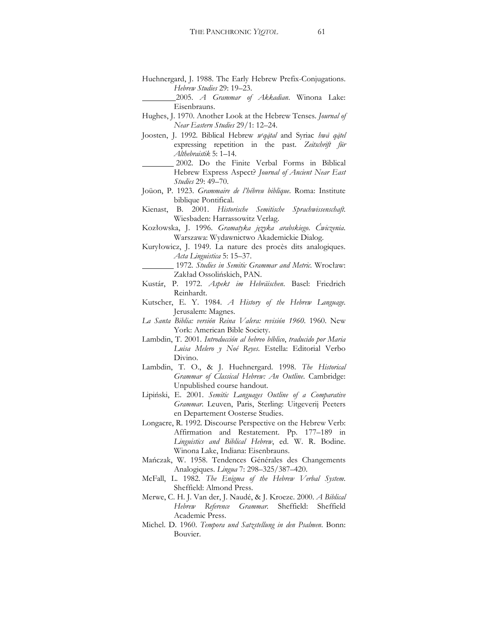Huehnergard, J. 1988. The Early Hebrew Prefix-Conjugations. *Hebrew Studies* 29: 19-23.

 2005. *A Grammar of Akkadian*. Winona Lake: Eisenbrauns.

- Hughes, J. 1970. Another Look at the Hebrew Tenses. *Journal of Near Eastern Studies* 29/1: 12–24.
- Joosten, J. 1992. Biblical Hebrew *weqatal* and Syriac *hwa qatel* expressing repetition in the past. *Zeitschrift für Althebraistik* 5: 1-14.
	- 2002. Do the Finite Verbal Forms in Biblical Hebrew Express Aspect? *Journal of Ancient Near East Studies* 29: 49-70.
- Joüon, P. 1923. *Grammaire de l'hébreu biblique*. Roma: Institute biblique Pontifical.
- Kienast, B. 2001. *Historische Semitische Sprachwissenschaft*. Wiesbaden: Harrassowitz Verlag.
- Kozâowska, J. 1996. *Gramatyka języka arabskiego*. *üwiczenia*. Warszawa: Wydawnictwo Akademickie Dialog.
- Kuryłowicz, J. 1949. La nature des procès dits analogiques. Acta Linguistica 5: 15-37.

 1972. *Studies in Semitic Grammar and Metric*. Wrocâaw: Zakład Ossolińskich, PAN.

- Kustár, P. 1972. *Aspekt im Hebräischen*. Basel: Friedrich Reinhardt.
- Kutscher, E. Y. 1984. *A History of the Hebrew Language*. Jerusalem: Magnes.
- *La Santa Biblia: versión Reina Valera: revisión 1960*. 1960. New York: American Bible Society.
- Lambdin, T. 2001. *Introducción al hebreo bíblico*, *traducido por Maria Luisa Melero y Noé Reyes*. Estella: Editorial Verbo Divino.
- Lambdin, T. O., & J. Huehnergard. 1998. *The Historical Grammar of Classical Hebrew: An Outline*. Cambridge: Unpublished course handout.
- Lipiński, E. 2001. Semitic Languages Outline of a Comparative *Grammar*. Leuven, Paris, Sterling: Uitgeverij Peeters en Departement Oosterse Studies.
- Longacre, R. 1992. Discourse Perspective on the Hebrew Verb: Affirmation and Restatement. Pp. 177-189 in *Linguistics and Biblical Hebrew*, ed. W. R. Bodine. Winona Lake, Indiana: Eisenbrauns.
- Mańczak, W. 1958. Tendences Générales des Changements Analogiques. *Lingua* 7: 298-325/387-420.
- McFall, L. 1982. *The Enigma of the Hebrew Verbal System*. Sheffield: Almond Press.
- Merwe, C. H. J. Van der, J. Naudé, & J. Kroeze. 2000. *A Biblical Hebrew Reference Grammar*. Sheffield: Sheffield Academic Press.
- Michel. D. 1960. *Tempora und Satzstellung in den Psalmen*. Bonn: Bouvier.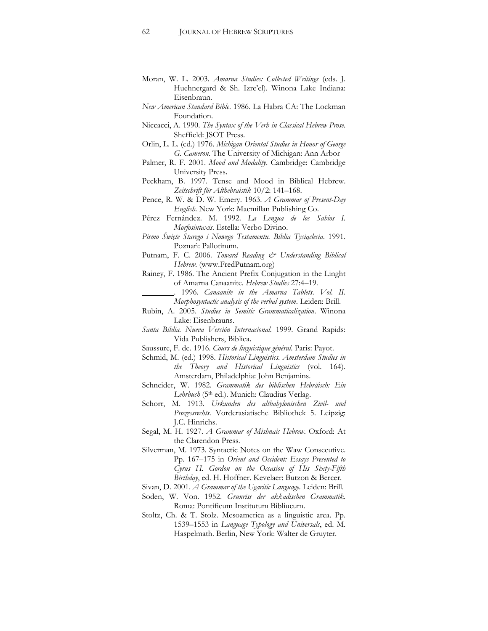- Moran, W. L. 2003. *Amarna Studies: Collected Writings* (eds. J. Huehnergard & Sh. Izre'el). Winona Lake Indiana: Eisenbraun.
- *New American Standard Bible*. 1986. La Habra CA: The Lockman Foundation.
- Niccacci, A. 1990. *The Syntax of the Verb in Classical Hebrew Prose*. Sheffield: JSOT Press.
- Orlin, L. L. (ed.) 1976. *Michigan Oriental Studies in Honor of George G. Cameron*. The University of Michigan: Ann Arbor
- Palmer, R. F. 2001. *Mood and Modality*. Cambridge: Cambridge University Press.
- Peckham, B. 1997. Tense and Mood in Biblical Hebrew. Zeitschrift für Althebraistik 10/2: 141–168.
- Pence, R. W. & D. W. Emery. 1963. *A Grammar of Present-Day English*. New York: Macmillan Publishing Co.
- Pérez Fernández. M. 1992. *La Lengua de los Sabios I. Morfosintaxis*. Estella: Verbo Divino.
- *Pismo Œwięte Starego i Nowego Testamentu. Biblia TysiĊclecia*. 1991. Poznań: Pallotinum.
- Putnam, F. C. 2006. *Toward Reading & Understanding Biblical Hebrew*. (www.FredPutnam.org)
- Rainey, F. 1986. The Ancient Prefix Conjugation in the Linght of Amarna Canaanite. *Hebrew Studies* 27:4-19.
	- . 1996. *Canaanite in the Amarna Tablets*. *Vol. II. Morphosyntactic analysis of the verbal system*. Leiden: Brill.
- Rubin, A. 2005. *Studies in Semitic Grammaticalization*. Winona Lake: Eisenbrauns.
- *Santa Biblia. Nueva Versión Internacional*. 1999. Grand Rapids: Vida Publishers, Biblica.
- Saussure, F. de. 1916. *Cours de linguistique général*. Paris: Payot.
- Schmid, M. (ed.) 1998. *Historical Linguistics*. *Amsterdam Studies in the Theory and Historical Linguistics* (vol. 164). Amsterdam, Philadelphia: John Benjamins.
- Schneider, W. 1982. *Grammatik des biblischen Hebräisch: Ein*  Lehrbuch (5<sup>th</sup> ed.). Munich: Claudius Verlag.
- Schorr, M. 1913. *Urkunden des altbabylonischen Zivil- und Prozessrechts*. Vorderasiatische Bibliothek 5. Leipzig: J.C. Hinrichs.
- Segal, M. H. 1927. *A Grammar of Mishnaic Hebrew*. Oxford: At the Clarendon Press.
- Silverman, M. 1973. Syntactic Notes on the Waw Consecutive. Pp. 167-175 in *Orient and Occident: Essays Presented to Cyrus H. Gordon on the Occasion of His Sixty-Fifth Birthday*, ed. H. Hoffner. Kevelaer: Butzon & Bercer.
- Sivan, D. 2001. *A Grammar of the Ugaritic Language*. Leiden: Brill.
- Soden, W. Von. 1952. *Grunriss der akkadischen Grammatik*. Roma: Pontificum Institutum Bibliucum.
- Stoltz, Ch. & T. Stolz. Mesoamerica as a linguistic area. Pp. 1539-1553 in *Language Typology and Universals*, ed. M. Haspelmath. Berlin, New York: Walter de Gruyter.